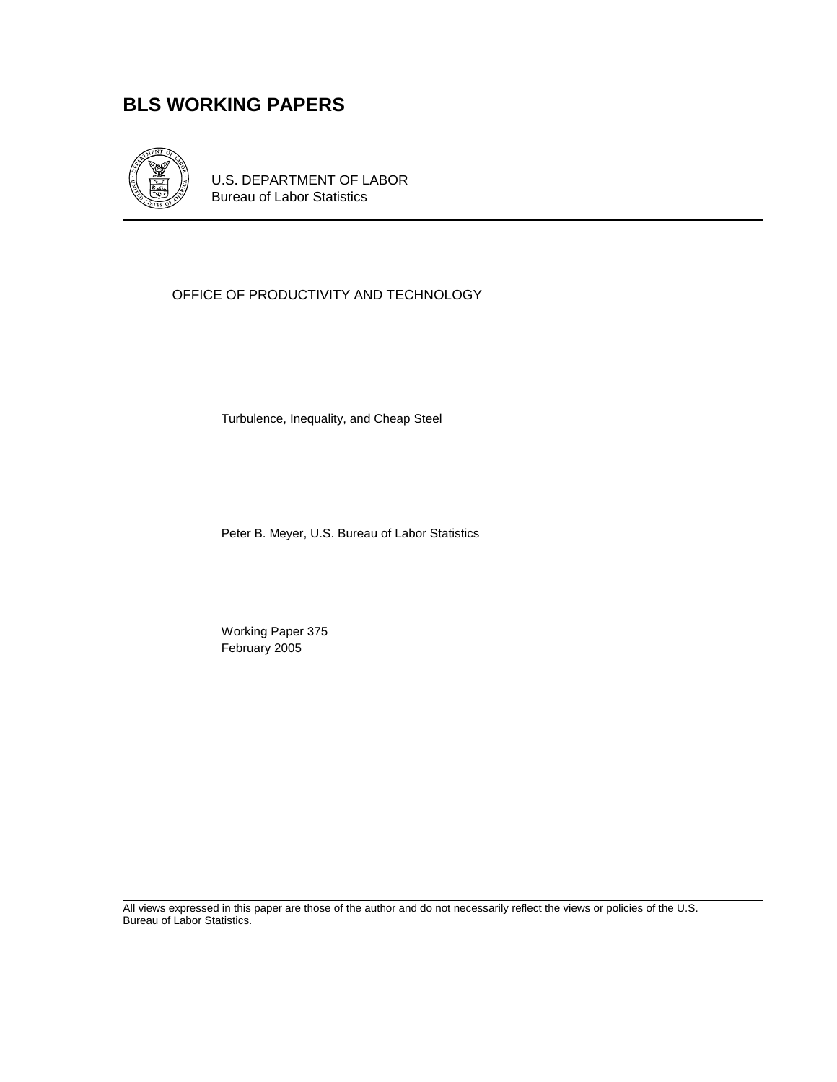# **BLS WORKING PAPERS**



U.S. DEPARTMENT OF LABOR Bureau of Labor Statistics

### OFFICE OF PRODUCTIVITY AND TECHNOLOGY

Turbulence, Inequality, and Cheap Steel

Peter B. Meyer, U.S. Bureau of Labor Statistics

 Working Paper 375 February 2005

All views expressed in this paper are those of the author and do not necessarily reflect the views or policies of the U.S. Bureau of Labor Statistics.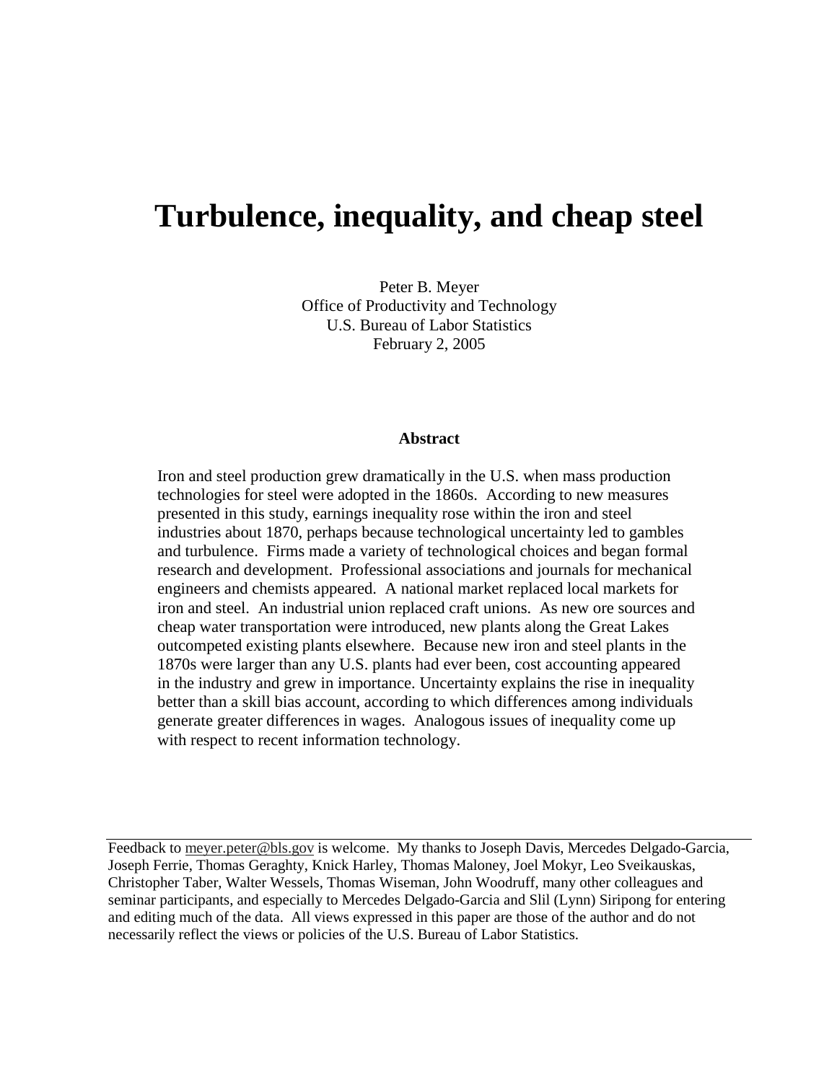# **Turbulence, inequality, and cheap steel**

Peter B. Meyer Office of Productivity and Technology U.S. Bureau of Labor Statistics February 2, 2005

#### **Abstract**

Iron and steel production grew dramatically in the U.S. when mass production technologies for steel were adopted in the 1860s. According to new measures presented in this study, earnings inequality rose within the iron and steel industries about 1870, perhaps because technological uncertainty led to gambles and turbulence. Firms made a variety of technological choices and began formal research and development. Professional associations and journals for mechanical engineers and chemists appeared. A national market replaced local markets for iron and steel. An industrial union replaced craft unions. As new ore sources and cheap water transportation were introduced, new plants along the Great Lakes outcompeted existing plants elsewhere. Because new iron and steel plants in the 1870s were larger than any U.S. plants had ever been, cost accounting appeared in the industry and grew in importance. Uncertainty explains the rise in inequality better than a skill bias account, according to which differences among individuals generate greater differences in wages. Analogous issues of inequality come up with respect to recent information technology.

Feedback to meyer.peter@bls.gov is welcome. My thanks to Joseph Davis, Mercedes Delgado-Garcia, Joseph Ferrie, Thomas Geraghty, Knick Harley, Thomas Maloney, Joel Mokyr, Leo Sveikauskas, Christopher Taber, Walter Wessels, Thomas Wiseman, John Woodruff, many other colleagues and seminar participants, and especially to Mercedes Delgado-Garcia and Slil (Lynn) Siripong for entering and editing much of the data. All views expressed in this paper are those of the author and do not necessarily reflect the views or policies of the U.S. Bureau of Labor Statistics.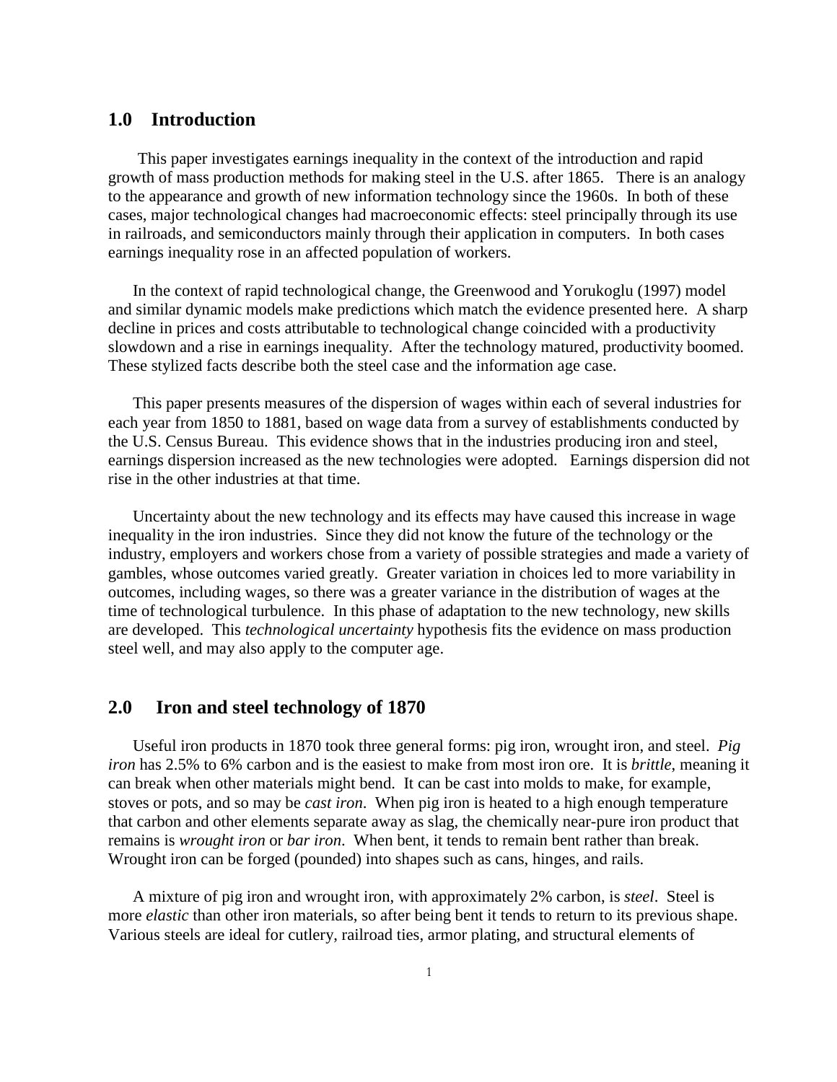#### **1.0 Introduction**

This paper investigates earnings inequality in the context of the introduction and rapid growth of mass production methods for making steel in the U.S. after 1865. There is an analogy to the appearance and growth of new information technology since the 1960s. In both of these cases, major technological changes had macroeconomic effects: steel principally through its use in railroads, and semiconductors mainly through their application in computers. In both cases earnings inequality rose in an affected population of workers.

In the context of rapid technological change, the Greenwood and Yorukoglu (1997) model and similar dynamic models make predictions which match the evidence presented here. A sharp decline in prices and costs attributable to technological change coincided with a productivity slowdown and a rise in earnings inequality. After the technology matured, productivity boomed. These stylized facts describe both the steel case and the information age case.

This paper presents measures of the dispersion of wages within each of several industries for each year from 1850 to 1881, based on wage data from a survey of establishments conducted by the U.S. Census Bureau. This evidence shows that in the industries producing iron and steel, earnings dispersion increased as the new technologies were adopted. Earnings dispersion did not rise in the other industries at that time.

Uncertainty about the new technology and its effects may have caused this increase in wage inequality in the iron industries. Since they did not know the future of the technology or the industry, employers and workers chose from a variety of possible strategies and made a variety of gambles, whose outcomes varied greatly. Greater variation in choices led to more variability in outcomes, including wages, so there was a greater variance in the distribution of wages at the time of technological turbulence. In this phase of adaptation to the new technology, new skills are developed. This *technological uncertainty* hypothesis fits the evidence on mass production steel well, and may also apply to the computer age.

#### **2.0 Iron and steel technology of 1870**

Useful iron products in 1870 took three general forms: pig iron, wrought iron, and steel. *Pig iron* has 2.5% to 6% carbon and is the easiest to make from most iron ore. It is *brittle*, meaning it can break when other materials might bend. It can be cast into molds to make, for example, stoves or pots, and so may be *cast iron*. When pig iron is heated to a high enough temperature that carbon and other elements separate away as slag, the chemically near-pure iron product that remains is *wrought iron* or *bar iron*. When bent, it tends to remain bent rather than break. Wrought iron can be forged (pounded) into shapes such as cans, hinges, and rails.

A mixture of pig iron and wrought iron, with approximately 2% carbon, is *steel*. Steel is more *elastic* than other iron materials, so after being bent it tends to return to its previous shape. Various steels are ideal for cutlery, railroad ties, armor plating, and structural elements of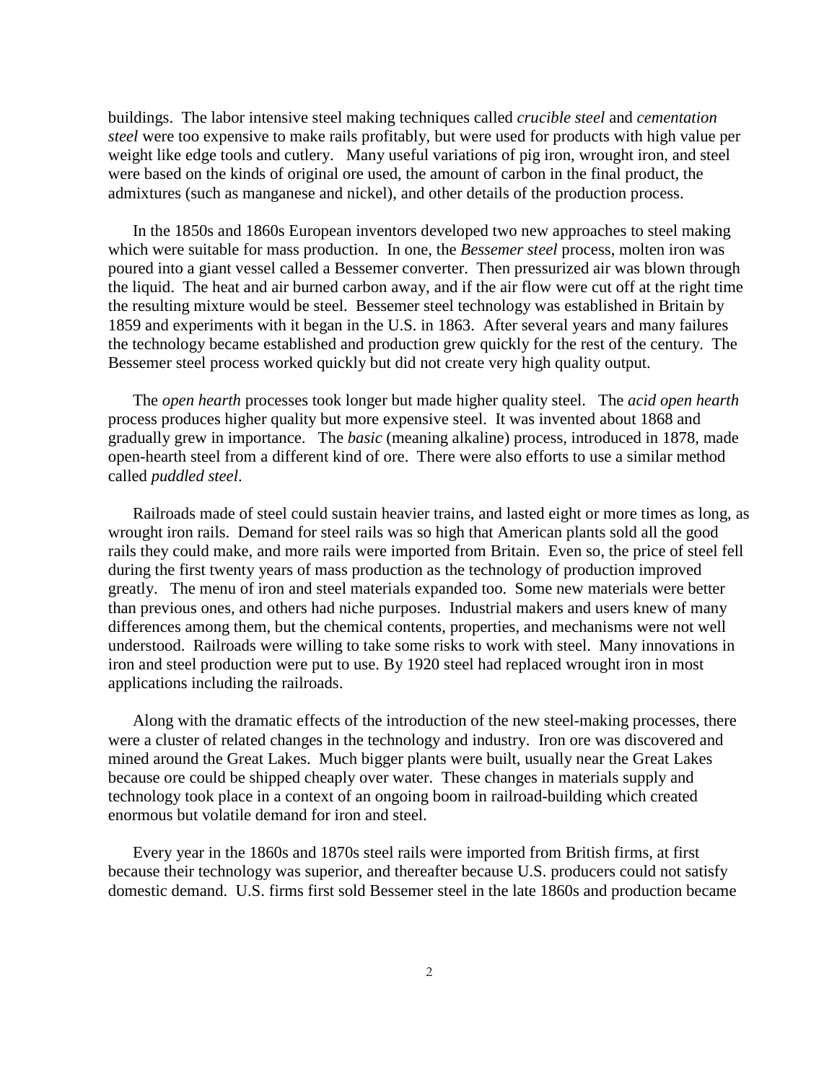buildings. The labor intensive steel making techniques called *crucible steel* and *cementation steel* were too expensive to make rails profitably, but were used for products with high value per weight like edge tools and cutlery. Many useful variations of pig iron, wrought iron, and steel were based on the kinds of original ore used, the amount of carbon in the final product, the admixtures (such as manganese and nickel), and other details of the production process.

In the 1850s and 1860s European inventors developed two new approaches to steel making which were suitable for mass production. In one, the *Bessemer steel* process, molten iron was poured into a giant vessel called a Bessemer converter. Then pressurized air was blown through the liquid. The heat and air burned carbon away, and if the air flow were cut off at the right time the resulting mixture would be steel. Bessemer steel technology was established in Britain by 1859 and experiments with it began in the U.S. in 1863. After several years and many failures the technology became established and production grew quickly for the rest of the century. The Bessemer steel process worked quickly but did not create very high quality output.

The *open hearth* processes took longer but made higher quality steel. The *acid open hearth* process produces higher quality but more expensive steel. It was invented about 1868 and gradually grew in importance. The *basic* (meaning alkaline) process, introduced in 1878, made open-hearth steel from a different kind of ore. There were also efforts to use a similar method called *puddled steel*.

Railroads made of steel could sustain heavier trains, and lasted eight or more times as long, as wrought iron rails. Demand for steel rails was so high that American plants sold all the good rails they could make, and more rails were imported from Britain. Even so, the price of steel fell during the first twenty years of mass production as the technology of production improved greatly. The menu of iron and steel materials expanded too. Some new materials were better than previous ones, and others had niche purposes. Industrial makers and users knew of many differences among them, but the chemical contents, properties, and mechanisms were not well understood. Railroads were willing to take some risks to work with steel. Many innovations in iron and steel production were put to use. By 1920 steel had replaced wrought iron in most applications including the railroads.

Along with the dramatic effects of the introduction of the new steel-making processes, there were a cluster of related changes in the technology and industry. Iron ore was discovered and mined around the Great Lakes. Much bigger plants were built, usually near the Great Lakes because ore could be shipped cheaply over water. These changes in materials supply and technology took place in a context of an ongoing boom in railroad-building which created enormous but volatile demand for iron and steel.

Every year in the 1860s and 1870s steel rails were imported from British firms, at first because their technology was superior, and thereafter because U.S. producers could not satisfy domestic demand. U.S. firms first sold Bessemer steel in the late 1860s and production became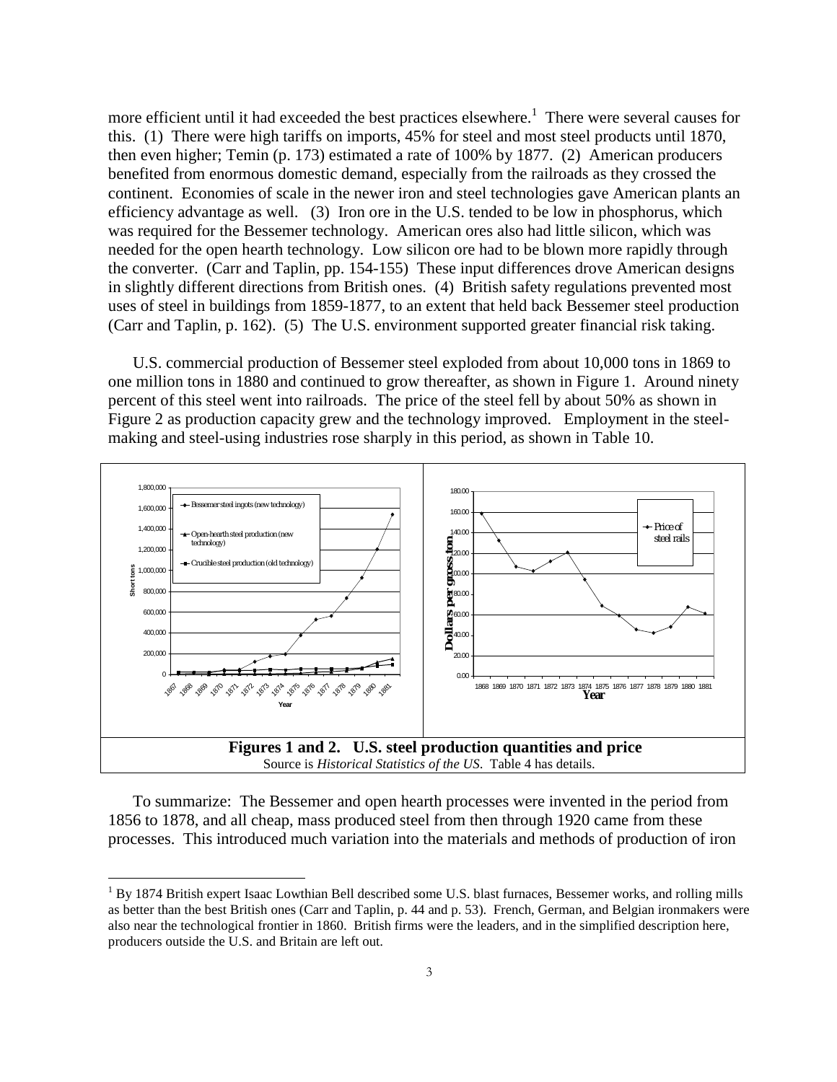more efficient until it had exceeded the best practices elsewhere.<sup>1</sup> There were several causes for this. (1) There were high tariffs on imports, 45% for steel and most steel products until 1870, then even higher; Temin (p. 173) estimated a rate of 100% by 1877. (2) American producers benefited from enormous domestic demand, especially from the railroads as they crossed the continent. Economies of scale in the newer iron and steel technologies gave American plants an efficiency advantage as well. (3) Iron ore in the U.S. tended to be low in phosphorus, which was required for the Bessemer technology. American ores also had little silicon, which was needed for the open hearth technology. Low silicon ore had to be blown more rapidly through the converter. (Carr and Taplin, pp. 154-155) These input differences drove American designs in slightly different directions from British ones. (4) British safety regulations prevented most uses of steel in buildings from 1859-1877, to an extent that held back Bessemer steel production (Carr and Taplin, p. 162). (5) The U.S. environment supported greater financial risk taking.

U.S. commercial production of Bessemer steel exploded from about 10,000 tons in 1869 to one million tons in 1880 and continued to grow thereafter, as shown in Figure 1. Around ninety percent of this steel went into railroads. The price of the steel fell by about 50% as shown in Figure 2 as production capacity grew and the technology improved. Employment in the steelmaking and steel-using industries rose sharply in this period, as shown in Table 10.



To summarize: The Bessemer and open hearth processes were invented in the period from 1856 to 1878, and all cheap, mass produced steel from then through 1920 came from these processes. This introduced much variation into the materials and methods of production of iron

<sup>&</sup>lt;sup>1</sup> By 1874 British expert Isaac Lowthian Bell described some U.S. blast furnaces, Bessemer works, and rolling mills as better than the best British ones (Carr and Taplin, p. 44 and p. 53). French, German, and Belgian ironmakers were also near the technological frontier in 1860. British firms were the leaders, and in the simplified description here, producers outside the U.S. and Britain are left out.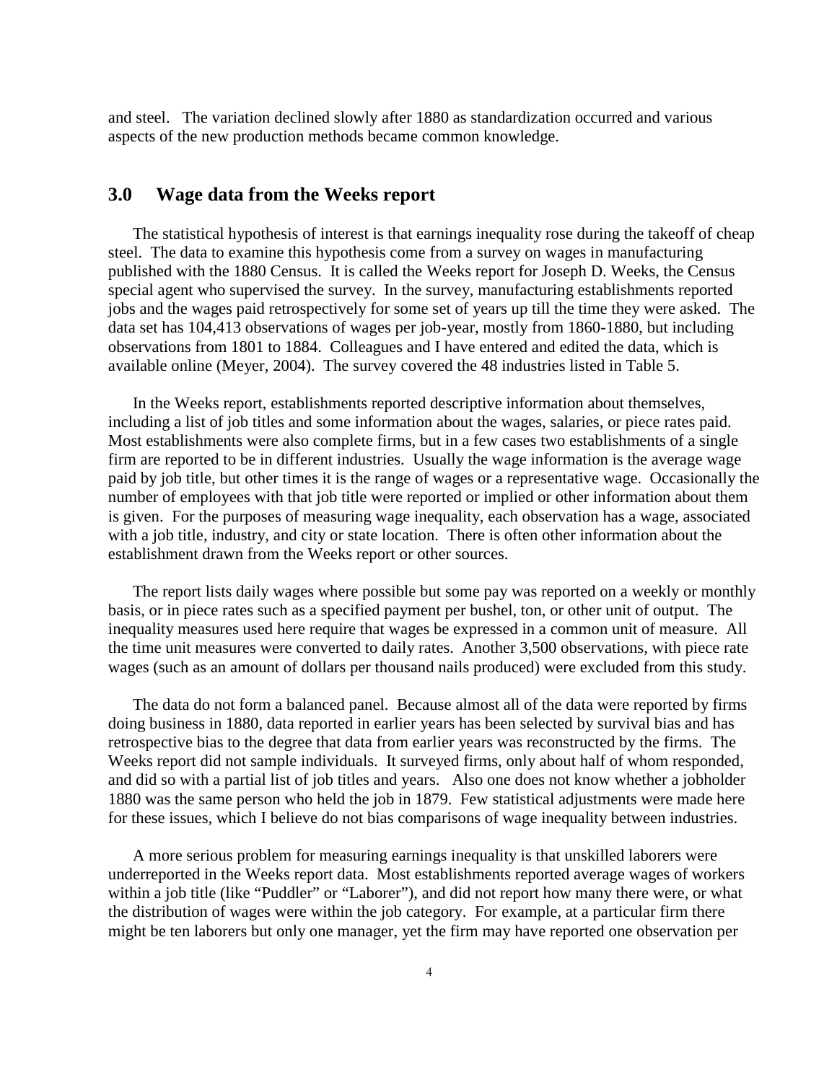and steel. The variation declined slowly after 1880 as standardization occurred and various aspects of the new production methods became common knowledge.

#### **3.0 Wage data from the Weeks report**

The statistical hypothesis of interest is that earnings inequality rose during the takeoff of cheap steel. The data to examine this hypothesis come from a survey on wages in manufacturing published with the 1880 Census. It is called the Weeks report for Joseph D. Weeks, the Census special agent who supervised the survey. In the survey, manufacturing establishments reported jobs and the wages paid retrospectively for some set of years up till the time they were asked. The data set has 104,413 observations of wages per job-year, mostly from 1860-1880, but including observations from 1801 to 1884. Colleagues and I have entered and edited the data, which is available online (Meyer, 2004). The survey covered the 48 industries listed in Table 5.

In the Weeks report, establishments reported descriptive information about themselves, including a list of job titles and some information about the wages, salaries, or piece rates paid. Most establishments were also complete firms, but in a few cases two establishments of a single firm are reported to be in different industries. Usually the wage information is the average wage paid by job title, but other times it is the range of wages or a representative wage. Occasionally the number of employees with that job title were reported or implied or other information about them is given. For the purposes of measuring wage inequality, each observation has a wage, associated with a job title, industry, and city or state location. There is often other information about the establishment drawn from the Weeks report or other sources.

The report lists daily wages where possible but some pay was reported on a weekly or monthly basis, or in piece rates such as a specified payment per bushel, ton, or other unit of output. The inequality measures used here require that wages be expressed in a common unit of measure. All the time unit measures were converted to daily rates. Another 3,500 observations, with piece rate wages (such as an amount of dollars per thousand nails produced) were excluded from this study.

The data do not form a balanced panel. Because almost all of the data were reported by firms doing business in 1880, data reported in earlier years has been selected by survival bias and has retrospective bias to the degree that data from earlier years was reconstructed by the firms. The Weeks report did not sample individuals. It surveyed firms, only about half of whom responded, and did so with a partial list of job titles and years. Also one does not know whether a jobholder 1880 was the same person who held the job in 1879. Few statistical adjustments were made here for these issues, which I believe do not bias comparisons of wage inequality between industries.

A more serious problem for measuring earnings inequality is that unskilled laborers were underreported in the Weeks report data. Most establishments reported average wages of workers within a job title (like "Puddler" or "Laborer"), and did not report how many there were, or what the distribution of wages were within the job category. For example, at a particular firm there might be ten laborers but only one manager, yet the firm may have reported one observation per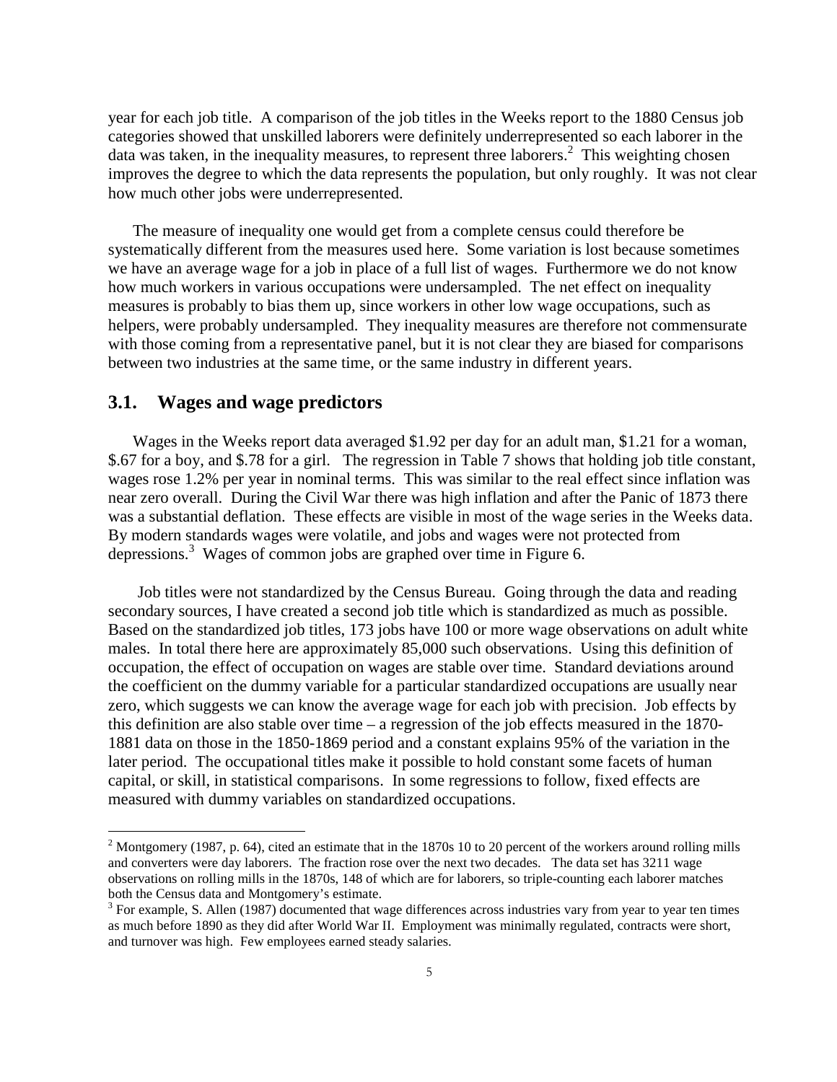year for each job title. A comparison of the job titles in the Weeks report to the 1880 Census job categories showed that unskilled laborers were definitely underrepresented so each laborer in the data was taken, in the inequality measures, to represent three laborers.<sup>2</sup> This weighting chosen improves the degree to which the data represents the population, but only roughly. It was not clear how much other jobs were underrepresented.

The measure of inequality one would get from a complete census could therefore be systematically different from the measures used here. Some variation is lost because sometimes we have an average wage for a job in place of a full list of wages. Furthermore we do not know how much workers in various occupations were undersampled. The net effect on inequality measures is probably to bias them up, since workers in other low wage occupations, such as helpers, were probably undersampled. They inequality measures are therefore not commensurate with those coming from a representative panel, but it is not clear they are biased for comparisons between two industries at the same time, or the same industry in different years.

#### **3.1. Wages and wage predictors**

 $\overline{a}$ 

Wages in the Weeks report data averaged \$1.92 per day for an adult man, \$1.21 for a woman, \$.67 for a boy, and \$.78 for a girl. The regression in Table 7 shows that holding job title constant, wages rose 1.2% per year in nominal terms. This was similar to the real effect since inflation was near zero overall. During the Civil War there was high inflation and after the Panic of 1873 there was a substantial deflation. These effects are visible in most of the wage series in the Weeks data. By modern standards wages were volatile, and jobs and wages were not protected from depressions.<sup>3</sup> Wages of common jobs are graphed over time in Figure 6.

Job titles were not standardized by the Census Bureau. Going through the data and reading secondary sources, I have created a second job title which is standardized as much as possible. Based on the standardized job titles, 173 jobs have 100 or more wage observations on adult white males. In total there here are approximately 85,000 such observations. Using this definition of occupation, the effect of occupation on wages are stable over time. Standard deviations around the coefficient on the dummy variable for a particular standardized occupations are usually near zero, which suggests we can know the average wage for each job with precision. Job effects by this definition are also stable over time – a regression of the job effects measured in the 1870- 1881 data on those in the 1850-1869 period and a constant explains 95% of the variation in the later period. The occupational titles make it possible to hold constant some facets of human capital, or skill, in statistical comparisons. In some regressions to follow, fixed effects are measured with dummy variables on standardized occupations.

<sup>&</sup>lt;sup>2</sup> Montgomery (1987, p. 64), cited an estimate that in the 1870s 10 to 20 percent of the workers around rolling mills and converters were day laborers. The fraction rose over the next two decades. The data set has 3211 wage observations on rolling mills in the 1870s, 148 of which are for laborers, so triple-counting each laborer matches both the Census data and Montgomery's estimate.

 $3$  For example, S. Allen (1987) documented that wage differences across industries vary from year to year ten times as much before 1890 as they did after World War II. Employment was minimally regulated, contracts were short, and turnover was high. Few employees earned steady salaries.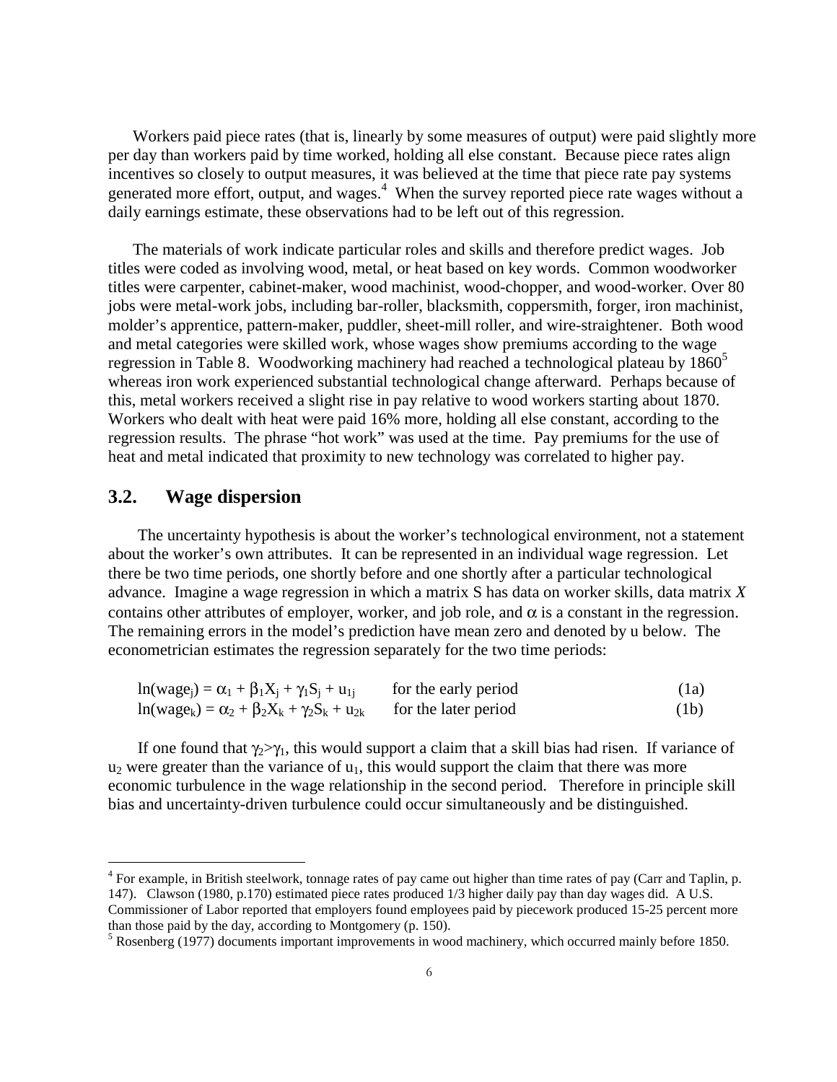Workers paid piece rates (that is, linearly by some measures of output) were paid slightly more per day than workers paid by time worked, holding all else constant. Because piece rates align incentives so closely to output measures, it was believed at the time that piece rate pay systems generated more effort, output, and wages.<sup>4</sup> When the survey reported piece rate wages without a daily earnings estimate, these observations had to be left out of this regression.

The materials of work indicate particular roles and skills and therefore predict wages. Job titles were coded as involving wood, metal, or heat based on key words. Common woodworker titles were carpenter, cabinet-maker, wood machinist, wood-chopper, and wood-worker. Over 80 jobs were metal-work jobs, including bar-roller, blacksmith, coppersmith, forger, iron machinist, molder's apprentice, pattern-maker, puddler, sheet-mill roller, and wire-straightener. Both wood and metal categories were skilled work, whose wages show premiums according to the wage regression in Table 8. Woodworking machinery had reached a technological plateau by  $1860^5$ whereas iron work experienced substantial technological change afterward. Perhaps because of this, metal workers received a slight rise in pay relative to wood workers starting about 1870. Workers who dealt with heat were paid 16% more, holding all else constant, according to the regression results. The phrase "hot work" was used at the time. Pay premiums for the use of heat and metal indicated that proximity to new technology was correlated to higher pay.

### **3.2. Wage dispersion**

 $\overline{a}$ 

The uncertainty hypothesis is about the worker's technological environment, not a statement about the worker's own attributes. It can be represented in an individual wage regression. Let there be two time periods, one shortly before and one shortly after a particular technological advance. Imagine a wage regression in which a matrix S has data on worker skills, data matrix *X* contains other attributes of employer, worker, and job role, and  $\alpha$  is a constant in the regression. The remaining errors in the model's prediction have mean zero and denoted by u below. The econometrician estimates the regression separately for the two time periods:

| $ln(wage_i) = \alpha_1 + \beta_1 X_i + \gamma_1 S_i + u_{1i}$ | for the early period | (1a) |
|---------------------------------------------------------------|----------------------|------|
| $ln(wage_k) = \alpha_2 + \beta_2 X_k + \gamma_2 S_k + u_{2k}$ | for the later period | (1b) |

If one found that  $\gamma_2>\gamma_1$ , this would support a claim that a skill bias had risen. If variance of  $u_2$  were greater than the variance of  $u_1$ , this would support the claim that there was more economic turbulence in the wage relationship in the second period. Therefore in principle skill bias and uncertainty-driven turbulence could occur simultaneously and be distinguished.

 $4$  For example, in British steelwork, tonnage rates of pay came out higher than time rates of pay (Carr and Taplin, p. 147). Clawson (1980, p.170) estimated piece rates produced 1/3 higher daily pay than day wages did. A U.S. Commissioner of Labor reported that employers found employees paid by piecework produced 15-25 percent more than those paid by the day, according to Montgomery (p. 150).

<sup>&</sup>lt;sup>5</sup> Rosenberg (1977) documents important improvements in wood machinery, which occurred mainly before 1850.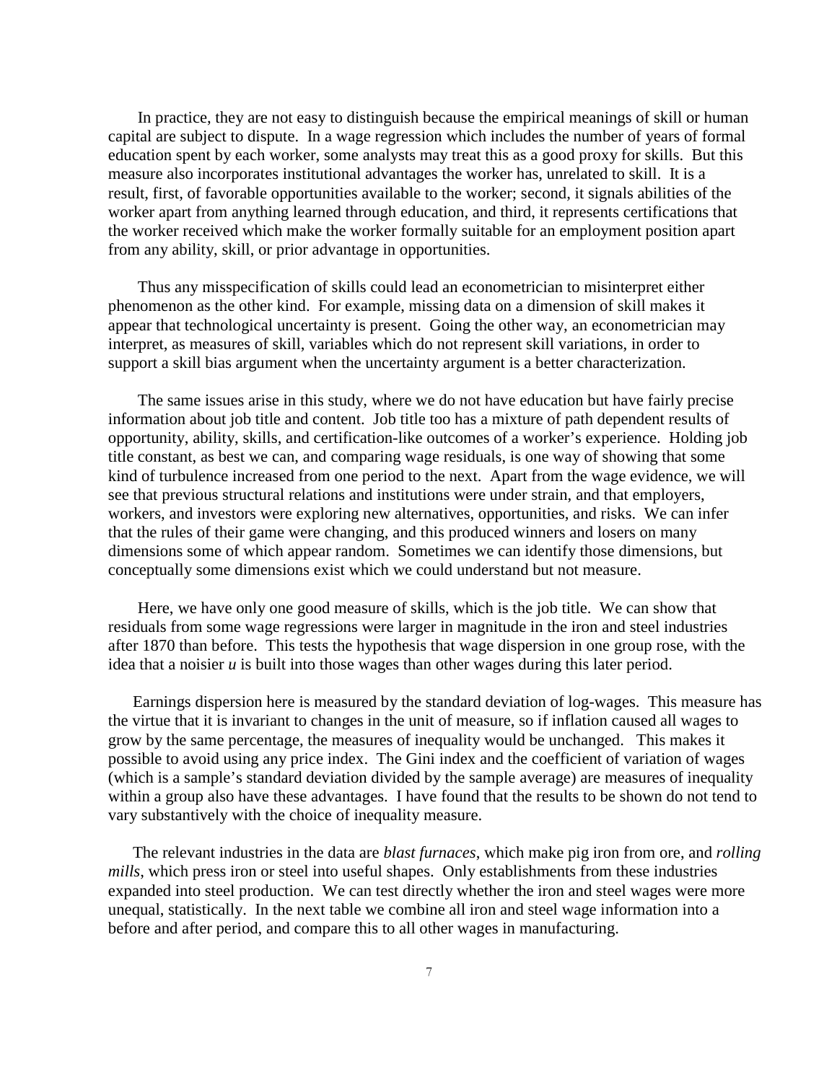In practice, they are not easy to distinguish because the empirical meanings of skill or human capital are subject to dispute. In a wage regression which includes the number of years of formal education spent by each worker, some analysts may treat this as a good proxy for skills. But this measure also incorporates institutional advantages the worker has, unrelated to skill. It is a result, first, of favorable opportunities available to the worker; second, it signals abilities of the worker apart from anything learned through education, and third, it represents certifications that the worker received which make the worker formally suitable for an employment position apart from any ability, skill, or prior advantage in opportunities.

Thus any misspecification of skills could lead an econometrician to misinterpret either phenomenon as the other kind. For example, missing data on a dimension of skill makes it appear that technological uncertainty is present. Going the other way, an econometrician may interpret, as measures of skill, variables which do not represent skill variations, in order to support a skill bias argument when the uncertainty argument is a better characterization.

The same issues arise in this study, where we do not have education but have fairly precise information about job title and content. Job title too has a mixture of path dependent results of opportunity, ability, skills, and certification-like outcomes of a worker's experience. Holding job title constant, as best we can, and comparing wage residuals, is one way of showing that some kind of turbulence increased from one period to the next. Apart from the wage evidence, we will see that previous structural relations and institutions were under strain, and that employers, workers, and investors were exploring new alternatives, opportunities, and risks. We can infer that the rules of their game were changing, and this produced winners and losers on many dimensions some of which appear random. Sometimes we can identify those dimensions, but conceptually some dimensions exist which we could understand but not measure.

Here, we have only one good measure of skills, which is the job title. We can show that residuals from some wage regressions were larger in magnitude in the iron and steel industries after 1870 than before. This tests the hypothesis that wage dispersion in one group rose, with the idea that a noisier *u* is built into those wages than other wages during this later period.

Earnings dispersion here is measured by the standard deviation of log-wages. This measure has the virtue that it is invariant to changes in the unit of measure, so if inflation caused all wages to grow by the same percentage, the measures of inequality would be unchanged. This makes it possible to avoid using any price index. The Gini index and the coefficient of variation of wages (which is a sample's standard deviation divided by the sample average) are measures of inequality within a group also have these advantages. I have found that the results to be shown do not tend to vary substantively with the choice of inequality measure.

The relevant industries in the data are *blast furnaces*, which make pig iron from ore, and *rolling mills*, which press iron or steel into useful shapes. Only establishments from these industries expanded into steel production. We can test directly whether the iron and steel wages were more unequal, statistically. In the next table we combine all iron and steel wage information into a before and after period, and compare this to all other wages in manufacturing.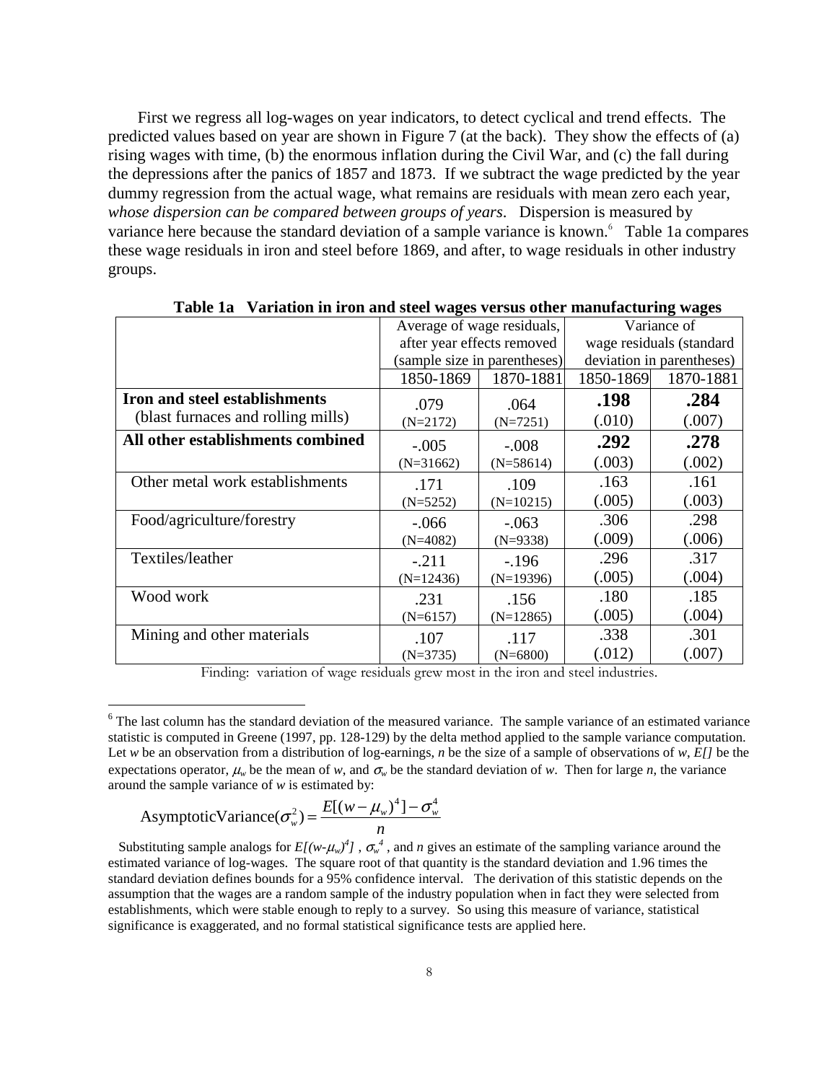First we regress all log-wages on year indicators, to detect cyclical and trend effects. The predicted values based on year are shown in Figure 7 (at the back). They show the effects of (a) rising wages with time, (b) the enormous inflation during the Civil War, and (c) the fall during the depressions after the panics of 1857 and 1873. If we subtract the wage predicted by the year dummy regression from the actual wage, what remains are residuals with mean zero each year, *whose dispersion can be compared between groups of years*. Dispersion is measured by variance here because the standard deviation of a sample variance is known.<sup>6</sup> Table 1a compares these wage residuals in iron and steel before 1869, and after, to wage residuals in other industry groups.

|                                    | Average of wage residuals, |                              |                          | Variance of               |
|------------------------------------|----------------------------|------------------------------|--------------------------|---------------------------|
|                                    |                            | after year effects removed   | wage residuals (standard |                           |
|                                    |                            | (sample size in parentheses) |                          | deviation in parentheses) |
|                                    | 1850-1869                  | 1870-1881                    | 1850-1869                | 1870-1881                 |
| Iron and steel establishments      | .079                       | .064                         | .198                     | .284                      |
| (blast furnaces and rolling mills) | $(N=2172)$                 | $(N=7251)$                   | (.010)                   | (.007)                    |
| All other establishments combined  | $-.005$                    | $-.008$                      | .292                     | .278                      |
|                                    | $(N=31662)$                | $(N=58614)$                  | (.003)                   | (.002)                    |
| Other metal work establishments    | .171                       | .109                         | .163                     | .161                      |
|                                    | $(N=5252)$                 | $(N=10215)$                  | (.005)                   | (.003)                    |
| Food/agriculture/forestry          | $-.066$                    | $-.063$                      | .306                     | .298                      |
|                                    | $(N=4082)$                 | $(N=9338)$                   | (.009)                   | (.006)                    |
| Textiles/leather                   | $-.211$                    | $-196$                       | .296                     | .317                      |
|                                    | $(N=12436)$                | $(N=19396)$                  | (.005)                   | (.004)                    |
| Wood work                          | .231                       | .156                         | .180                     | .185                      |
|                                    | $(N=6157)$                 | $(N=12865)$                  | (.005)                   | (.004)                    |
| Mining and other materials         | .107                       | .117                         | .338                     | .301                      |
|                                    | $(N=3735)$                 | $(N=6800)$                   | (.012)                   | (.007)                    |

**Table 1a Variation in iron and steel wages versus other manufacturing wages** 

Finding: variation of wage residuals grew most in the iron and steel industries.

Asymptotic  
Variance
$$
(\sigma_w^2)
$$
 =  $\frac{E[(w - \mu_w)^4] - \sigma_w^4}{n}$ 

<sup>&</sup>lt;sup>6</sup> The last column has the standard deviation of the measured variance. The sample variance of an estimated variance statistic is computed in Greene (1997, pp. 128-129) by the delta method applied to the sample variance computation. Let *w* be an observation from a distribution of log-earnings, *n* be the size of a sample of observations of *w*, *E[]* be the expectations operator,  $\mu_w$  be the mean of *w*, and  $\sigma_w$  be the standard deviation of *w*. Then for large *n*, the variance around the sample variance of *w* is estimated by:

Substituting sample analogs for  $E[(w-\mu_w)^4]$ ,  $\sigma_w^4$ , and *n* gives an estimate of the sampling variance around the estimated variance of log-wages. The square root of that quantity is the standard deviation and 1.96 times the standard deviation defines bounds for a 95% confidence interval. The derivation of this statistic depends on the assumption that the wages are a random sample of the industry population when in fact they were selected from establishments, which were stable enough to reply to a survey. So using this measure of variance, statistical significance is exaggerated, and no formal statistical significance tests are applied here.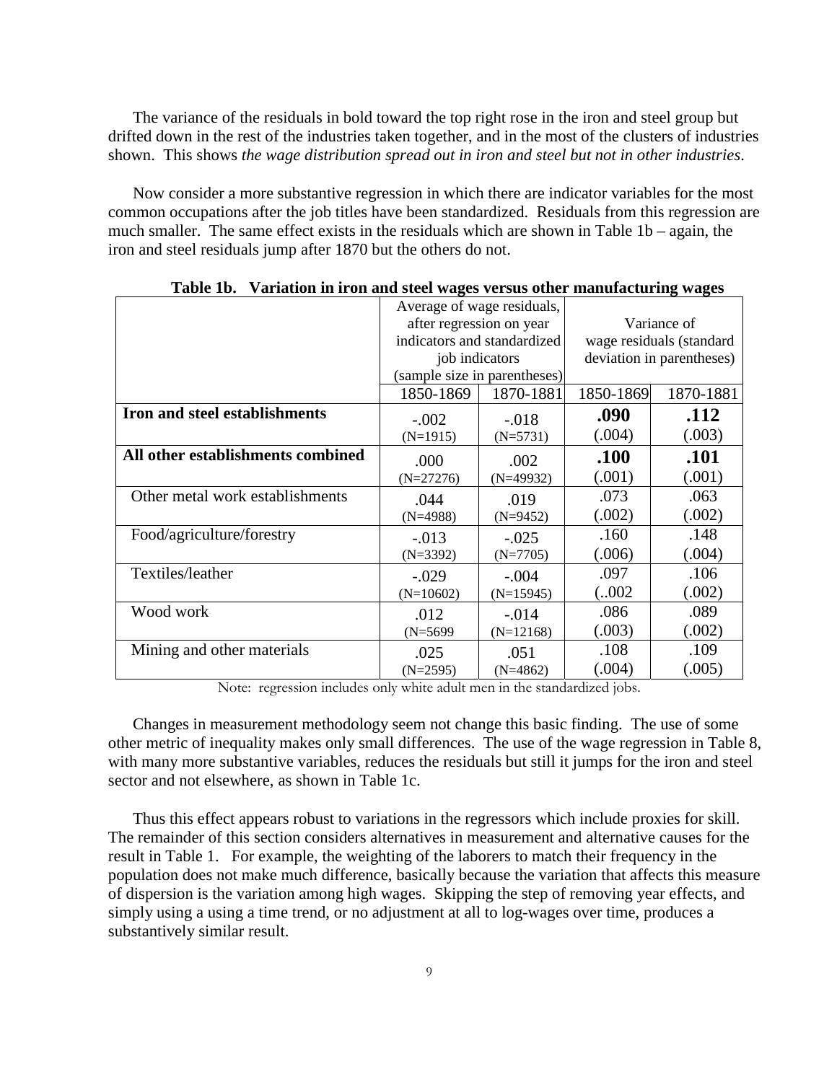The variance of the residuals in bold toward the top right rose in the iron and steel group but drifted down in the rest of the industries taken together, and in the most of the clusters of industries shown. This shows *the wage distribution spread out in iron and steel but not in other industries*.

Now consider a more substantive regression in which there are indicator variables for the most common occupations after the job titles have been standardized. Residuals from this regression are much smaller. The same effect exists in the residuals which are shown in Table 1b – again, the iron and steel residuals jump after 1870 but the others do not.

|                                   | Average of wage residuals, |                              |           |                           |
|-----------------------------------|----------------------------|------------------------------|-----------|---------------------------|
|                                   |                            | after regression on year     |           | Variance of               |
|                                   |                            | indicators and standardized  |           | wage residuals (standard  |
|                                   | job indicators             |                              |           | deviation in parentheses) |
|                                   |                            | (sample size in parentheses) |           |                           |
|                                   | 1850-1869                  | 1870-1881                    | 1850-1869 | 1870-1881                 |
| Iron and steel establishments     | $-.002$                    | $-.018$                      | .090      | .112                      |
|                                   | $(N=1915)$                 | $(N=5731)$                   | (.004)    | (.003)                    |
| All other establishments combined | .000                       | .002                         | .100      | .101                      |
|                                   | $(N=27276)$                | $(N=49932)$                  | (.001)    | (.001)                    |
| Other metal work establishments   | .044                       | .019                         | .073      | .063                      |
|                                   | $(N=4988)$                 | $(N=9452)$                   | (.002)    | (.002)                    |
| Food/agriculture/forestry         | $-.013$                    | $-.025$                      | .160      | .148                      |
|                                   | $(N=3392)$                 | $(N=7705)$                   | (.006)    | (.004)                    |
| Textiles/leather                  | $-.029$                    | $-.004$                      | .097      | .106                      |
|                                   | $(N=10602)$                | $(N=15945)$                  | (.002)    | (.002)                    |
| Wood work                         | .012                       | $-.014$                      | .086      | .089                      |
|                                   | $(N=5699)$                 | $(N=12168)$                  | (.003)    | (.002)                    |
| Mining and other materials        | .025                       | .051                         | .108      | .109                      |
|                                   | $(N=2595)$                 | $(N=4862)$                   | (.004)    | (.005)                    |

| Table 1b. Variation in iron and steel wages versus other manufacturing wages |  |
|------------------------------------------------------------------------------|--|
|                                                                              |  |

Note: regression includes only white adult men in the standardized jobs.

Changes in measurement methodology seem not change this basic finding. The use of some other metric of inequality makes only small differences. The use of the wage regression in Table 8, with many more substantive variables, reduces the residuals but still it jumps for the iron and steel sector and not elsewhere, as shown in Table 1c.

Thus this effect appears robust to variations in the regressors which include proxies for skill. The remainder of this section considers alternatives in measurement and alternative causes for the result in Table 1. For example, the weighting of the laborers to match their frequency in the population does not make much difference, basically because the variation that affects this measure of dispersion is the variation among high wages. Skipping the step of removing year effects, and simply using a using a time trend, or no adjustment at all to log-wages over time, produces a substantively similar result.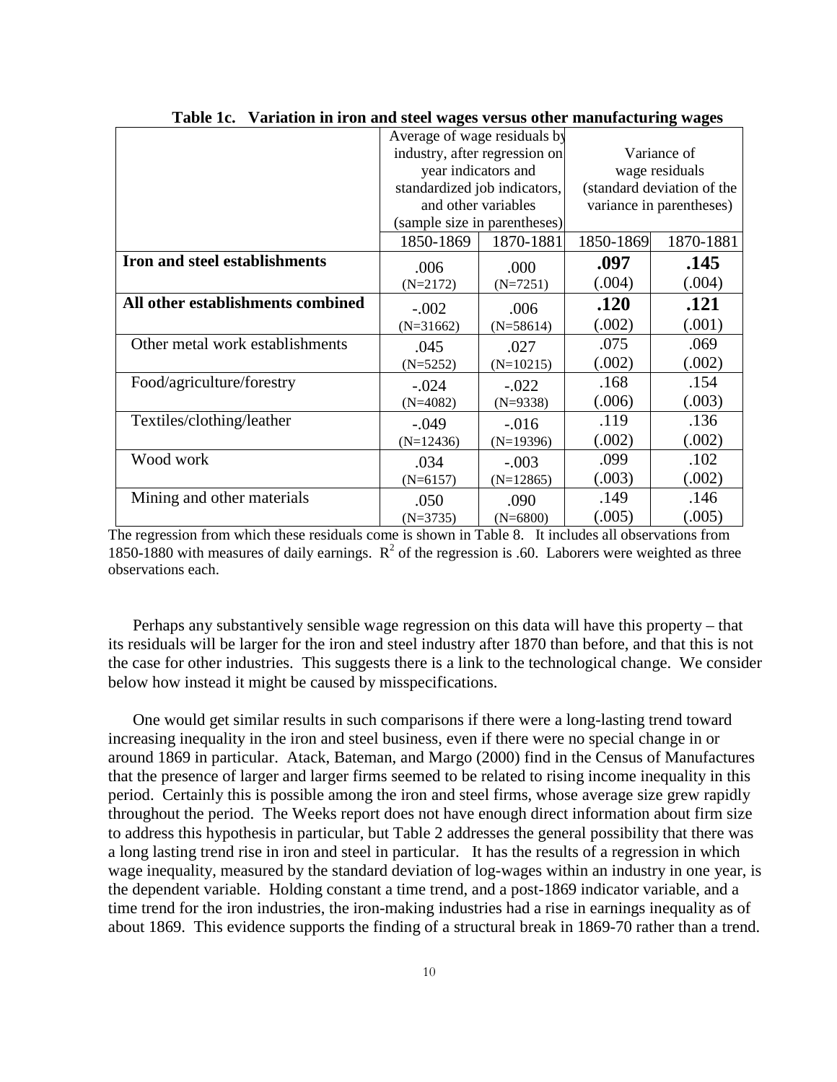|                                   | Average of wage residuals by  |                              |           |                            |  |
|-----------------------------------|-------------------------------|------------------------------|-----------|----------------------------|--|
|                                   | industry, after regression on |                              |           | Variance of                |  |
|                                   |                               | year indicators and          |           | wage residuals             |  |
|                                   |                               | standardized job indicators, |           | (standard deviation of the |  |
|                                   |                               | and other variables          |           | variance in parentheses)   |  |
|                                   |                               | (sample size in parentheses) |           |                            |  |
|                                   | 1850-1869                     | 1870-1881                    | 1850-1869 | 1870-1881                  |  |
| Iron and steel establishments     | .006                          | .000                         | .097      | .145                       |  |
|                                   | $(N=2172)$                    | $(N=7251)$                   | (.004)    | (.004)                     |  |
| All other establishments combined | $-.002$                       | .006                         | .120      | .121                       |  |
|                                   | $(N=31662)$                   | $(N=58614)$                  | (.002)    | (.001)                     |  |
| Other metal work establishments   | .045                          | .027                         | .075      | .069                       |  |
|                                   | $(N=5252)$                    | $(N=10215)$                  | (.002)    | (.002)                     |  |
| Food/agriculture/forestry         | $-.024$                       | $-.022$                      | .168      | .154                       |  |
|                                   | $(N=4082)$                    | $(N=9338)$                   | (.006)    | (.003)                     |  |
| Textiles/clothing/leather         | $-.049$                       | $-.016$                      | .119      | .136                       |  |
|                                   | $(N=12436)$                   | $(N=19396)$                  | (.002)    | (.002)                     |  |
| Wood work                         | .034                          | $-.003$                      | .099      | .102                       |  |
|                                   | $(N=6157)$                    | $(N=12865)$                  | (.003)    | (.002)                     |  |
| Mining and other materials        | .050                          | .090                         | .149      | .146                       |  |
|                                   | $(N=3735)$                    | $(N=6800)$                   | (.005)    | (.005)                     |  |

|  |  | Table 1c. Variation in iron and steel wages versus other manufacturing wages |
|--|--|------------------------------------------------------------------------------|

The regression from which these residuals come is shown in Table 8. It includes all observations from 1850-1880 with measures of daily earnings.  $R^2$  of the regression is .60. Laborers were weighted as three observations each.

Perhaps any substantively sensible wage regression on this data will have this property – that its residuals will be larger for the iron and steel industry after 1870 than before, and that this is not the case for other industries. This suggests there is a link to the technological change. We consider below how instead it might be caused by misspecifications.

One would get similar results in such comparisons if there were a long-lasting trend toward increasing inequality in the iron and steel business, even if there were no special change in or around 1869 in particular. Atack, Bateman, and Margo (2000) find in the Census of Manufactures that the presence of larger and larger firms seemed to be related to rising income inequality in this period. Certainly this is possible among the iron and steel firms, whose average size grew rapidly throughout the period. The Weeks report does not have enough direct information about firm size to address this hypothesis in particular, but Table 2 addresses the general possibility that there was a long lasting trend rise in iron and steel in particular. It has the results of a regression in which wage inequality, measured by the standard deviation of log-wages within an industry in one year, is the dependent variable. Holding constant a time trend, and a post-1869 indicator variable, and a time trend for the iron industries, the iron-making industries had a rise in earnings inequality as of about 1869. This evidence supports the finding of a structural break in 1869-70 rather than a trend.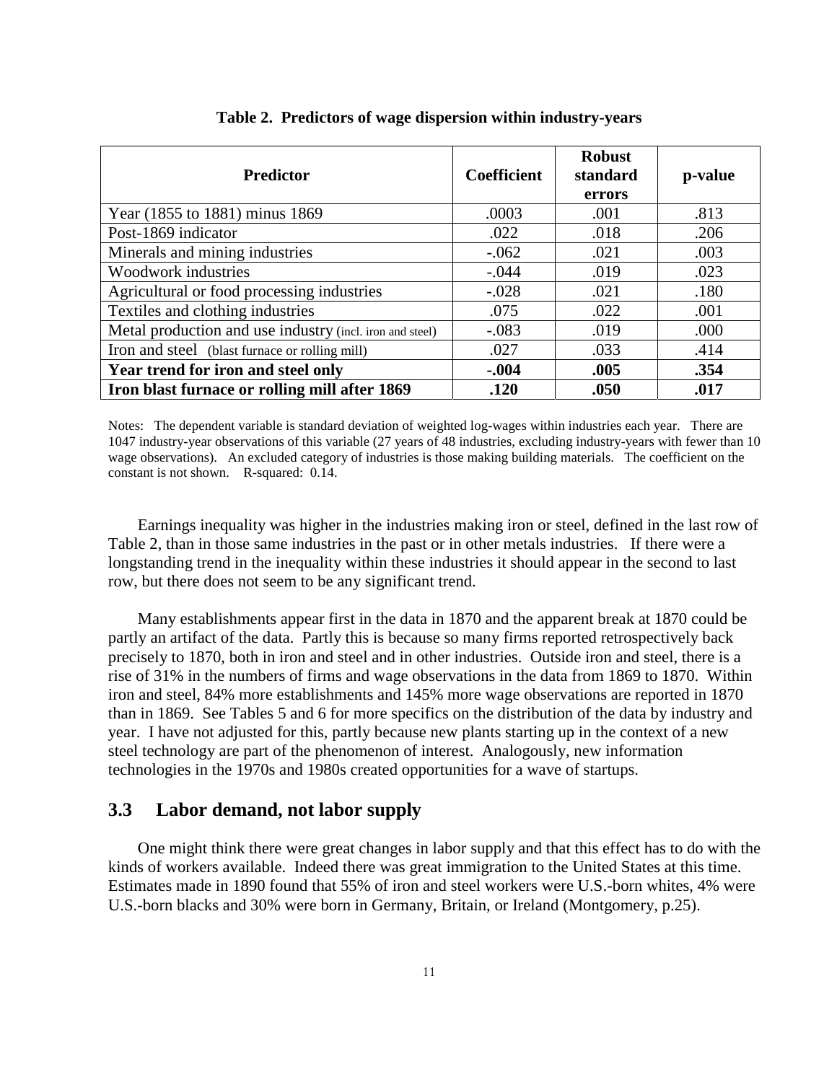| <b>Predictor</b>                                         | <b>Coefficient</b> | <b>Robust</b><br>standard<br>errors | p-value |
|----------------------------------------------------------|--------------------|-------------------------------------|---------|
| Year (1855 to 1881) minus 1869                           | .0003              | .001                                | .813    |
| Post-1869 indicator                                      | .022               | .018                                | .206    |
| Minerals and mining industries                           | $-.062$            | .021                                | .003    |
| Woodwork industries                                      | $-.044$            | .019                                | .023    |
| Agricultural or food processing industries               | $-.028$            | .021                                | .180    |
| Textiles and clothing industries                         | .075               | .022                                | .001    |
| Metal production and use industry (incl. iron and steel) | $-.083$            | .019                                | .000    |
| Iron and steel (blast furnace or rolling mill)           | .027               | .033                                | .414    |
| Year trend for iron and steel only                       | $-.004$            | .005                                | .354    |
| Iron blast furnace or rolling mill after 1869            | .120               | .050                                | .017    |

#### **Table 2. Predictors of wage dispersion within industry-years**

Notes: The dependent variable is standard deviation of weighted log-wages within industries each year. There are 1047 industry-year observations of this variable (27 years of 48 industries, excluding industry-years with fewer than 10 wage observations). An excluded category of industries is those making building materials. The coefficient on the constant is not shown. R-squared: 0.14.

Earnings inequality was higher in the industries making iron or steel, defined in the last row of Table 2, than in those same industries in the past or in other metals industries. If there were a longstanding trend in the inequality within these industries it should appear in the second to last row, but there does not seem to be any significant trend.

Many establishments appear first in the data in 1870 and the apparent break at 1870 could be partly an artifact of the data. Partly this is because so many firms reported retrospectively back precisely to 1870, both in iron and steel and in other industries. Outside iron and steel, there is a rise of 31% in the numbers of firms and wage observations in the data from 1869 to 1870. Within iron and steel, 84% more establishments and 145% more wage observations are reported in 1870 than in 1869. See Tables 5 and 6 for more specifics on the distribution of the data by industry and year. I have not adjusted for this, partly because new plants starting up in the context of a new steel technology are part of the phenomenon of interest. Analogously, new information technologies in the 1970s and 1980s created opportunities for a wave of startups.

#### **3.3 Labor demand, not labor supply**

One might think there were great changes in labor supply and that this effect has to do with the kinds of workers available. Indeed there was great immigration to the United States at this time. Estimates made in 1890 found that 55% of iron and steel workers were U.S.-born whites, 4% were U.S.-born blacks and 30% were born in Germany, Britain, or Ireland (Montgomery, p.25).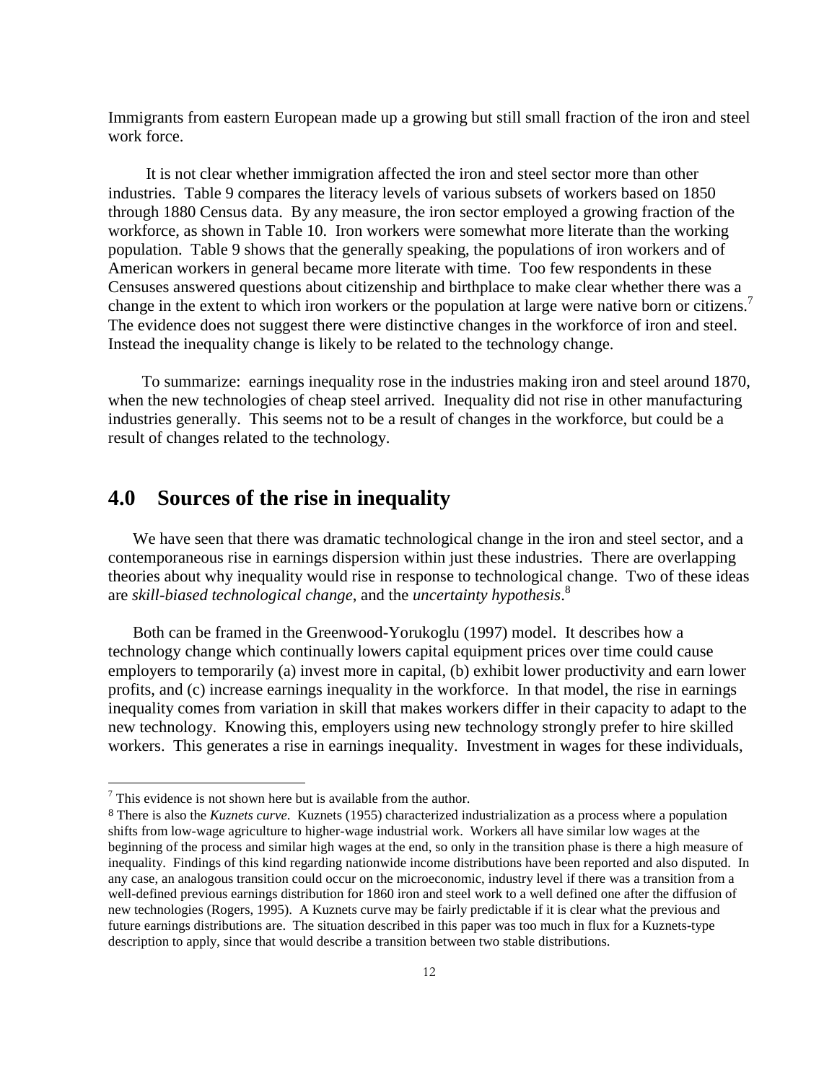Immigrants from eastern European made up a growing but still small fraction of the iron and steel work force.

 It is not clear whether immigration affected the iron and steel sector more than other industries. Table 9 compares the literacy levels of various subsets of workers based on 1850 through 1880 Census data. By any measure, the iron sector employed a growing fraction of the workforce, as shown in Table 10. Iron workers were somewhat more literate than the working population. Table 9 shows that the generally speaking, the populations of iron workers and of American workers in general became more literate with time. Too few respondents in these Censuses answered questions about citizenship and birthplace to make clear whether there was a change in the extent to which iron workers or the population at large were native born or citizens.<sup>7</sup> The evidence does not suggest there were distinctive changes in the workforce of iron and steel. Instead the inequality change is likely to be related to the technology change.

 To summarize: earnings inequality rose in the industries making iron and steel around 1870, when the new technologies of cheap steel arrived. Inequality did not rise in other manufacturing industries generally. This seems not to be a result of changes in the workforce, but could be a result of changes related to the technology.

### **4.0 Sources of the rise in inequality**

We have seen that there was dramatic technological change in the iron and steel sector, and a contemporaneous rise in earnings dispersion within just these industries. There are overlapping theories about why inequality would rise in response to technological change. Two of these ideas are *skill-biased technological change*, and the *uncertainty hypothesis*. 8

Both can be framed in the Greenwood-Yorukoglu (1997) model. It describes how a technology change which continually lowers capital equipment prices over time could cause employers to temporarily (a) invest more in capital, (b) exhibit lower productivity and earn lower profits, and (c) increase earnings inequality in the workforce. In that model, the rise in earnings inequality comes from variation in skill that makes workers differ in their capacity to adapt to the new technology. Knowing this, employers using new technology strongly prefer to hire skilled workers. This generates a rise in earnings inequality. Investment in wages for these individuals,

 $7$  This evidence is not shown here but is available from the author.

<sup>8</sup> There is also the *Kuznets curve*. Kuznets (1955) characterized industrialization as a process where a population shifts from low-wage agriculture to higher-wage industrial work. Workers all have similar low wages at the beginning of the process and similar high wages at the end, so only in the transition phase is there a high measure of inequality. Findings of this kind regarding nationwide income distributions have been reported and also disputed. In any case, an analogous transition could occur on the microeconomic, industry level if there was a transition from a well-defined previous earnings distribution for 1860 iron and steel work to a well defined one after the diffusion of new technologies (Rogers, 1995). A Kuznets curve may be fairly predictable if it is clear what the previous and future earnings distributions are. The situation described in this paper was too much in flux for a Kuznets-type description to apply, since that would describe a transition between two stable distributions.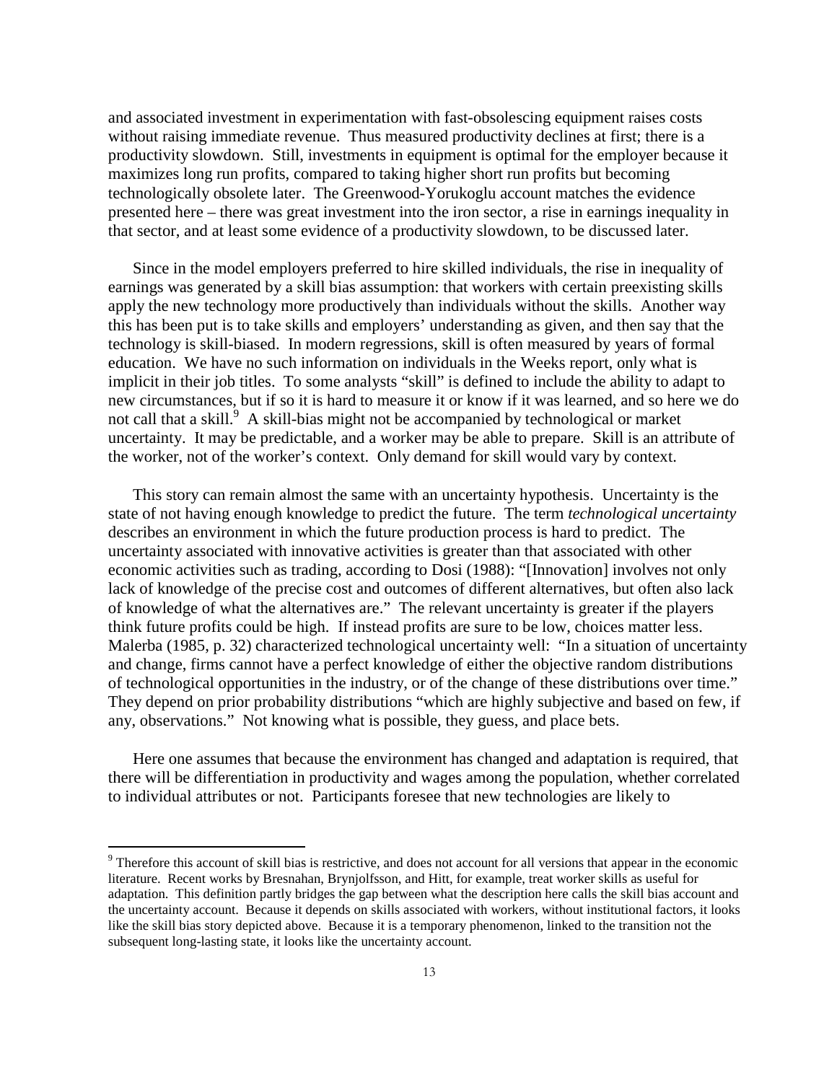and associated investment in experimentation with fast-obsolescing equipment raises costs without raising immediate revenue. Thus measured productivity declines at first; there is a productivity slowdown. Still, investments in equipment is optimal for the employer because it maximizes long run profits, compared to taking higher short run profits but becoming technologically obsolete later. The Greenwood-Yorukoglu account matches the evidence presented here – there was great investment into the iron sector, a rise in earnings inequality in that sector, and at least some evidence of a productivity slowdown, to be discussed later.

Since in the model employers preferred to hire skilled individuals, the rise in inequality of earnings was generated by a skill bias assumption: that workers with certain preexisting skills apply the new technology more productively than individuals without the skills. Another way this has been put is to take skills and employers' understanding as given, and then say that the technology is skill-biased. In modern regressions, skill is often measured by years of formal education. We have no such information on individuals in the Weeks report, only what is implicit in their job titles. To some analysts "skill" is defined to include the ability to adapt to new circumstances, but if so it is hard to measure it or know if it was learned, and so here we do not call that a skill.<sup>9</sup> A skill-bias might not be accompanied by technological or market uncertainty. It may be predictable, and a worker may be able to prepare. Skill is an attribute of the worker, not of the worker's context. Only demand for skill would vary by context.

This story can remain almost the same with an uncertainty hypothesis. Uncertainty is the state of not having enough knowledge to predict the future. The term *technological uncertainty* describes an environment in which the future production process is hard to predict. The uncertainty associated with innovative activities is greater than that associated with other economic activities such as trading, according to Dosi (1988): "[Innovation] involves not only lack of knowledge of the precise cost and outcomes of different alternatives, but often also lack of knowledge of what the alternatives are." The relevant uncertainty is greater if the players think future profits could be high. If instead profits are sure to be low, choices matter less. Malerba (1985, p. 32) characterized technological uncertainty well: "In a situation of uncertainty and change, firms cannot have a perfect knowledge of either the objective random distributions of technological opportunities in the industry, or of the change of these distributions over time." They depend on prior probability distributions "which are highly subjective and based on few, if any, observations." Not knowing what is possible, they guess, and place bets.

Here one assumes that because the environment has changed and adaptation is required, that there will be differentiation in productivity and wages among the population, whether correlated to individual attributes or not. Participants foresee that new technologies are likely to

<sup>&</sup>lt;sup>9</sup> Therefore this account of skill bias is restrictive, and does not account for all versions that appear in the economic literature. Recent works by Bresnahan, Brynjolfsson, and Hitt, for example, treat worker skills as useful for adaptation. This definition partly bridges the gap between what the description here calls the skill bias account and the uncertainty account. Because it depends on skills associated with workers, without institutional factors, it looks like the skill bias story depicted above. Because it is a temporary phenomenon, linked to the transition not the subsequent long-lasting state, it looks like the uncertainty account.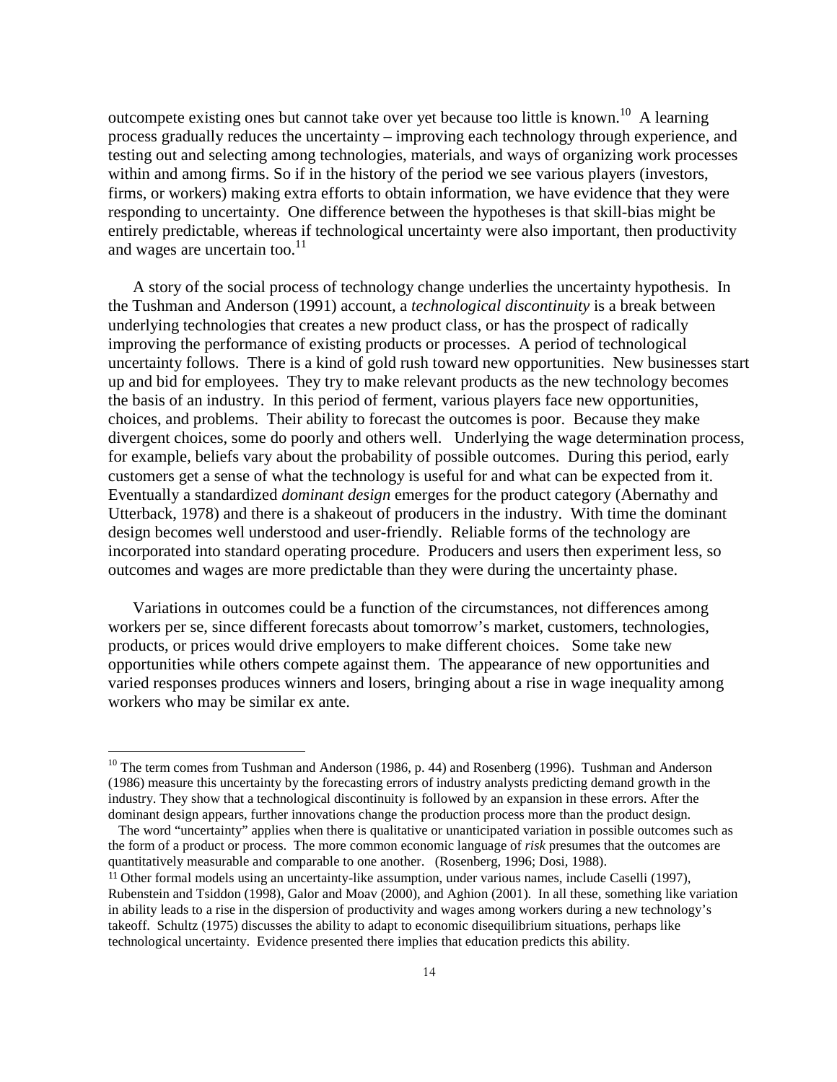outcompete existing ones but cannot take over yet because too little is known.<sup>10</sup> A learning process gradually reduces the uncertainty – improving each technology through experience, and testing out and selecting among technologies, materials, and ways of organizing work processes within and among firms. So if in the history of the period we see various players (investors, firms, or workers) making extra efforts to obtain information, we have evidence that they were responding to uncertainty. One difference between the hypotheses is that skill-bias might be entirely predictable, whereas if technological uncertainty were also important, then productivity and wages are uncertain too. $^{11}$ 

A story of the social process of technology change underlies the uncertainty hypothesis. In the Tushman and Anderson (1991) account, a *technological discontinuity* is a break between underlying technologies that creates a new product class, or has the prospect of radically improving the performance of existing products or processes. A period of technological uncertainty follows. There is a kind of gold rush toward new opportunities. New businesses start up and bid for employees. They try to make relevant products as the new technology becomes the basis of an industry. In this period of ferment, various players face new opportunities, choices, and problems. Their ability to forecast the outcomes is poor. Because they make divergent choices, some do poorly and others well. Underlying the wage determination process, for example, beliefs vary about the probability of possible outcomes. During this period, early customers get a sense of what the technology is useful for and what can be expected from it. Eventually a standardized *dominant design* emerges for the product category (Abernathy and Utterback, 1978) and there is a shakeout of producers in the industry. With time the dominant design becomes well understood and user-friendly. Reliable forms of the technology are incorporated into standard operating procedure. Producers and users then experiment less, so outcomes and wages are more predictable than they were during the uncertainty phase.

Variations in outcomes could be a function of the circumstances, not differences among workers per se, since different forecasts about tomorrow's market, customers, technologies, products, or prices would drive employers to make different choices. Some take new opportunities while others compete against them. The appearance of new opportunities and varied responses produces winners and losers, bringing about a rise in wage inequality among workers who may be similar ex ante.

<sup>&</sup>lt;sup>10</sup> The term comes from Tushman and Anderson (1986, p. 44) and Rosenberg (1996). Tushman and Anderson (1986) measure this uncertainty by the forecasting errors of industry analysts predicting demand growth in the industry. They show that a technological discontinuity is followed by an expansion in these errors. After the dominant design appears, further innovations change the production process more than the product design.

The word "uncertainty" applies when there is qualitative or unanticipated variation in possible outcomes such as the form of a product or process. The more common economic language of *risk* presumes that the outcomes are quantitatively measurable and comparable to one another. (Rosenberg, 1996; Dosi, 1988).

<sup>11</sup> Other formal models using an uncertainty-like assumption, under various names, include Caselli (1997), Rubenstein and Tsiddon (1998), Galor and Moav (2000), and Aghion (2001). In all these, something like variation in ability leads to a rise in the dispersion of productivity and wages among workers during a new technology's takeoff. Schultz (1975) discusses the ability to adapt to economic disequilibrium situations, perhaps like technological uncertainty. Evidence presented there implies that education predicts this ability.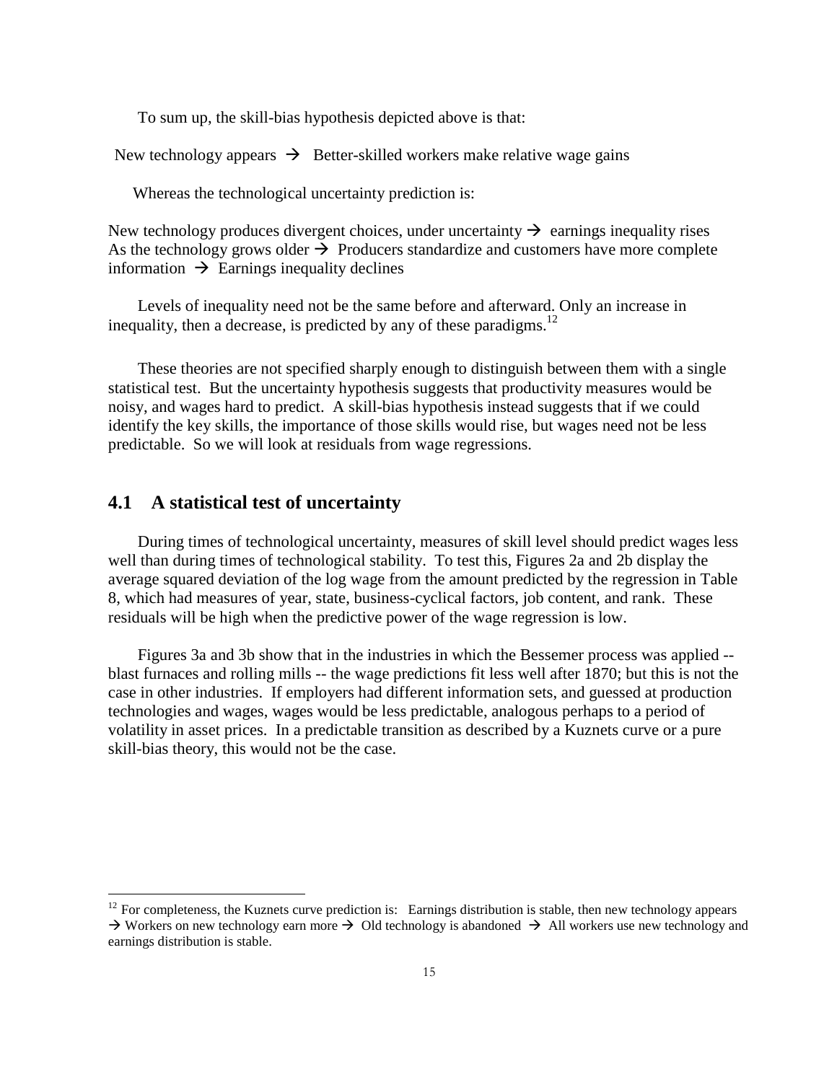To sum up, the skill-bias hypothesis depicted above is that:

New technology appears  $\rightarrow$  Better-skilled workers make relative wage gains

Whereas the technological uncertainty prediction is:

New technology produces divergent choices, under uncertainty  $\rightarrow$  earnings inequality rises As the technology grows older  $\rightarrow$  Producers standardize and customers have more complete information  $\rightarrow$  Earnings inequality declines

Levels of inequality need not be the same before and afterward. Only an increase in inequality, then a decrease, is predicted by any of these paradigms.<sup>12</sup>

These theories are not specified sharply enough to distinguish between them with a single statistical test. But the uncertainty hypothesis suggests that productivity measures would be noisy, and wages hard to predict. A skill-bias hypothesis instead suggests that if we could identify the key skills, the importance of those skills would rise, but wages need not be less predictable. So we will look at residuals from wage regressions.

#### **4.1 A statistical test of uncertainty**

 $\overline{a}$ 

During times of technological uncertainty, measures of skill level should predict wages less well than during times of technological stability. To test this, Figures 2a and 2b display the average squared deviation of the log wage from the amount predicted by the regression in Table 8, which had measures of year, state, business-cyclical factors, job content, and rank. These residuals will be high when the predictive power of the wage regression is low.

Figures 3a and 3b show that in the industries in which the Bessemer process was applied - blast furnaces and rolling mills -- the wage predictions fit less well after 1870; but this is not the case in other industries. If employers had different information sets, and guessed at production technologies and wages, wages would be less predictable, analogous perhaps to a period of volatility in asset prices. In a predictable transition as described by a Kuznets curve or a pure skill-bias theory, this would not be the case.

 $12$  For completeness, the Kuznets curve prediction is: Earnings distribution is stable, then new technology appears  $\rightarrow$  Workers on new technology earn more  $\rightarrow$  Old technology is abandoned  $\rightarrow$  All workers use new technology and earnings distribution is stable.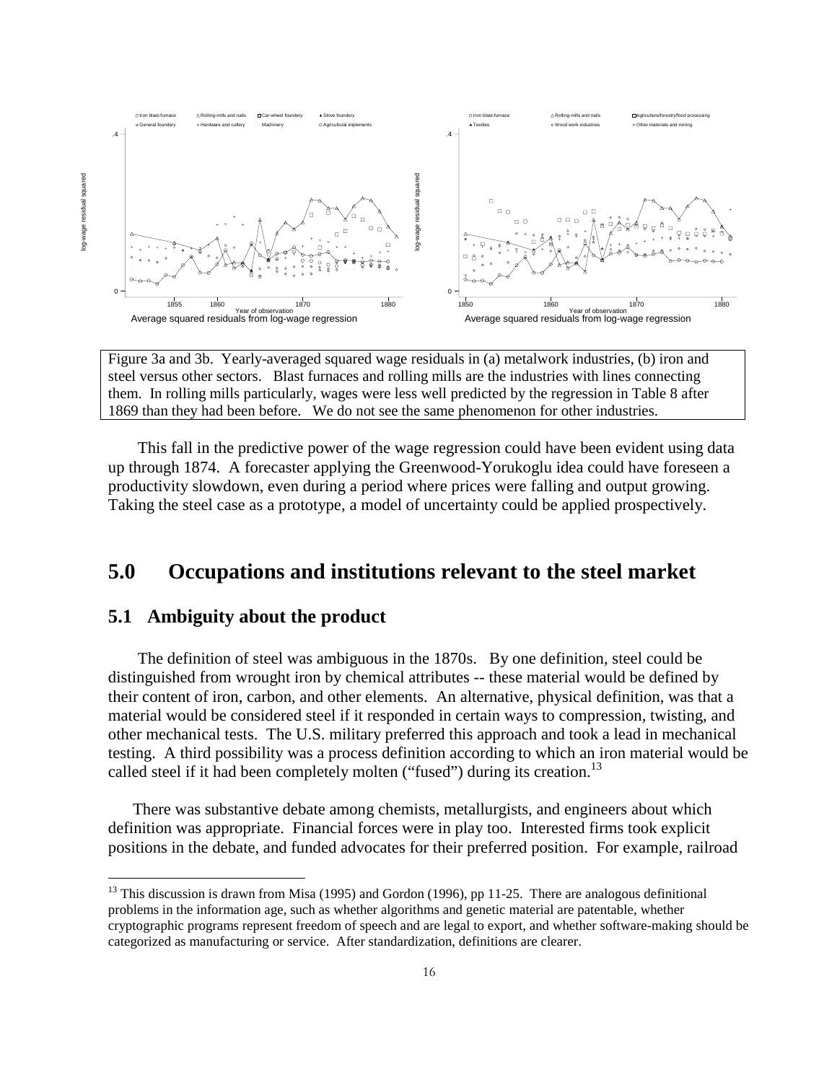

Figure 3a and 3b. Yearly-averaged squared wage residuals in (a) metalwork industries, (b) iron and steel versus other sectors. Blast furnaces and rolling mills are the industries with lines connecting them. In rolling mills particularly, wages were less well predicted by the regression in Table 8 after 1869 than they had been before. We do not see the same phenomenon for other industries.

This fall in the predictive power of the wage regression could have been evident using data up through 1874. A forecaster applying the Greenwood-Yorukoglu idea could have foreseen a productivity slowdown, even during a period where prices were falling and output growing. Taking the steel case as a prototype, a model of uncertainty could be applied prospectively.

# **5.0 Occupations and institutions relevant to the steel market**

#### **5.1 Ambiguity about the product**

 $\overline{a}$ 

The definition of steel was ambiguous in the 1870s. By one definition, steel could be distinguished from wrought iron by chemical attributes -- these material would be defined by their content of iron, carbon, and other elements. An alternative, physical definition, was that a material would be considered steel if it responded in certain ways to compression, twisting, and other mechanical tests. The U.S. military preferred this approach and took a lead in mechanical testing. A third possibility was a process definition according to which an iron material would be called steel if it had been completely molten ("fused") during its creation.<sup>13</sup>

There was substantive debate among chemists, metallurgists, and engineers about which definition was appropriate. Financial forces were in play too. Interested firms took explicit positions in the debate, and funded advocates for their preferred position. For example, railroad

16

 $13$  This discussion is drawn from Misa (1995) and Gordon (1996), pp 11-25. There are analogous definitional problems in the information age, such as whether algorithms and genetic material are patentable, whether cryptographic programs represent freedom of speech and are legal to export, and whether software-making should be categorized as manufacturing or service. After standardization, definitions are clearer.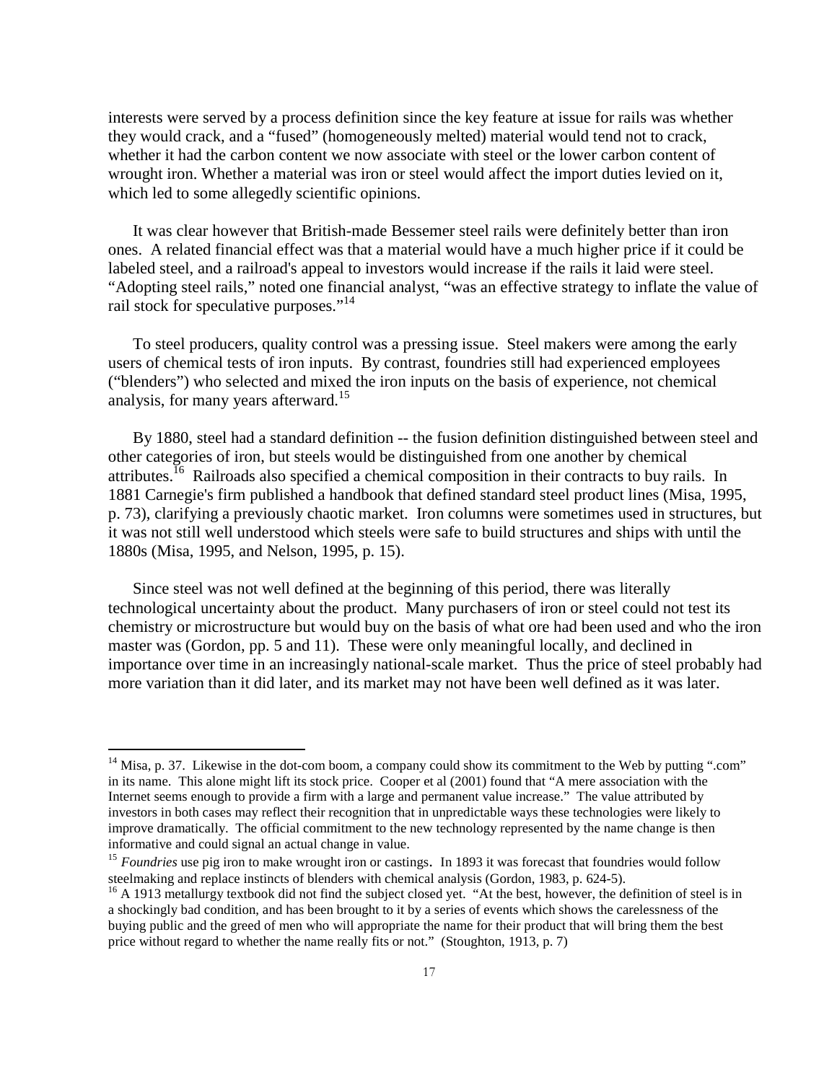interests were served by a process definition since the key feature at issue for rails was whether they would crack, and a "fused" (homogeneously melted) material would tend not to crack, whether it had the carbon content we now associate with steel or the lower carbon content of wrought iron. Whether a material was iron or steel would affect the import duties levied on it, which led to some allegedly scientific opinions.

It was clear however that British-made Bessemer steel rails were definitely better than iron ones. A related financial effect was that a material would have a much higher price if it could be labeled steel, and a railroad's appeal to investors would increase if the rails it laid were steel. "Adopting steel rails," noted one financial analyst, "was an effective strategy to inflate the value of rail stock for speculative purposes."<sup>14</sup>

To steel producers, quality control was a pressing issue. Steel makers were among the early users of chemical tests of iron inputs. By contrast, foundries still had experienced employees ("blenders") who selected and mixed the iron inputs on the basis of experience, not chemical analysis, for many years afterward.<sup>15</sup>

By 1880, steel had a standard definition -- the fusion definition distinguished between steel and other categories of iron, but steels would be distinguished from one another by chemical attributes.<sup>16</sup> Railroads also specified a chemical composition in their contracts to buy rails. In 1881 Carnegie's firm published a handbook that defined standard steel product lines (Misa, 1995, p. 73), clarifying a previously chaotic market. Iron columns were sometimes used in structures, but it was not still well understood which steels were safe to build structures and ships with until the 1880s (Misa, 1995, and Nelson, 1995, p. 15).

Since steel was not well defined at the beginning of this period, there was literally technological uncertainty about the product. Many purchasers of iron or steel could not test its chemistry or microstructure but would buy on the basis of what ore had been used and who the iron master was (Gordon, pp. 5 and 11). These were only meaningful locally, and declined in importance over time in an increasingly national-scale market. Thus the price of steel probably had more variation than it did later, and its market may not have been well defined as it was later.

 $14$  Misa, p. 37. Likewise in the dot-com boom, a company could show its commitment to the Web by putting ".com" in its name. This alone might lift its stock price. Cooper et al (2001) found that "A mere association with the Internet seems enough to provide a firm with a large and permanent value increase." The value attributed by investors in both cases may reflect their recognition that in unpredictable ways these technologies were likely to improve dramatically. The official commitment to the new technology represented by the name change is then informative and could signal an actual change in value.

<sup>&</sup>lt;sup>15</sup> *Foundries* use pig iron to make wrought iron or castings. In 1893 it was forecast that foundries would follow steelmaking and replace instincts of blenders with chemical analysis (Gordon, 1983, p. 624-5).

 $16$  A 1913 metallurgy textbook did not find the subject closed yet. "At the best, however, the definition of steel is in a shockingly bad condition, and has been brought to it by a series of events which shows the carelessness of the buying public and the greed of men who will appropriate the name for their product that will bring them the best price without regard to whether the name really fits or not." (Stoughton, 1913, p. 7)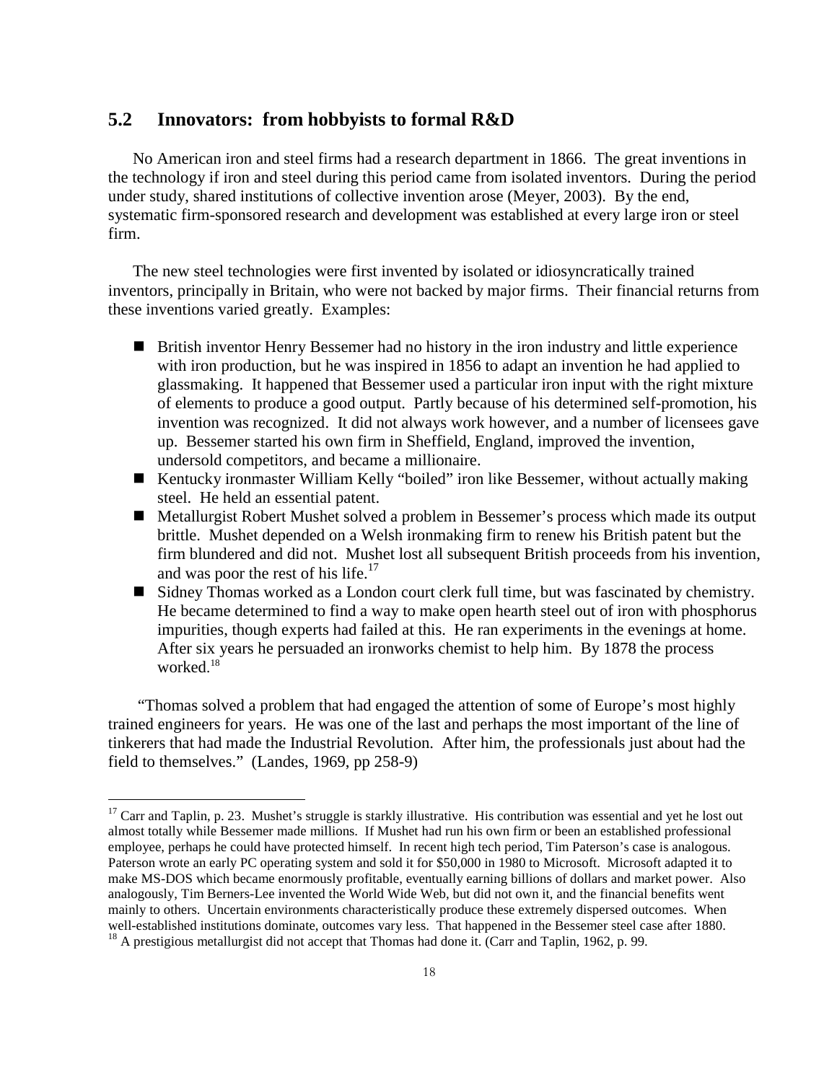#### **5.2 Innovators: from hobbyists to formal R&D**

No American iron and steel firms had a research department in 1866. The great inventions in the technology if iron and steel during this period came from isolated inventors. During the period under study, shared institutions of collective invention arose (Meyer, 2003). By the end, systematic firm-sponsored research and development was established at every large iron or steel firm.

The new steel technologies were first invented by isolated or idiosyncratically trained inventors, principally in Britain, who were not backed by major firms. Their financial returns from these inventions varied greatly. Examples:

- British inventor Henry Bessemer had no history in the iron industry and little experience with iron production, but he was inspired in 1856 to adapt an invention he had applied to glassmaking. It happened that Bessemer used a particular iron input with the right mixture of elements to produce a good output. Partly because of his determined self-promotion, his invention was recognized. It did not always work however, and a number of licensees gave up. Bessemer started his own firm in Sheffield, England, improved the invention, undersold competitors, and became a millionaire.
- Kentucky ironmaster William Kelly "boiled" iron like Bessemer, without actually making steel. He held an essential patent.
- Metallurgist Robert Mushet solved a problem in Bessemer's process which made its output brittle. Mushet depended on a Welsh ironmaking firm to renew his British patent but the firm blundered and did not. Mushet lost all subsequent British proceeds from his invention, and was poor the rest of his life.<sup>17</sup>
- Sidney Thomas worked as a London court clerk full time, but was fascinated by chemistry. He became determined to find a way to make open hearth steel out of iron with phosphorus impurities, though experts had failed at this. He ran experiments in the evenings at home. After six years he persuaded an ironworks chemist to help him. By 1878 the process worked. 18

"Thomas solved a problem that had engaged the attention of some of Europe's most highly trained engineers for years. He was one of the last and perhaps the most important of the line of tinkerers that had made the Industrial Revolution. After him, the professionals just about had the field to themselves." (Landes, 1969, pp 258-9)

 $17$  Carr and Taplin, p. 23. Mushet's struggle is starkly illustrative. His contribution was essential and yet he lost out almost totally while Bessemer made millions. If Mushet had run his own firm or been an established professional employee, perhaps he could have protected himself. In recent high tech period, Tim Paterson's case is analogous. Paterson wrote an early PC operating system and sold it for \$50,000 in 1980 to Microsoft. Microsoft adapted it to make MS-DOS which became enormously profitable, eventually earning billions of dollars and market power. Also analogously, Tim Berners-Lee invented the World Wide Web, but did not own it, and the financial benefits went mainly to others. Uncertain environments characteristically produce these extremely dispersed outcomes. When well-established institutions dominate, outcomes vary less. That happened in the Bessemer steel case after 1880. <sup>18</sup> A prestigious metallurgist did not accept that Thomas had done it. (Carr and Taplin, 1962, p. 99.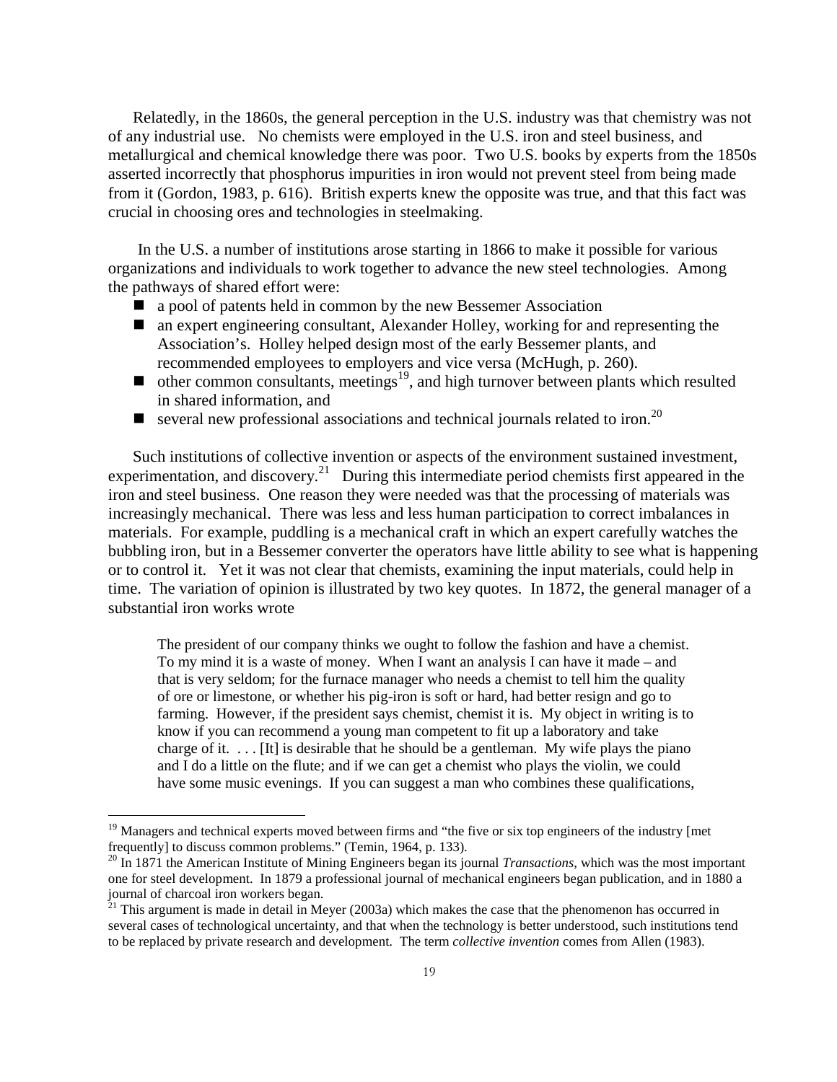Relatedly, in the 1860s, the general perception in the U.S. industry was that chemistry was not of any industrial use. No chemists were employed in the U.S. iron and steel business, and metallurgical and chemical knowledge there was poor. Two U.S. books by experts from the 1850s asserted incorrectly that phosphorus impurities in iron would not prevent steel from being made from it (Gordon, 1983, p. 616). British experts knew the opposite was true, and that this fact was crucial in choosing ores and technologies in steelmaking.

In the U.S. a number of institutions arose starting in 1866 to make it possible for various organizations and individuals to work together to advance the new steel technologies. Among the pathways of shared effort were:

- **a** a pool of patents held in common by the new Bessemer Association
- an expert engineering consultant, Alexander Holley, working for and representing the Association's. Holley helped design most of the early Bessemer plants, and recommended employees to employers and vice versa (McHugh, p. 260).
- $\blacksquare$  other common consultants, meetings<sup>19</sup>, and high turnover between plants which resulted in shared information, and
- several new professional associations and technical journals related to iron.<sup>20</sup>

Such institutions of collective invention or aspects of the environment sustained investment, experimentation, and discovery.<sup>21</sup> During this intermediate period chemists first appeared in the iron and steel business. One reason they were needed was that the processing of materials was increasingly mechanical. There was less and less human participation to correct imbalances in materials. For example, puddling is a mechanical craft in which an expert carefully watches the bubbling iron, but in a Bessemer converter the operators have little ability to see what is happening or to control it. Yet it was not clear that chemists, examining the input materials, could help in time. The variation of opinion is illustrated by two key quotes. In 1872, the general manager of a substantial iron works wrote

The president of our company thinks we ought to follow the fashion and have a chemist. To my mind it is a waste of money. When I want an analysis I can have it made – and that is very seldom; for the furnace manager who needs a chemist to tell him the quality of ore or limestone, or whether his pig-iron is soft or hard, had better resign and go to farming. However, if the president says chemist, chemist it is. My object in writing is to know if you can recommend a young man competent to fit up a laboratory and take charge of it.  $\ldots$  [It] is desirable that he should be a gentleman. My wife plays the piano and I do a little on the flute; and if we can get a chemist who plays the violin, we could have some music evenings. If you can suggest a man who combines these qualifications,

<sup>&</sup>lt;sup>19</sup> Managers and technical experts moved between firms and "the five or six top engineers of the industry [met frequently] to discuss common problems." (Temin, 1964, p. 133).

<sup>&</sup>lt;sup>20</sup> In 1871 the American Institute of Mining Engineers began its journal *Transactions*, which was the most important one for steel development. In 1879 a professional journal of mechanical engineers began publication, and in 1880 a journal of charcoal iron workers began.

 $^{21}$  This argument is made in detail in Meyer (2003a) which makes the case that the phenomenon has occurred in several cases of technological uncertainty, and that when the technology is better understood, such institutions tend to be replaced by private research and development. The term *collective invention* comes from Allen (1983).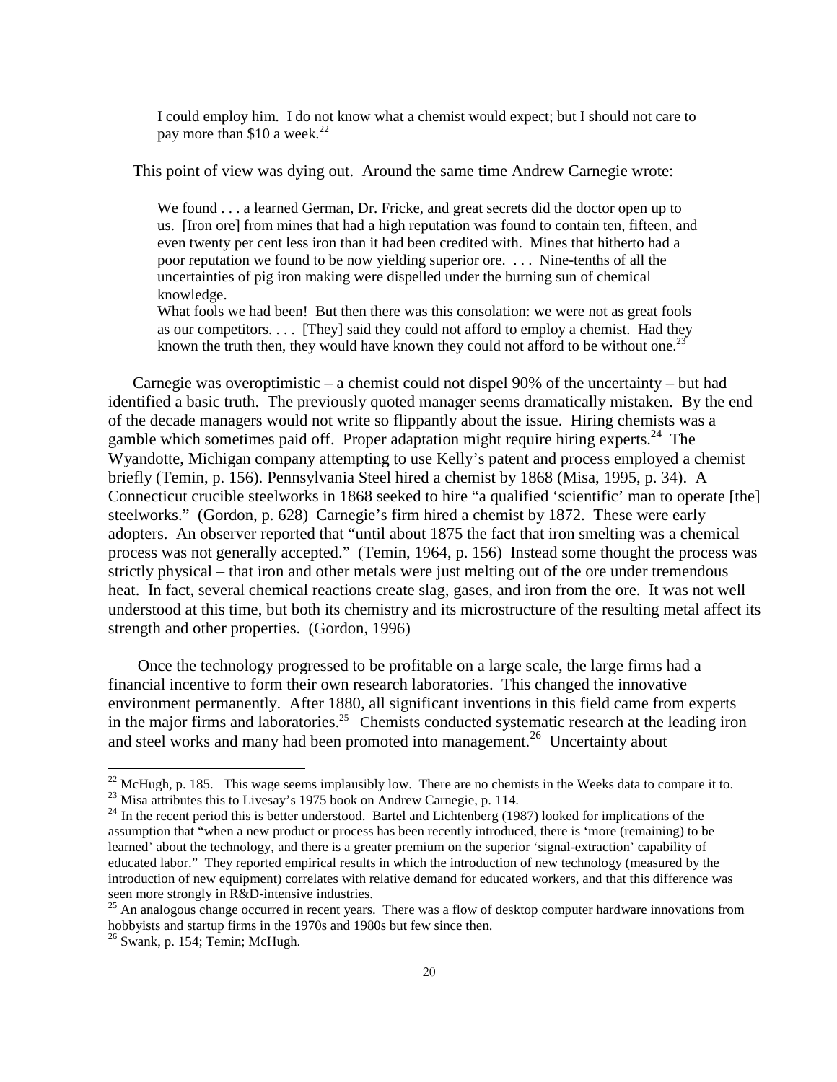I could employ him. I do not know what a chemist would expect; but I should not care to pay more than \$10 a week.<sup>22</sup>

This point of view was dying out. Around the same time Andrew Carnegie wrote:

We found . . . a learned German, Dr. Fricke, and great secrets did the doctor open up to us. [Iron ore] from mines that had a high reputation was found to contain ten, fifteen, and even twenty per cent less iron than it had been credited with. Mines that hitherto had a poor reputation we found to be now yielding superior ore. . . . Nine-tenths of all the uncertainties of pig iron making were dispelled under the burning sun of chemical knowledge.

What fools we had been! But then there was this consolation: we were not as great fools as our competitors. . . . [They] said they could not afford to employ a chemist. Had they known the truth then, they would have known they could not afford to be without one.<sup>23</sup>

Carnegie was overoptimistic – a chemist could not dispel 90% of the uncertainty – but had identified a basic truth. The previously quoted manager seems dramatically mistaken. By the end of the decade managers would not write so flippantly about the issue. Hiring chemists was a gamble which sometimes paid off. Proper adaptation might require hiring experts.<sup>24</sup> The Wyandotte, Michigan company attempting to use Kelly's patent and process employed a chemist briefly (Temin, p. 156). Pennsylvania Steel hired a chemist by 1868 (Misa, 1995, p. 34). A Connecticut crucible steelworks in 1868 seeked to hire "a qualified 'scientific' man to operate [the] steelworks." (Gordon, p. 628) Carnegie's firm hired a chemist by 1872. These were early adopters. An observer reported that "until about 1875 the fact that iron smelting was a chemical process was not generally accepted." (Temin, 1964, p. 156) Instead some thought the process was strictly physical – that iron and other metals were just melting out of the ore under tremendous heat. In fact, several chemical reactions create slag, gases, and iron from the ore. It was not well understood at this time, but both its chemistry and its microstructure of the resulting metal affect its strength and other properties. (Gordon, 1996)

Once the technology progressed to be profitable on a large scale, the large firms had a financial incentive to form their own research laboratories. This changed the innovative environment permanently. After 1880, all significant inventions in this field came from experts in the major firms and laboratories.<sup>25</sup> Chemists conducted systematic research at the leading iron and steel works and many had been promoted into management.<sup>26</sup> Uncertainty about

 $^{22}$  McHugh, p. 185. This wage seems implausibly low. There are no chemists in the Weeks data to compare it to.

<sup>&</sup>lt;sup>23</sup> Misa attributes this to Livesay's 1975 book on Andrew Carnegie, p. 114.

<sup>&</sup>lt;sup>24</sup> In the recent period this is better understood. Bartel and Lichtenberg (1987) looked for implications of the assumption that "when a new product or process has been recently introduced, there is 'more (remaining) to be learned' about the technology, and there is a greater premium on the superior 'signal-extraction' capability of educated labor." They reported empirical results in which the introduction of new technology (measured by the introduction of new equipment) correlates with relative demand for educated workers, and that this difference was seen more strongly in R&D-intensive industries.

<sup>&</sup>lt;sup>25</sup> An analogous change occurred in recent years. There was a flow of desktop computer hardware innovations from hobbyists and startup firms in the 1970s and 1980s but few since then.

 $26$  Swank, p. 154; Temin; McHugh.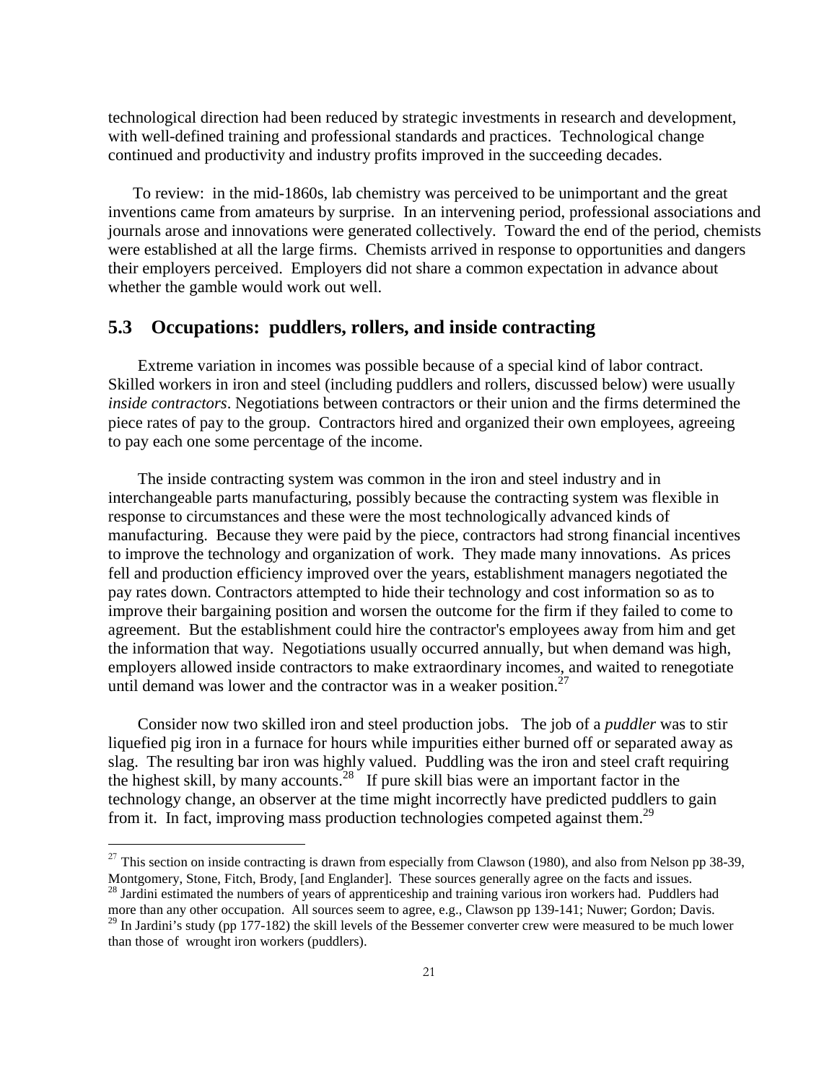technological direction had been reduced by strategic investments in research and development, with well-defined training and professional standards and practices. Technological change continued and productivity and industry profits improved in the succeeding decades.

To review: in the mid-1860s, lab chemistry was perceived to be unimportant and the great inventions came from amateurs by surprise. In an intervening period, professional associations and journals arose and innovations were generated collectively. Toward the end of the period, chemists were established at all the large firms. Chemists arrived in response to opportunities and dangers their employers perceived. Employers did not share a common expectation in advance about whether the gamble would work out well.

#### **5.3 Occupations: puddlers, rollers, and inside contracting**

Extreme variation in incomes was possible because of a special kind of labor contract. Skilled workers in iron and steel (including puddlers and rollers, discussed below) were usually *inside contractors*. Negotiations between contractors or their union and the firms determined the piece rates of pay to the group. Contractors hired and organized their own employees, agreeing to pay each one some percentage of the income.

The inside contracting system was common in the iron and steel industry and in interchangeable parts manufacturing, possibly because the contracting system was flexible in response to circumstances and these were the most technologically advanced kinds of manufacturing. Because they were paid by the piece, contractors had strong financial incentives to improve the technology and organization of work. They made many innovations. As prices fell and production efficiency improved over the years, establishment managers negotiated the pay rates down. Contractors attempted to hide their technology and cost information so as to improve their bargaining position and worsen the outcome for the firm if they failed to come to agreement. But the establishment could hire the contractor's employees away from him and get the information that way. Negotiations usually occurred annually, but when demand was high, employers allowed inside contractors to make extraordinary incomes, and waited to renegotiate until demand was lower and the contractor was in a weaker position. $27$ 

Consider now two skilled iron and steel production jobs. The job of a *puddler* was to stir liquefied pig iron in a furnace for hours while impurities either burned off or separated away as slag. The resulting bar iron was highly valued. Puddling was the iron and steel craft requiring the highest skill, by many accounts.<sup>28</sup> If pure skill bias were an important factor in the technology change, an observer at the time might incorrectly have predicted puddlers to gain from it. In fact, improving mass production technologies competed against them.<sup>29</sup>

<sup>&</sup>lt;sup>27</sup> This section on inside contracting is drawn from especially from Clawson (1980), and also from Nelson pp 38-39, Montgomery, Stone, Fitch, Brody, [and Englander]. These sources generally agree on the facts and issues.

<sup>&</sup>lt;sup>28</sup> Jardini estimated the numbers of years of apprenticeship and training various iron workers had. Puddlers had more than any other occupation. All sources seem to agree, e.g., Clawson pp 139-141; Nuwer; Gordon; Davis.

<sup>&</sup>lt;sup>29</sup> In Jardini's study (pp 177-182) the skill levels of the Bessemer converter crew were measured to be much lower than those of wrought iron workers (puddlers).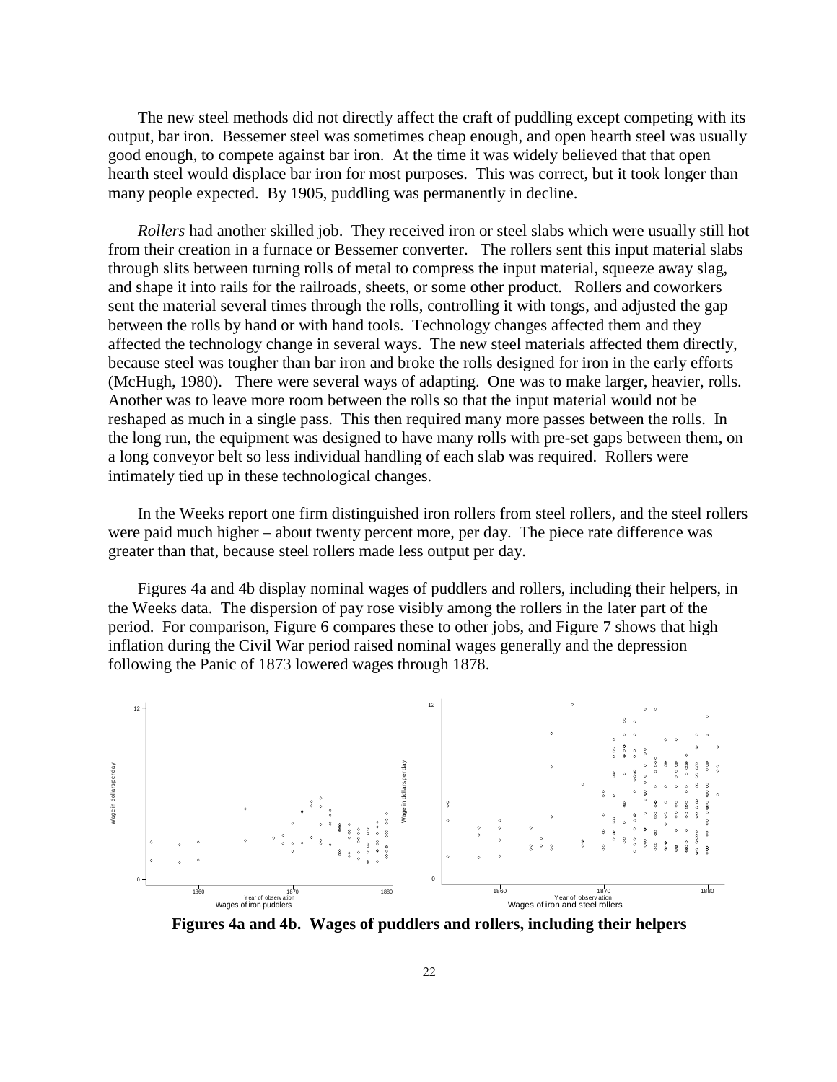The new steel methods did not directly affect the craft of puddling except competing with its output, bar iron. Bessemer steel was sometimes cheap enough, and open hearth steel was usually good enough, to compete against bar iron. At the time it was widely believed that that open hearth steel would displace bar iron for most purposes. This was correct, but it took longer than many people expected. By 1905, puddling was permanently in decline.

*Rollers* had another skilled job. They received iron or steel slabs which were usually still hot from their creation in a furnace or Bessemer converter. The rollers sent this input material slabs through slits between turning rolls of metal to compress the input material, squeeze away slag, and shape it into rails for the railroads, sheets, or some other product. Rollers and coworkers sent the material several times through the rolls, controlling it with tongs, and adjusted the gap between the rolls by hand or with hand tools. Technology changes affected them and they affected the technology change in several ways. The new steel materials affected them directly, because steel was tougher than bar iron and broke the rolls designed for iron in the early efforts (McHugh, 1980). There were several ways of adapting. One was to make larger, heavier, rolls. Another was to leave more room between the rolls so that the input material would not be reshaped as much in a single pass. This then required many more passes between the rolls. In the long run, the equipment was designed to have many rolls with pre-set gaps between them, on a long conveyor belt so less individual handling of each slab was required. Rollers were intimately tied up in these technological changes.

In the Weeks report one firm distinguished iron rollers from steel rollers, and the steel rollers were paid much higher – about twenty percent more, per day. The piece rate difference was greater than that, because steel rollers made less output per day.

Figures 4a and 4b display nominal wages of puddlers and rollers, including their helpers, in the Weeks data. The dispersion of pay rose visibly among the rollers in the later part of the period. For comparison, Figure 6 compares these to other jobs, and Figure 7 shows that high inflation during the Civil War period raised nominal wages generally and the depression following the Panic of 1873 lowered wages through 1878.



**Figures 4a and 4b. Wages of puddlers and rollers, including their helpers**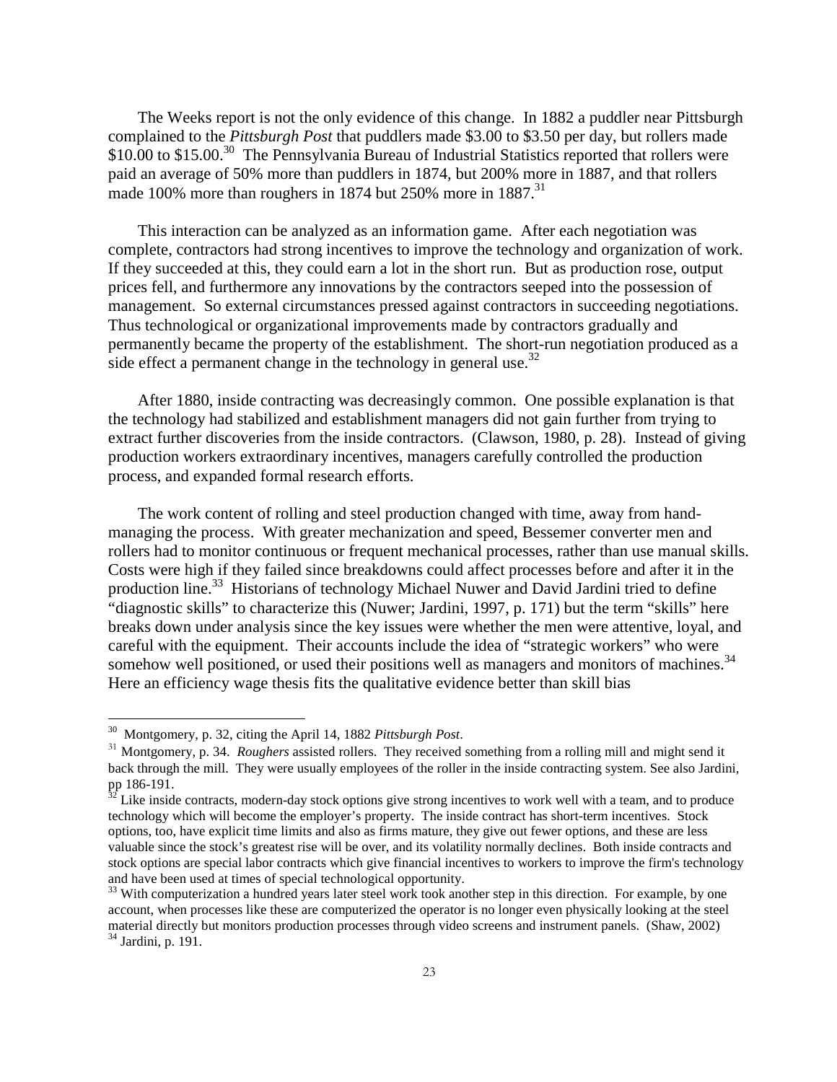The Weeks report is not the only evidence of this change. In 1882 a puddler near Pittsburgh complained to the *Pittsburgh Post* that puddlers made \$3.00 to \$3.50 per day, but rollers made \$10.00 to \$15.00.<sup>30</sup> The Pennsylvania Bureau of Industrial Statistics reported that rollers were paid an average of 50% more than puddlers in 1874, but 200% more in 1887, and that rollers made 100% more than roughers in 1874 but 250% more in  $1887<sup>31</sup>$ 

This interaction can be analyzed as an information game. After each negotiation was complete, contractors had strong incentives to improve the technology and organization of work. If they succeeded at this, they could earn a lot in the short run. But as production rose, output prices fell, and furthermore any innovations by the contractors seeped into the possession of management. So external circumstances pressed against contractors in succeeding negotiations. Thus technological or organizational improvements made by contractors gradually and permanently became the property of the establishment. The short-run negotiation produced as a side effect a permanent change in the technology in general use.<sup>32</sup>

After 1880, inside contracting was decreasingly common. One possible explanation is that the technology had stabilized and establishment managers did not gain further from trying to extract further discoveries from the inside contractors. (Clawson, 1980, p. 28). Instead of giving production workers extraordinary incentives, managers carefully controlled the production process, and expanded formal research efforts.

The work content of rolling and steel production changed with time, away from handmanaging the process. With greater mechanization and speed, Bessemer converter men and rollers had to monitor continuous or frequent mechanical processes, rather than use manual skills. Costs were high if they failed since breakdowns could affect processes before and after it in the production line.<sup>33</sup> Historians of technology Michael Nuwer and David Jardini tried to define "diagnostic skills" to characterize this (Nuwer; Jardini, 1997, p. 171) but the term "skills" here breaks down under analysis since the key issues were whether the men were attentive, loyal, and careful with the equipment. Their accounts include the idea of "strategic workers" who were somehow well positioned, or used their positions well as managers and monitors of machines.<sup>34</sup> Here an efficiency wage thesis fits the qualitative evidence better than skill bias

<sup>&</sup>lt;sup>30</sup> Montgomery, p. 32, citing the April 14, 1882 Pittsburgh Post.

<sup>&</sup>lt;sup>31</sup> Montgomery, p. 34. *Roughers* assisted rollers. They received something from a rolling mill and might send it back through the mill. They were usually employees of the roller in the inside contracting system. See also Jardini, pp 186-191.

 $32$  Like inside contracts, modern-day stock options give strong incentives to work well with a team, and to produce technology which will become the employer's property. The inside contract has short-term incentives. Stock options, too, have explicit time limits and also as firms mature, they give out fewer options, and these are less valuable since the stock's greatest rise will be over, and its volatility normally declines. Both inside contracts and stock options are special labor contracts which give financial incentives to workers to improve the firm's technology and have been used at times of special technological opportunity.

<sup>&</sup>lt;sup>33</sup> With computerization a hundred years later steel work took another step in this direction. For example, by one account, when processes like these are computerized the operator is no longer even physically looking at the steel material directly but monitors production processes through video screens and instrument panels. (Shaw, 2002) 34 Jardini, p. 191.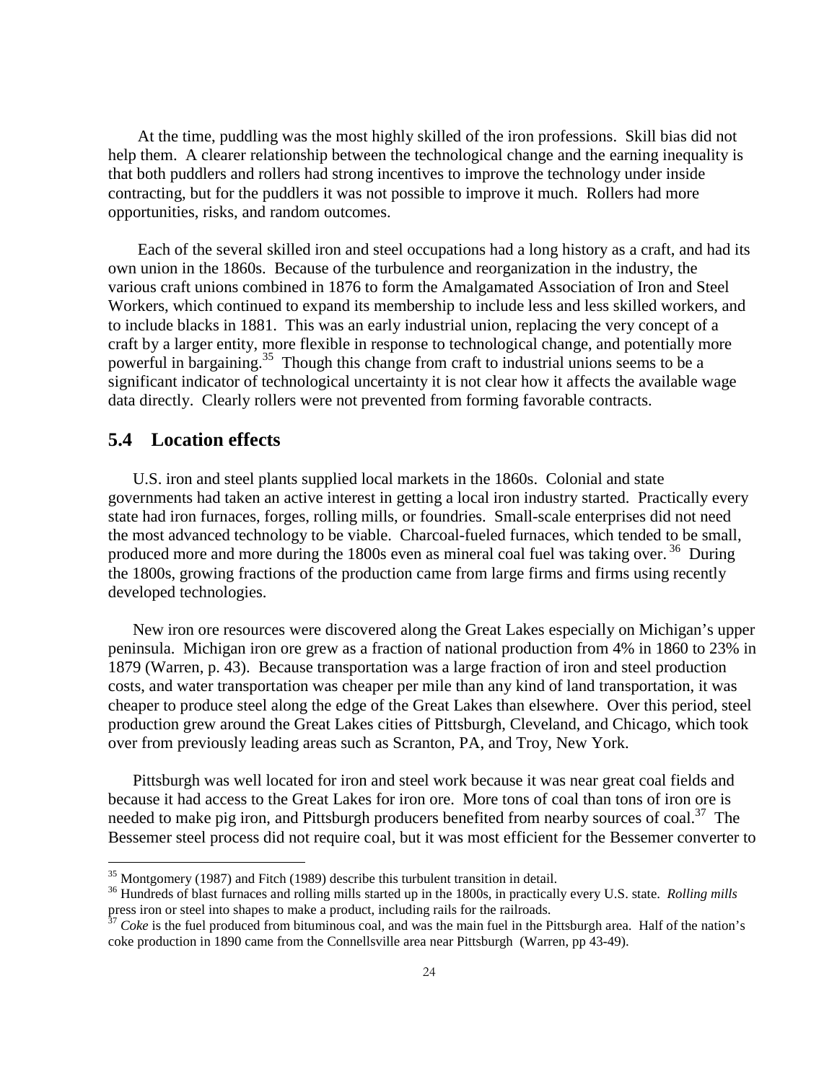At the time, puddling was the most highly skilled of the iron professions. Skill bias did not help them. A clearer relationship between the technological change and the earning inequality is that both puddlers and rollers had strong incentives to improve the technology under inside contracting, but for the puddlers it was not possible to improve it much. Rollers had more opportunities, risks, and random outcomes.

Each of the several skilled iron and steel occupations had a long history as a craft, and had its own union in the 1860s. Because of the turbulence and reorganization in the industry, the various craft unions combined in 1876 to form the Amalgamated Association of Iron and Steel Workers, which continued to expand its membership to include less and less skilled workers, and to include blacks in 1881. This was an early industrial union, replacing the very concept of a craft by a larger entity, more flexible in response to technological change, and potentially more powerful in bargaining.<sup>35</sup> Though this change from craft to industrial unions seems to be a significant indicator of technological uncertainty it is not clear how it affects the available wage data directly. Clearly rollers were not prevented from forming favorable contracts.

#### **5.4 Location effects**

 $\overline{a}$ 

U.S. iron and steel plants supplied local markets in the 1860s. Colonial and state governments had taken an active interest in getting a local iron industry started. Practically every state had iron furnaces, forges, rolling mills, or foundries. Small-scale enterprises did not need the most advanced technology to be viable. Charcoal-fueled furnaces, which tended to be small, produced more and more during the 1800s even as mineral coal fuel was taking over.<sup>36</sup> During the 1800s, growing fractions of the production came from large firms and firms using recently developed technologies.

New iron ore resources were discovered along the Great Lakes especially on Michigan's upper peninsula. Michigan iron ore grew as a fraction of national production from 4% in 1860 to 23% in 1879 (Warren, p. 43). Because transportation was a large fraction of iron and steel production costs, and water transportation was cheaper per mile than any kind of land transportation, it was cheaper to produce steel along the edge of the Great Lakes than elsewhere. Over this period, steel production grew around the Great Lakes cities of Pittsburgh, Cleveland, and Chicago, which took over from previously leading areas such as Scranton, PA, and Troy, New York.

Pittsburgh was well located for iron and steel work because it was near great coal fields and because it had access to the Great Lakes for iron ore. More tons of coal than tons of iron ore is needed to make pig iron, and Pittsburgh producers benefited from nearby sources of coal.<sup>37</sup> The Bessemer steel process did not require coal, but it was most efficient for the Bessemer converter to

<sup>&</sup>lt;sup>35</sup> Montgomery (1987) and Fitch (1989) describe this turbulent transition in detail.

<sup>36</sup> Hundreds of blast furnaces and rolling mills started up in the 1800s, in practically every U.S. state. *Rolling mills* press iron or steel into shapes to make a product, including rails for the railroads.

 $37$  *Coke* is the fuel produced from bituminous coal, and was the main fuel in the Pittsburgh area. Half of the nation's coke production in 1890 came from the Connellsville area near Pittsburgh (Warren, pp 43-49).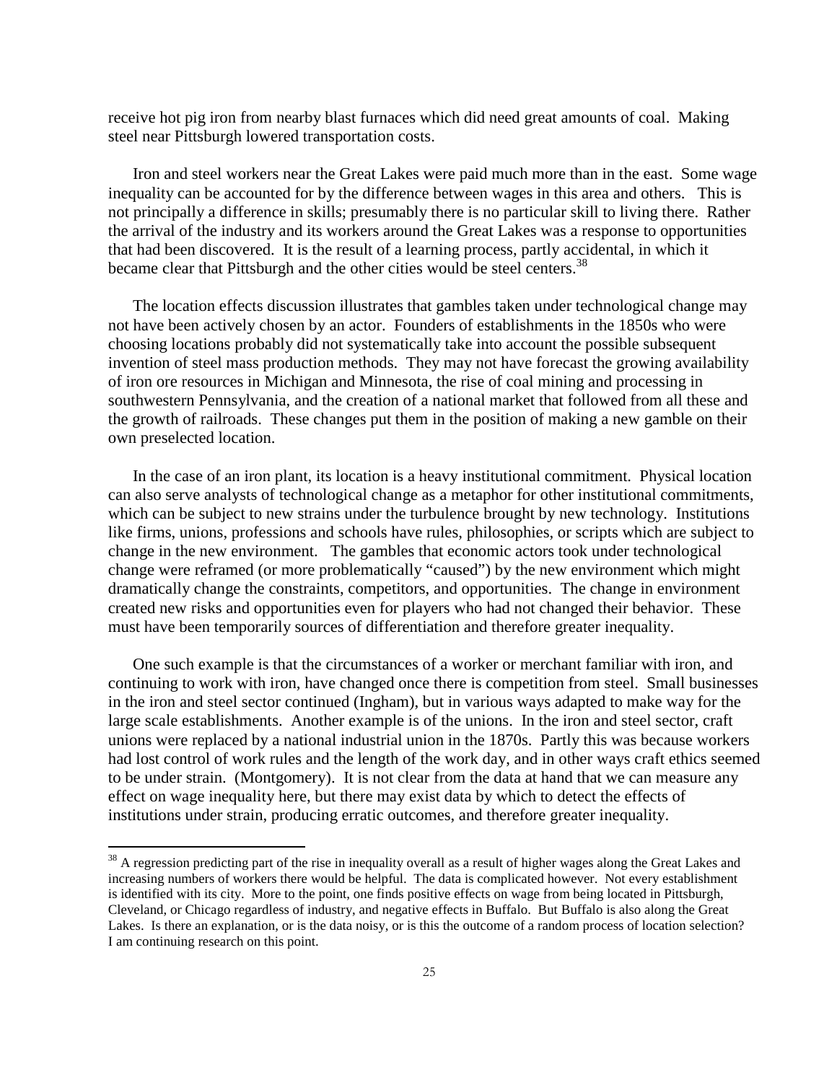receive hot pig iron from nearby blast furnaces which did need great amounts of coal. Making steel near Pittsburgh lowered transportation costs.

Iron and steel workers near the Great Lakes were paid much more than in the east. Some wage inequality can be accounted for by the difference between wages in this area and others. This is not principally a difference in skills; presumably there is no particular skill to living there. Rather the arrival of the industry and its workers around the Great Lakes was a response to opportunities that had been discovered. It is the result of a learning process, partly accidental, in which it became clear that Pittsburgh and the other cities would be steel centers.<sup>38</sup>

The location effects discussion illustrates that gambles taken under technological change may not have been actively chosen by an actor. Founders of establishments in the 1850s who were choosing locations probably did not systematically take into account the possible subsequent invention of steel mass production methods. They may not have forecast the growing availability of iron ore resources in Michigan and Minnesota, the rise of coal mining and processing in southwestern Pennsylvania, and the creation of a national market that followed from all these and the growth of railroads. These changes put them in the position of making a new gamble on their own preselected location.

In the case of an iron plant, its location is a heavy institutional commitment. Physical location can also serve analysts of technological change as a metaphor for other institutional commitments, which can be subject to new strains under the turbulence brought by new technology. Institutions like firms, unions, professions and schools have rules, philosophies, or scripts which are subject to change in the new environment. The gambles that economic actors took under technological change were reframed (or more problematically "caused") by the new environment which might dramatically change the constraints, competitors, and opportunities. The change in environment created new risks and opportunities even for players who had not changed their behavior. These must have been temporarily sources of differentiation and therefore greater inequality.

One such example is that the circumstances of a worker or merchant familiar with iron, and continuing to work with iron, have changed once there is competition from steel. Small businesses in the iron and steel sector continued (Ingham), but in various ways adapted to make way for the large scale establishments. Another example is of the unions. In the iron and steel sector, craft unions were replaced by a national industrial union in the 1870s. Partly this was because workers had lost control of work rules and the length of the work day, and in other ways craft ethics seemed to be under strain. (Montgomery). It is not clear from the data at hand that we can measure any effect on wage inequality here, but there may exist data by which to detect the effects of institutions under strain, producing erratic outcomes, and therefore greater inequality.

<sup>&</sup>lt;sup>38</sup> A regression predicting part of the rise in inequality overall as a result of higher wages along the Great Lakes and increasing numbers of workers there would be helpful. The data is complicated however. Not every establishment is identified with its city. More to the point, one finds positive effects on wage from being located in Pittsburgh, Cleveland, or Chicago regardless of industry, and negative effects in Buffalo. But Buffalo is also along the Great Lakes. Is there an explanation, or is the data noisy, or is this the outcome of a random process of location selection? I am continuing research on this point.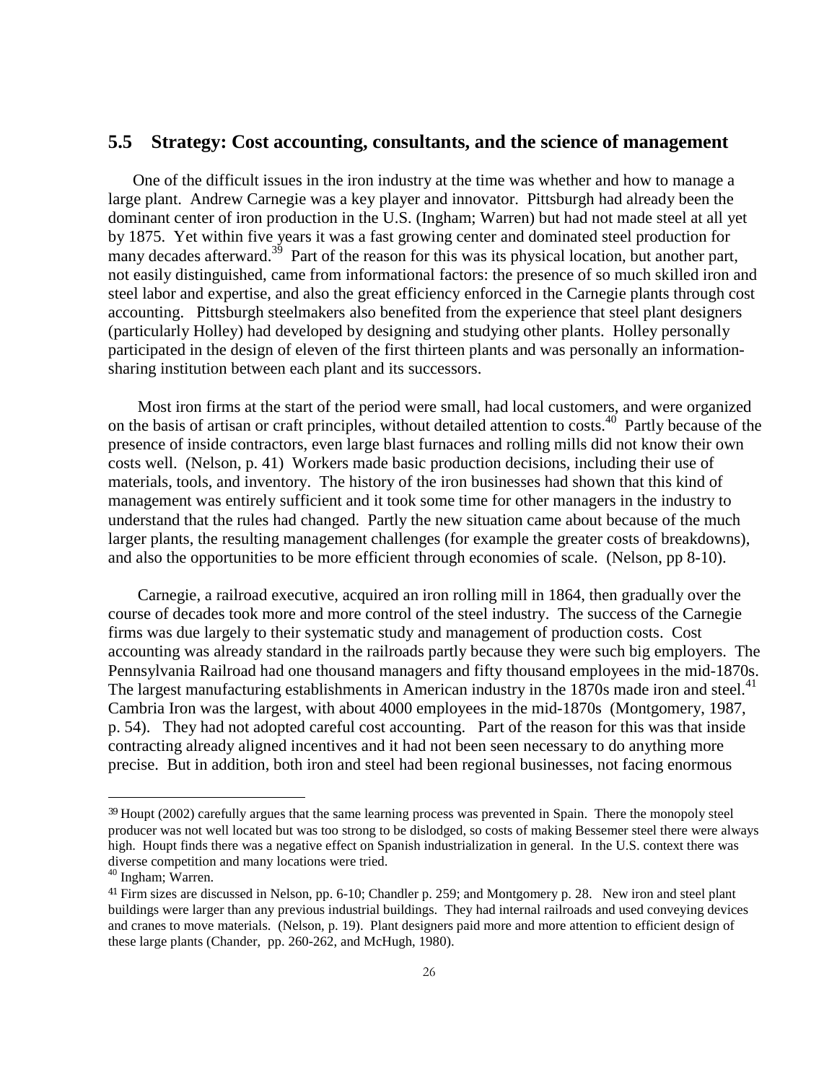#### **5.5 Strategy: Cost accounting, consultants, and the science of management**

One of the difficult issues in the iron industry at the time was whether and how to manage a large plant. Andrew Carnegie was a key player and innovator. Pittsburgh had already been the dominant center of iron production in the U.S. (Ingham; Warren) but had not made steel at all yet by 1875. Yet within five years it was a fast growing center and dominated steel production for many decades afterward.<sup>39</sup> Part of the reason for this was its physical location, but another part, not easily distinguished, came from informational factors: the presence of so much skilled iron and steel labor and expertise, and also the great efficiency enforced in the Carnegie plants through cost accounting. Pittsburgh steelmakers also benefited from the experience that steel plant designers (particularly Holley) had developed by designing and studying other plants. Holley personally participated in the design of eleven of the first thirteen plants and was personally an informationsharing institution between each plant and its successors.

Most iron firms at the start of the period were small, had local customers, and were organized on the basis of artisan or craft principles, without detailed attention to costs.<sup>40</sup> Partly because of the presence of inside contractors, even large blast furnaces and rolling mills did not know their own costs well. (Nelson, p. 41) Workers made basic production decisions, including their use of materials, tools, and inventory. The history of the iron businesses had shown that this kind of management was entirely sufficient and it took some time for other managers in the industry to understand that the rules had changed. Partly the new situation came about because of the much larger plants, the resulting management challenges (for example the greater costs of breakdowns), and also the opportunities to be more efficient through economies of scale. (Nelson, pp 8-10).

Carnegie, a railroad executive, acquired an iron rolling mill in 1864, then gradually over the course of decades took more and more control of the steel industry. The success of the Carnegie firms was due largely to their systematic study and management of production costs. Cost accounting was already standard in the railroads partly because they were such big employers. The Pennsylvania Railroad had one thousand managers and fifty thousand employees in the mid-1870s. The largest manufacturing establishments in American industry in the 1870s made iron and steel.<sup>41</sup> Cambria Iron was the largest, with about 4000 employees in the mid-1870s (Montgomery, 1987, p. 54). They had not adopted careful cost accounting. Part of the reason for this was that inside contracting already aligned incentives and it had not been seen necessary to do anything more precise. But in addition, both iron and steel had been regional businesses, not facing enormous

<sup>&</sup>lt;sup>39</sup> Houpt (2002) carefully argues that the same learning process was prevented in Spain. There the monopoly steel producer was not well located but was too strong to be dislodged, so costs of making Bessemer steel there were always high. Houpt finds there was a negative effect on Spanish industrialization in general. In the U.S. context there was diverse competition and many locations were tried.

<sup>40</sup> Ingham; Warren.

<sup>41</sup> Firm sizes are discussed in Nelson, pp. 6-10; Chandler p. 259; and Montgomery p. 28. New iron and steel plant buildings were larger than any previous industrial buildings. They had internal railroads and used conveying devices and cranes to move materials. (Nelson, p. 19). Plant designers paid more and more attention to efficient design of these large plants (Chander, pp. 260-262, and McHugh, 1980).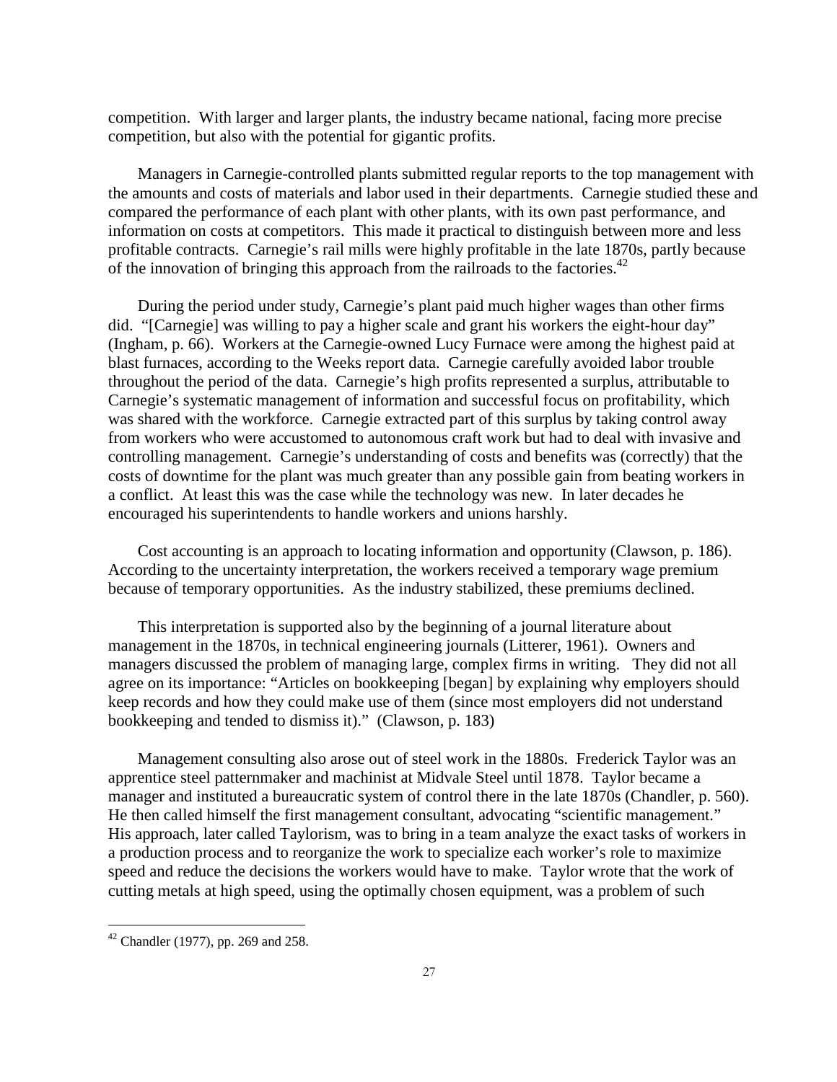competition. With larger and larger plants, the industry became national, facing more precise competition, but also with the potential for gigantic profits.

Managers in Carnegie-controlled plants submitted regular reports to the top management with the amounts and costs of materials and labor used in their departments. Carnegie studied these and compared the performance of each plant with other plants, with its own past performance, and information on costs at competitors. This made it practical to distinguish between more and less profitable contracts. Carnegie's rail mills were highly profitable in the late 1870s, partly because of the innovation of bringing this approach from the railroads to the factories.<sup>42</sup>

During the period under study, Carnegie's plant paid much higher wages than other firms did. "[Carnegie] was willing to pay a higher scale and grant his workers the eight-hour day" (Ingham, p. 66). Workers at the Carnegie-owned Lucy Furnace were among the highest paid at blast furnaces, according to the Weeks report data. Carnegie carefully avoided labor trouble throughout the period of the data. Carnegie's high profits represented a surplus, attributable to Carnegie's systematic management of information and successful focus on profitability, which was shared with the workforce. Carnegie extracted part of this surplus by taking control away from workers who were accustomed to autonomous craft work but had to deal with invasive and controlling management. Carnegie's understanding of costs and benefits was (correctly) that the costs of downtime for the plant was much greater than any possible gain from beating workers in a conflict. At least this was the case while the technology was new. In later decades he encouraged his superintendents to handle workers and unions harshly.

Cost accounting is an approach to locating information and opportunity (Clawson, p. 186). According to the uncertainty interpretation, the workers received a temporary wage premium because of temporary opportunities. As the industry stabilized, these premiums declined.

This interpretation is supported also by the beginning of a journal literature about management in the 1870s, in technical engineering journals (Litterer, 1961). Owners and managers discussed the problem of managing large, complex firms in writing. They did not all agree on its importance: "Articles on bookkeeping [began] by explaining why employers should keep records and how they could make use of them (since most employers did not understand bookkeeping and tended to dismiss it)." (Clawson, p. 183)

Management consulting also arose out of steel work in the 1880s. Frederick Taylor was an apprentice steel patternmaker and machinist at Midvale Steel until 1878. Taylor became a manager and instituted a bureaucratic system of control there in the late 1870s (Chandler, p. 560). He then called himself the first management consultant, advocating "scientific management." His approach, later called Taylorism, was to bring in a team analyze the exact tasks of workers in a production process and to reorganize the work to specialize each worker's role to maximize speed and reduce the decisions the workers would have to make. Taylor wrote that the work of cutting metals at high speed, using the optimally chosen equipment, was a problem of such

 $42$  Chandler (1977), pp. 269 and 258.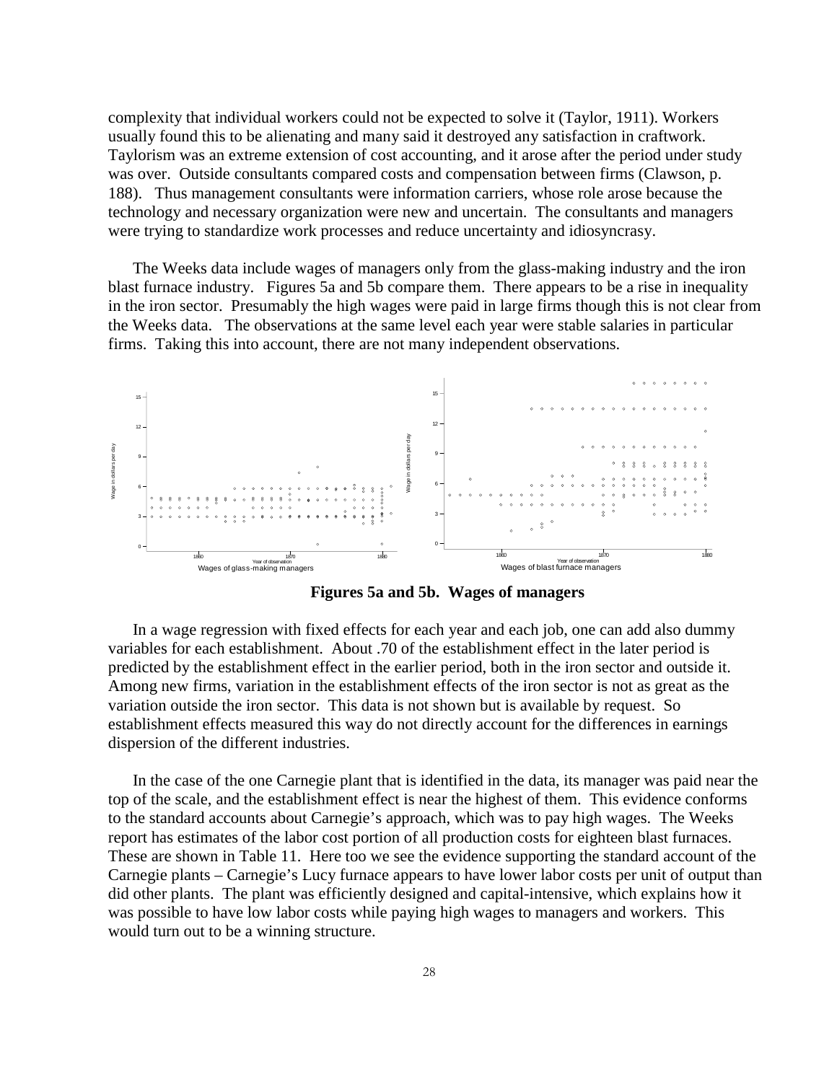complexity that individual workers could not be expected to solve it (Taylor, 1911). Workers usually found this to be alienating and many said it destroyed any satisfaction in craftwork. Taylorism was an extreme extension of cost accounting, and it arose after the period under study was over. Outside consultants compared costs and compensation between firms (Clawson, p. 188). Thus management consultants were information carriers, whose role arose because the technology and necessary organization were new and uncertain. The consultants and managers were trying to standardize work processes and reduce uncertainty and idiosyncrasy.

The Weeks data include wages of managers only from the glass-making industry and the iron blast furnace industry. Figures 5a and 5b compare them. There appears to be a rise in inequality in the iron sector. Presumably the high wages were paid in large firms though this is not clear from the Weeks data. The observations at the same level each year were stable salaries in particular firms. Taking this into account, there are not many independent observations.



**Figures 5a and 5b. Wages of managers** 

In a wage regression with fixed effects for each year and each job, one can add also dummy variables for each establishment. About .70 of the establishment effect in the later period is predicted by the establishment effect in the earlier period, both in the iron sector and outside it. Among new firms, variation in the establishment effects of the iron sector is not as great as the variation outside the iron sector. This data is not shown but is available by request. So establishment effects measured this way do not directly account for the differences in earnings dispersion of the different industries.

In the case of the one Carnegie plant that is identified in the data, its manager was paid near the top of the scale, and the establishment effect is near the highest of them. This evidence conforms to the standard accounts about Carnegie's approach, which was to pay high wages. The Weeks report has estimates of the labor cost portion of all production costs for eighteen blast furnaces. These are shown in Table 11. Here too we see the evidence supporting the standard account of the Carnegie plants – Carnegie's Lucy furnace appears to have lower labor costs per unit of output than did other plants. The plant was efficiently designed and capital-intensive, which explains how it was possible to have low labor costs while paying high wages to managers and workers. This would turn out to be a winning structure.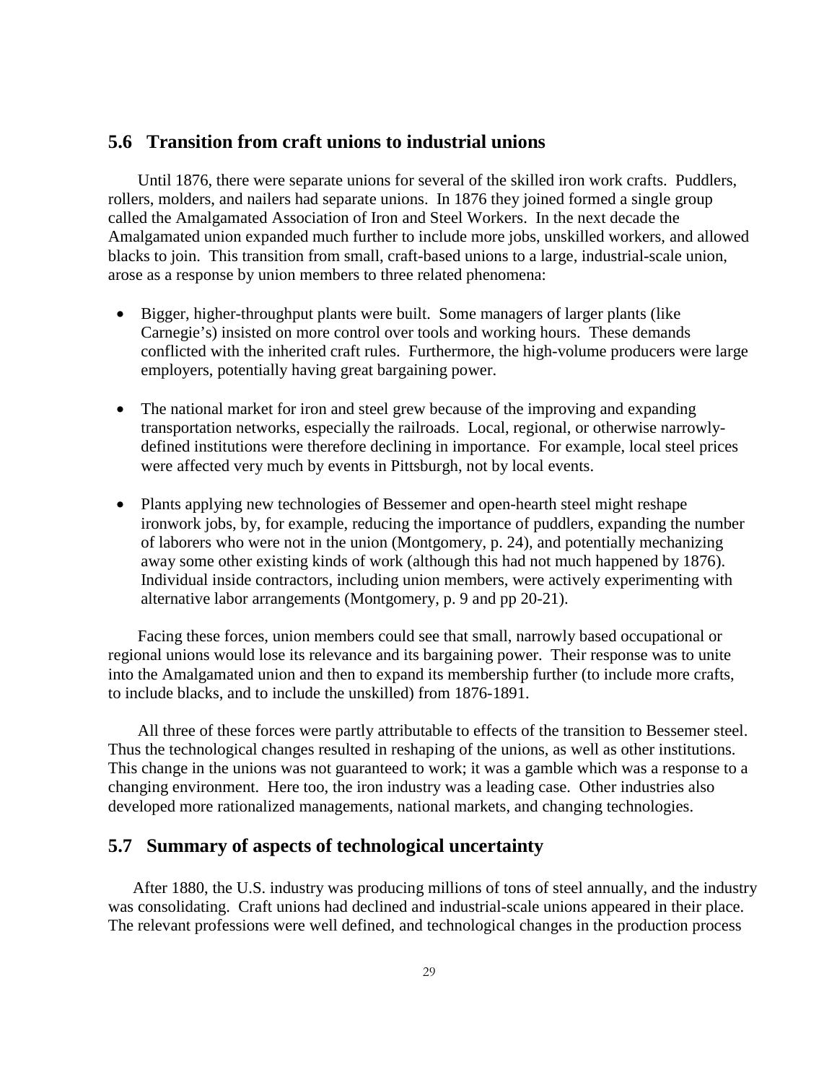#### **5.6 Transition from craft unions to industrial unions**

Until 1876, there were separate unions for several of the skilled iron work crafts. Puddlers, rollers, molders, and nailers had separate unions. In 1876 they joined formed a single group called the Amalgamated Association of Iron and Steel Workers. In the next decade the Amalgamated union expanded much further to include more jobs, unskilled workers, and allowed blacks to join. This transition from small, craft-based unions to a large, industrial-scale union, arose as a response by union members to three related phenomena:

- Bigger, higher-throughput plants were built. Some managers of larger plants (like Carnegie's) insisted on more control over tools and working hours. These demands conflicted with the inherited craft rules. Furthermore, the high-volume producers were large employers, potentially having great bargaining power.
- The national market for iron and steel grew because of the improving and expanding transportation networks, especially the railroads. Local, regional, or otherwise narrowlydefined institutions were therefore declining in importance. For example, local steel prices were affected very much by events in Pittsburgh, not by local events.
- Plants applying new technologies of Bessemer and open-hearth steel might reshape ironwork jobs, by, for example, reducing the importance of puddlers, expanding the number of laborers who were not in the union (Montgomery, p. 24), and potentially mechanizing away some other existing kinds of work (although this had not much happened by 1876). Individual inside contractors, including union members, were actively experimenting with alternative labor arrangements (Montgomery, p. 9 and pp 20-21).

Facing these forces, union members could see that small, narrowly based occupational or regional unions would lose its relevance and its bargaining power. Their response was to unite into the Amalgamated union and then to expand its membership further (to include more crafts, to include blacks, and to include the unskilled) from 1876-1891.

All three of these forces were partly attributable to effects of the transition to Bessemer steel. Thus the technological changes resulted in reshaping of the unions, as well as other institutions. This change in the unions was not guaranteed to work; it was a gamble which was a response to a changing environment. Here too, the iron industry was a leading case. Other industries also developed more rationalized managements, national markets, and changing technologies.

#### **5.7 Summary of aspects of technological uncertainty**

After 1880, the U.S. industry was producing millions of tons of steel annually, and the industry was consolidating. Craft unions had declined and industrial-scale unions appeared in their place. The relevant professions were well defined, and technological changes in the production process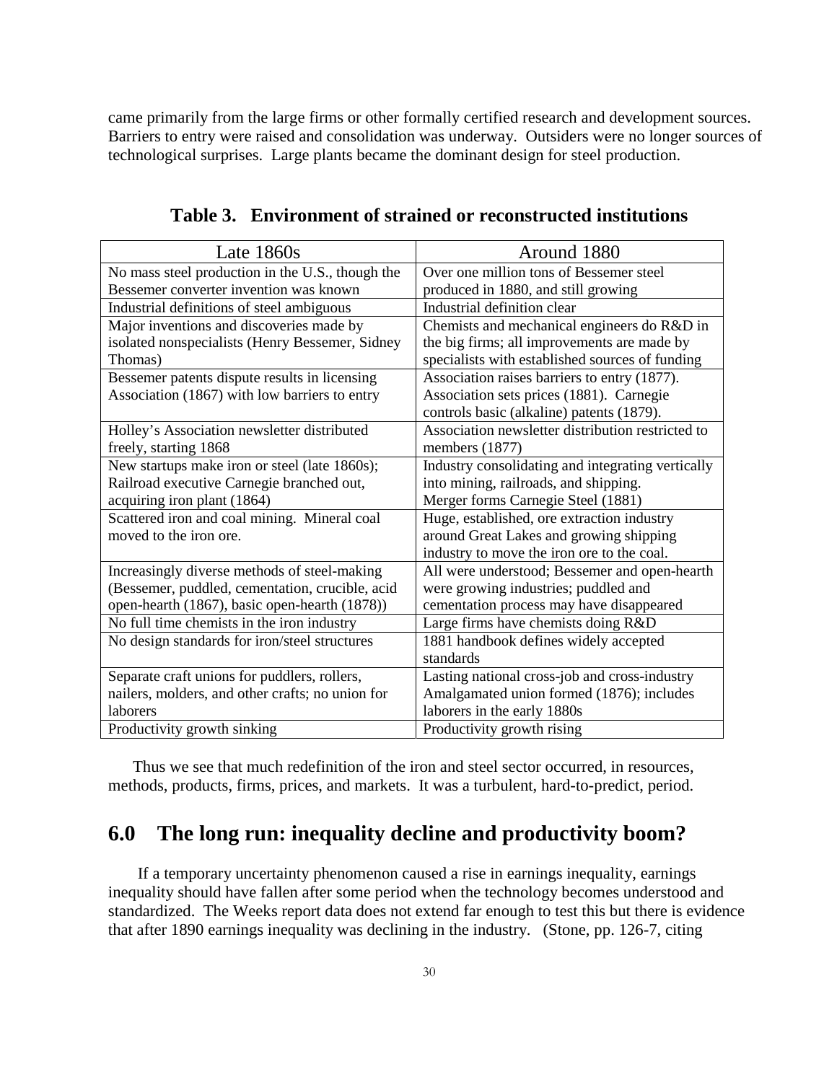came primarily from the large firms or other formally certified research and development sources. Barriers to entry were raised and consolidation was underway. Outsiders were no longer sources of technological surprises. Large plants became the dominant design for steel production.

| Late $1860s$                                     | Around 1880                                       |
|--------------------------------------------------|---------------------------------------------------|
| No mass steel production in the U.S., though the | Over one million tons of Bessemer steel           |
| Bessemer converter invention was known           | produced in 1880, and still growing               |
| Industrial definitions of steel ambiguous        | Industrial definition clear                       |
| Major inventions and discoveries made by         | Chemists and mechanical engineers do R&D in       |
| isolated nonspecialists (Henry Bessemer, Sidney  | the big firms; all improvements are made by       |
| Thomas)                                          | specialists with established sources of funding   |
| Bessemer patents dispute results in licensing    | Association raises barriers to entry (1877).      |
| Association (1867) with low barriers to entry    | Association sets prices (1881). Carnegie          |
|                                                  | controls basic (alkaline) patents (1879).         |
| Holley's Association newsletter distributed      | Association newsletter distribution restricted to |
| freely, starting 1868                            | members (1877)                                    |
| New startups make iron or steel (late 1860s);    | Industry consolidating and integrating vertically |
| Railroad executive Carnegie branched out,        | into mining, railroads, and shipping.             |
| acquiring iron plant (1864)                      | Merger forms Carnegie Steel (1881)                |
| Scattered iron and coal mining. Mineral coal     | Huge, established, ore extraction industry        |
| moved to the iron ore.                           | around Great Lakes and growing shipping           |
|                                                  | industry to move the iron ore to the coal.        |
| Increasingly diverse methods of steel-making     | All were understood; Bessemer and open-hearth     |
| (Bessemer, puddled, cementation, crucible, acid  | were growing industries; puddled and              |
| open-hearth (1867), basic open-hearth (1878))    | cementation process may have disappeared          |
| No full time chemists in the iron industry       | Large firms have chemists doing R&D               |
| No design standards for iron/steel structures    | 1881 handbook defines widely accepted             |
|                                                  | standards                                         |
| Separate craft unions for puddlers, rollers,     | Lasting national cross-job and cross-industry     |
| nailers, molders, and other crafts; no union for | Amalgamated union formed (1876); includes         |
| laborers                                         | laborers in the early 1880s                       |
| Productivity growth sinking                      | Productivity growth rising                        |

**Table 3. Environment of strained or reconstructed institutions**

Thus we see that much redefinition of the iron and steel sector occurred, in resources, methods, products, firms, prices, and markets. It was a turbulent, hard-to-predict, period.

## **6.0 The long run: inequality decline and productivity boom?**

If a temporary uncertainty phenomenon caused a rise in earnings inequality, earnings inequality should have fallen after some period when the technology becomes understood and standardized. The Weeks report data does not extend far enough to test this but there is evidence that after 1890 earnings inequality was declining in the industry. (Stone, pp. 126-7, citing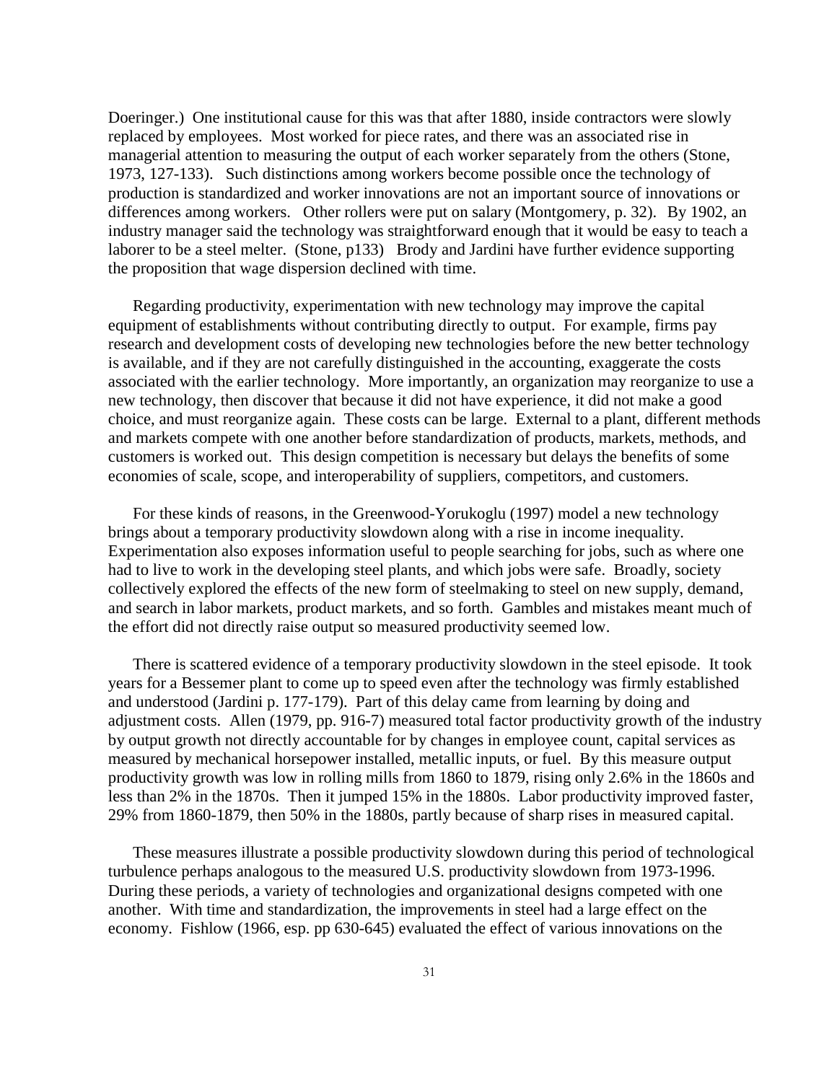Doeringer.) One institutional cause for this was that after 1880, inside contractors were slowly replaced by employees. Most worked for piece rates, and there was an associated rise in managerial attention to measuring the output of each worker separately from the others (Stone, 1973, 127-133). Such distinctions among workers become possible once the technology of production is standardized and worker innovations are not an important source of innovations or differences among workers. Other rollers were put on salary (Montgomery, p. 32). By 1902, an industry manager said the technology was straightforward enough that it would be easy to teach a laborer to be a steel melter. (Stone, p133) Brody and Jardini have further evidence supporting the proposition that wage dispersion declined with time.

Regarding productivity, experimentation with new technology may improve the capital equipment of establishments without contributing directly to output. For example, firms pay research and development costs of developing new technologies before the new better technology is available, and if they are not carefully distinguished in the accounting, exaggerate the costs associated with the earlier technology. More importantly, an organization may reorganize to use a new technology, then discover that because it did not have experience, it did not make a good choice, and must reorganize again. These costs can be large. External to a plant, different methods and markets compete with one another before standardization of products, markets, methods, and customers is worked out. This design competition is necessary but delays the benefits of some economies of scale, scope, and interoperability of suppliers, competitors, and customers.

For these kinds of reasons, in the Greenwood-Yorukoglu (1997) model a new technology brings about a temporary productivity slowdown along with a rise in income inequality. Experimentation also exposes information useful to people searching for jobs, such as where one had to live to work in the developing steel plants, and which jobs were safe. Broadly, society collectively explored the effects of the new form of steelmaking to steel on new supply, demand, and search in labor markets, product markets, and so forth. Gambles and mistakes meant much of the effort did not directly raise output so measured productivity seemed low.

There is scattered evidence of a temporary productivity slowdown in the steel episode. It took years for a Bessemer plant to come up to speed even after the technology was firmly established and understood (Jardini p. 177-179). Part of this delay came from learning by doing and adjustment costs. Allen (1979, pp. 916-7) measured total factor productivity growth of the industry by output growth not directly accountable for by changes in employee count, capital services as measured by mechanical horsepower installed, metallic inputs, or fuel. By this measure output productivity growth was low in rolling mills from 1860 to 1879, rising only 2.6% in the 1860s and less than 2% in the 1870s. Then it jumped 15% in the 1880s. Labor productivity improved faster, 29% from 1860-1879, then 50% in the 1880s, partly because of sharp rises in measured capital.

These measures illustrate a possible productivity slowdown during this period of technological turbulence perhaps analogous to the measured U.S. productivity slowdown from 1973-1996. During these periods, a variety of technologies and organizational designs competed with one another. With time and standardization, the improvements in steel had a large effect on the economy. Fishlow (1966, esp. pp 630-645) evaluated the effect of various innovations on the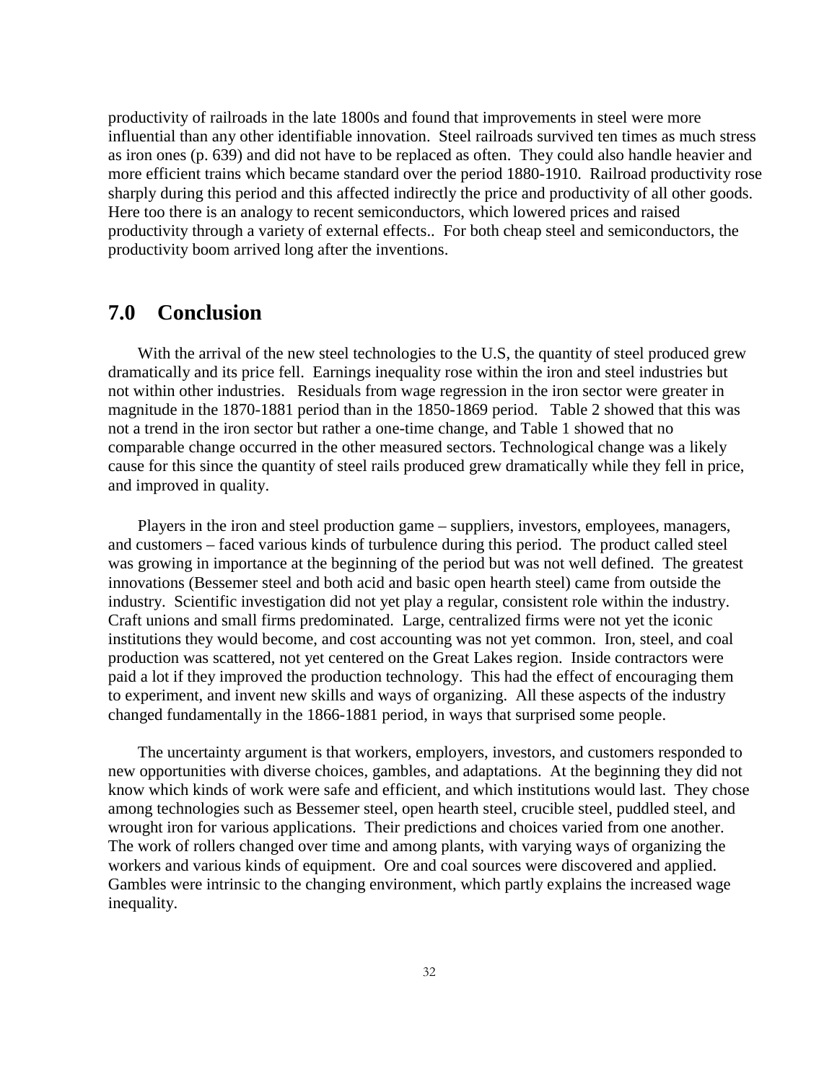productivity of railroads in the late 1800s and found that improvements in steel were more influential than any other identifiable innovation. Steel railroads survived ten times as much stress as iron ones (p. 639) and did not have to be replaced as often. They could also handle heavier and more efficient trains which became standard over the period 1880-1910. Railroad productivity rose sharply during this period and this affected indirectly the price and productivity of all other goods. Here too there is an analogy to recent semiconductors, which lowered prices and raised productivity through a variety of external effects.. For both cheap steel and semiconductors, the productivity boom arrived long after the inventions.

## **7.0 Conclusion**

With the arrival of the new steel technologies to the U.S, the quantity of steel produced grew dramatically and its price fell. Earnings inequality rose within the iron and steel industries but not within other industries. Residuals from wage regression in the iron sector were greater in magnitude in the 1870-1881 period than in the 1850-1869 period. Table 2 showed that this was not a trend in the iron sector but rather a one-time change, and Table 1 showed that no comparable change occurred in the other measured sectors. Technological change was a likely cause for this since the quantity of steel rails produced grew dramatically while they fell in price, and improved in quality.

Players in the iron and steel production game – suppliers, investors, employees, managers, and customers – faced various kinds of turbulence during this period. The product called steel was growing in importance at the beginning of the period but was not well defined. The greatest innovations (Bessemer steel and both acid and basic open hearth steel) came from outside the industry. Scientific investigation did not yet play a regular, consistent role within the industry. Craft unions and small firms predominated. Large, centralized firms were not yet the iconic institutions they would become, and cost accounting was not yet common. Iron, steel, and coal production was scattered, not yet centered on the Great Lakes region. Inside contractors were paid a lot if they improved the production technology. This had the effect of encouraging them to experiment, and invent new skills and ways of organizing. All these aspects of the industry changed fundamentally in the 1866-1881 period, in ways that surprised some people.

The uncertainty argument is that workers, employers, investors, and customers responded to new opportunities with diverse choices, gambles, and adaptations. At the beginning they did not know which kinds of work were safe and efficient, and which institutions would last. They chose among technologies such as Bessemer steel, open hearth steel, crucible steel, puddled steel, and wrought iron for various applications. Their predictions and choices varied from one another. The work of rollers changed over time and among plants, with varying ways of organizing the workers and various kinds of equipment. Ore and coal sources were discovered and applied. Gambles were intrinsic to the changing environment, which partly explains the increased wage inequality.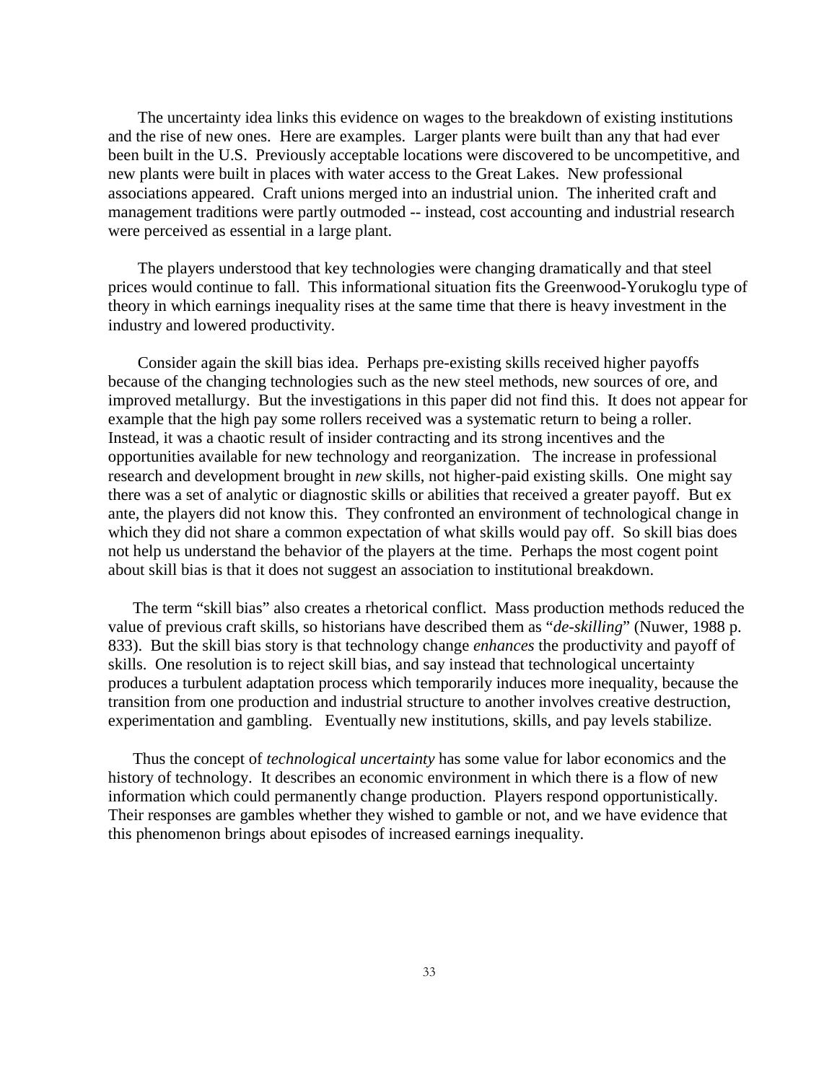The uncertainty idea links this evidence on wages to the breakdown of existing institutions and the rise of new ones. Here are examples. Larger plants were built than any that had ever been built in the U.S. Previously acceptable locations were discovered to be uncompetitive, and new plants were built in places with water access to the Great Lakes. New professional associations appeared. Craft unions merged into an industrial union. The inherited craft and management traditions were partly outmoded -- instead, cost accounting and industrial research were perceived as essential in a large plant.

The players understood that key technologies were changing dramatically and that steel prices would continue to fall. This informational situation fits the Greenwood-Yorukoglu type of theory in which earnings inequality rises at the same time that there is heavy investment in the industry and lowered productivity.

Consider again the skill bias idea. Perhaps pre-existing skills received higher payoffs because of the changing technologies such as the new steel methods, new sources of ore, and improved metallurgy. But the investigations in this paper did not find this. It does not appear for example that the high pay some rollers received was a systematic return to being a roller. Instead, it was a chaotic result of insider contracting and its strong incentives and the opportunities available for new technology and reorganization. The increase in professional research and development brought in *new* skills, not higher-paid existing skills. One might say there was a set of analytic or diagnostic skills or abilities that received a greater payoff. But ex ante, the players did not know this. They confronted an environment of technological change in which they did not share a common expectation of what skills would pay off. So skill bias does not help us understand the behavior of the players at the time. Perhaps the most cogent point about skill bias is that it does not suggest an association to institutional breakdown.

The term "skill bias" also creates a rhetorical conflict. Mass production methods reduced the value of previous craft skills, so historians have described them as "*de-skilling*" (Nuwer, 1988 p. 833). But the skill bias story is that technology change *enhances* the productivity and payoff of skills. One resolution is to reject skill bias, and say instead that technological uncertainty produces a turbulent adaptation process which temporarily induces more inequality, because the transition from one production and industrial structure to another involves creative destruction, experimentation and gambling. Eventually new institutions, skills, and pay levels stabilize.

Thus the concept of *technological uncertainty* has some value for labor economics and the history of technology. It describes an economic environment in which there is a flow of new information which could permanently change production. Players respond opportunistically. Their responses are gambles whether they wished to gamble or not, and we have evidence that this phenomenon brings about episodes of increased earnings inequality.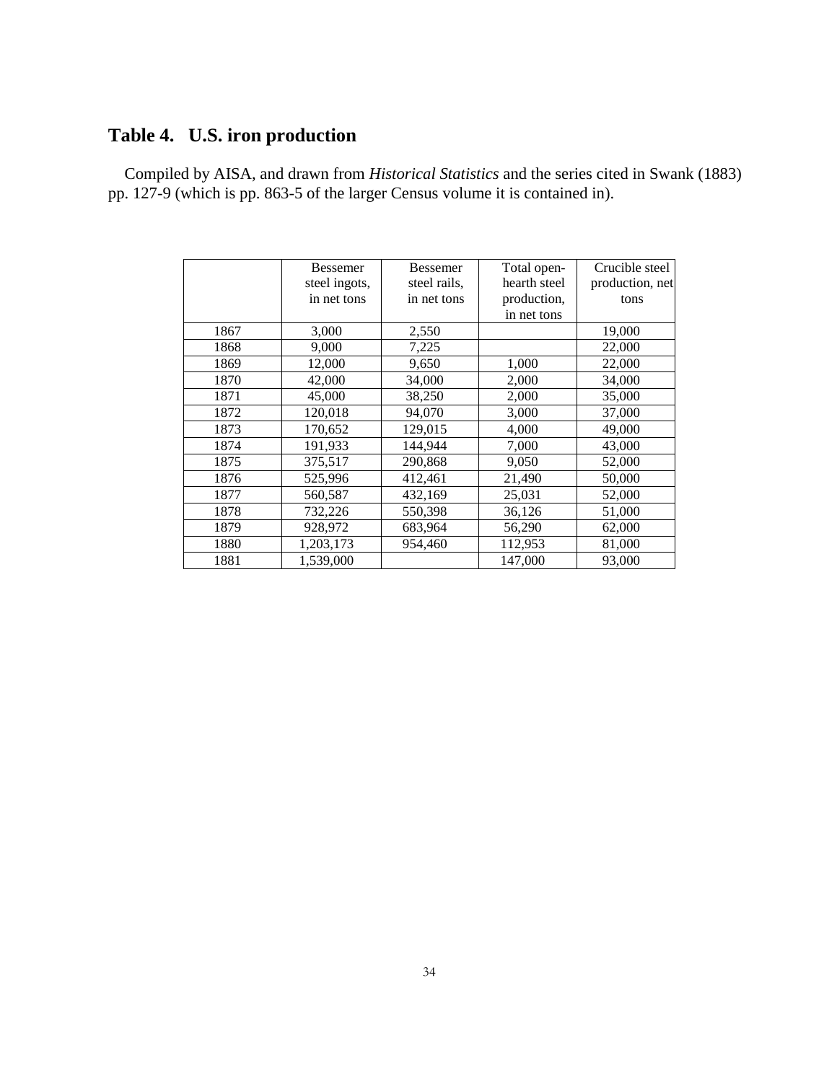# **Table 4. U.S. iron production**

 Compiled by AISA, and drawn from *Historical Statistics* and the series cited in Swank (1883) pp. 127-9 (which is pp. 863-5 of the larger Census volume it is contained in).

|      | <b>Bessemer</b> | <b>Bessemer</b> | Total open-  | Crucible steel  |
|------|-----------------|-----------------|--------------|-----------------|
|      | steel ingots,   | steel rails,    | hearth steel | production, net |
|      | in net tons     | in net tons     | production,  | tons            |
|      |                 |                 | in net tons  |                 |
| 1867 | 3,000           | 2,550           |              | 19,000          |
| 1868 | 9,000           | 7,225           |              | 22,000          |
| 1869 | 12,000          | 9,650           | 1,000        | 22,000          |
| 1870 | 42,000          | 34,000          | 2,000        | 34,000          |
| 1871 | 45,000          | 38,250          | 2,000        | 35,000          |
| 1872 | 120,018         | 94,070          | 3,000        | 37,000          |
| 1873 | 170,652         | 129,015         | 4,000        | 49,000          |
| 1874 | 191,933         | 144,944         | 7,000        | 43,000          |
| 1875 | 375,517         | 290,868         | 9,050        | 52,000          |
| 1876 | 525,996         | 412,461         | 21,490       | 50,000          |
| 1877 | 560,587         | 432,169         | 25,031       | 52,000          |
| 1878 | 732,226         | 550,398         | 36,126       | 51,000          |
| 1879 | 928,972         | 683,964         | 56,290       | 62,000          |
| 1880 | 1,203,173       | 954,460         | 112,953      | 81,000          |
| 1881 | 1,539,000       |                 | 147,000      | 93,000          |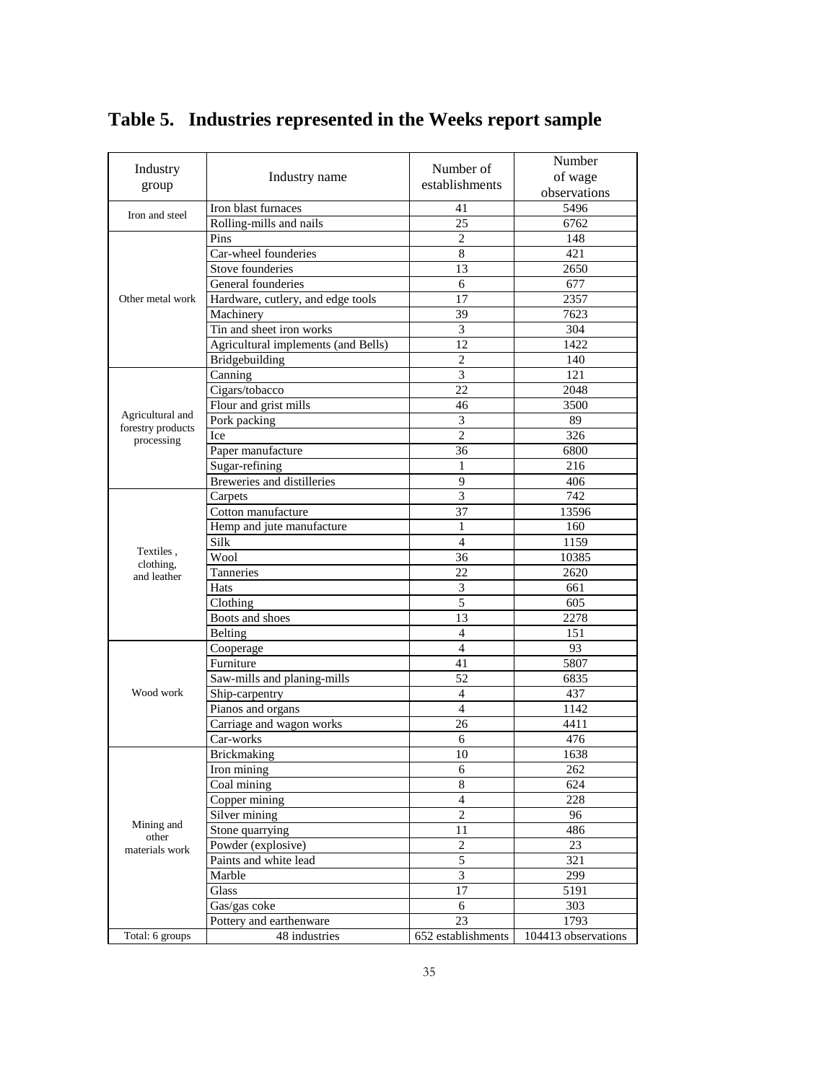|                                 |                                     |                             | Number              |
|---------------------------------|-------------------------------------|-----------------------------|---------------------|
| Industry                        | Industry name                       | Number of                   | of wage             |
| group                           |                                     | establishments              | observations        |
|                                 | Iron blast furnaces                 | 41                          | 5496                |
| Iron and steel                  | Rolling-mills and nails             | 25                          | 6762                |
|                                 | Pins                                | $\mathfrak{2}$              | 148                 |
|                                 | Car-wheel founderies                | 8                           | 421                 |
|                                 | Stove founderies                    | 13                          | 2650                |
|                                 | General founderies                  | 6                           | 677                 |
| Other metal work                | Hardware, cutlery, and edge tools   | 17                          | 2357                |
|                                 | Machinery                           | 39                          | 7623                |
|                                 | Tin and sheet iron works            | $\overline{\mathbf{3}}$     | 304                 |
|                                 | Agricultural implements (and Bells) | 12                          | 1422                |
|                                 | Bridgebuilding                      | $\mathfrak{2}$              | 140                 |
|                                 | Canning                             | 3                           | 121                 |
|                                 | Cigars/tobacco                      | 22                          | 2048                |
|                                 | Flour and grist mills               | 46                          | 3500                |
| Agricultural and                | Pork packing                        | 3                           | 89                  |
| forestry products<br>processing | Ice                                 | $\overline{2}$              | 326                 |
|                                 | Paper manufacture                   | 36                          | 6800                |
|                                 | Sugar-refining                      | 1                           | 216                 |
|                                 | Breweries and distilleries          | 9                           | 406                 |
|                                 | Carpets                             | 3                           | 742                 |
|                                 | Cotton manufacture                  | 37                          | 13596               |
|                                 | Hemp and jute manufacture           | 1                           | 160                 |
|                                 | Silk                                | $\overline{4}$              | 1159                |
| Textiles,<br>clothing,          | Wool                                | 36                          | 10385               |
| and leather                     | Tanneries                           | 22                          | 2620                |
|                                 | Hats                                | $\ensuremath{\mathfrak{Z}}$ | 661                 |
|                                 | Clothing                            | 5                           | 605                 |
|                                 | Boots and shoes                     | 13                          | 2278                |
|                                 | Belting                             | $\overline{4}$              | 151                 |
|                                 | Cooperage                           | $\overline{4}$              | 93                  |
|                                 | Furniture                           | 41                          | 5807                |
|                                 | Saw-mills and planing-mills         | 52                          | 6835                |
| Wood work                       | Ship-carpentry                      | $\overline{4}$              | 437                 |
|                                 | Pianos and organs                   | $\overline{4}$              | 1142                |
|                                 | Carriage and wagon works            | 26                          | 4411                |
|                                 | Car-works                           | 6                           | 476                 |
|                                 | <b>Brickmaking</b>                  | 10                          | 1638                |
|                                 | Iron mining                         | 6                           | 262                 |
|                                 | Coal mining                         | $\overline{8}$              | 624                 |
|                                 | Copper mining                       | $\overline{4}$              | 228                 |
| Mining and                      | Silver mining                       | $\overline{c}$              | 96                  |
| other                           | Stone quarrying                     | 11                          | 486                 |
| materials work                  | Powder (explosive)                  | $\sqrt{2}$                  | 23                  |
|                                 | Paints and white lead               | $\overline{5}$              | 321                 |
|                                 | Marble                              | 3                           | 299                 |
|                                 | Glass                               | 17                          | 5191                |
|                                 | Gas/gas coke                        | 6                           | 303                 |
|                                 | Pottery and earthenware             | 23                          | 1793                |
| Total: 6 groups                 | 48 industries                       | 652 establishments          | 104413 observations |

# **Table 5. Industries represented in the Weeks report sample**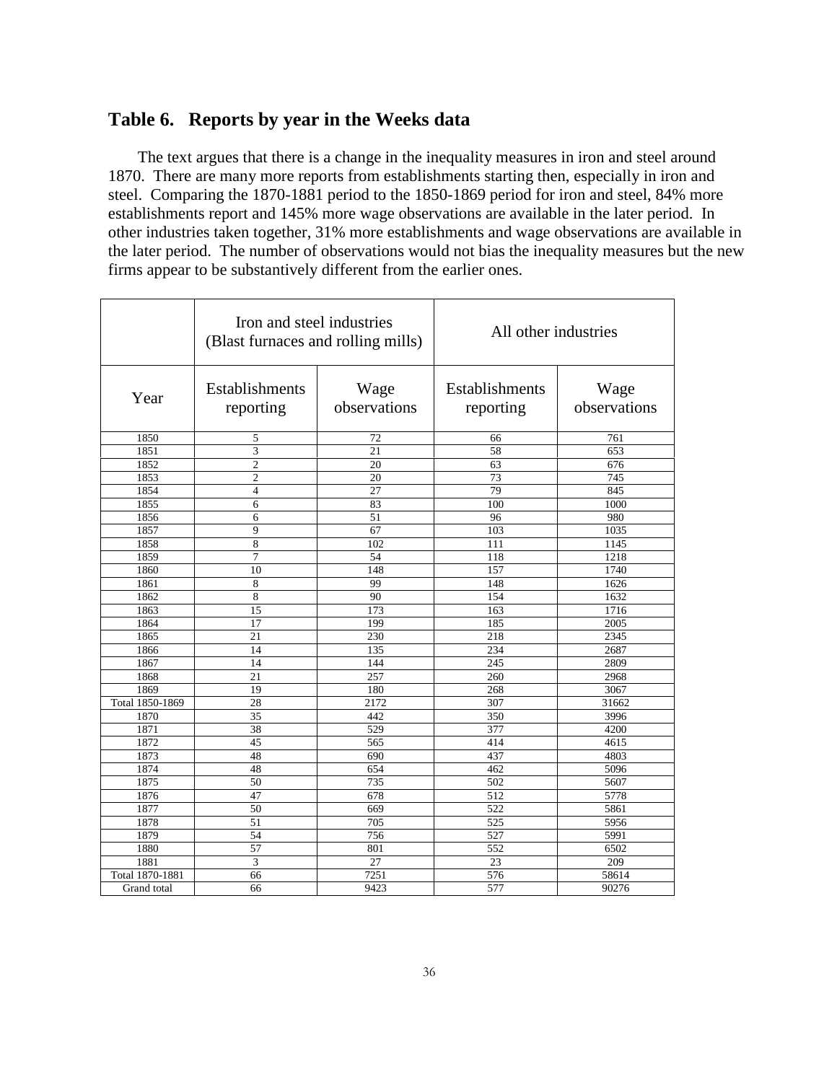### **Table 6. Reports by year in the Weeks data**

The text argues that there is a change in the inequality measures in iron and steel around 1870. There are many more reports from establishments starting then, especially in iron and steel. Comparing the 1870-1881 period to the 1850-1869 period for iron and steel, 84% more establishments report and 145% more wage observations are available in the later period. In other industries taken together, 31% more establishments and wage observations are available in the later period. The number of observations would not bias the inequality measures but the new firms appear to be substantively different from the earlier ones.

|                 | Iron and steel industries<br>(Blast furnaces and rolling mills) |                      | All other industries               |                      |
|-----------------|-----------------------------------------------------------------|----------------------|------------------------------------|----------------------|
| Year            | <b>Establishments</b><br>reporting                              | Wage<br>observations | <b>Establishments</b><br>reporting | Wage<br>observations |
| 1850            | 5                                                               | 72                   | 66                                 | 761                  |
| 1851            | 3                                                               | 21                   | 58                                 | 653                  |
| 1852            | $\overline{c}$                                                  | 20                   | 63                                 | 676                  |
| 1853            | $\overline{c}$                                                  | 20                   | 73                                 | 745                  |
| 1854            | $\overline{4}$                                                  | 27                   | 79                                 | 845                  |
| 1855            | 6                                                               | 83                   | 100                                | 1000                 |
| 1856            | 6                                                               | 51                   | 96                                 | 980                  |
| 1857            | 9                                                               | 67                   | 103                                | 1035                 |
| 1858            | 8                                                               | 102                  | 111                                | 1145                 |
| 1859            | 7                                                               | 54                   | 118                                | 1218                 |
| 1860            | 10                                                              | 148                  | 157                                | 1740                 |
| 1861            | 8                                                               | 99                   | 148                                | 1626                 |
| 1862            | 8                                                               | 90                   | 154                                | 1632                 |
| 1863            | 15                                                              | 173                  | 163                                | 1716                 |
| 1864            | 17                                                              | 199                  | 185                                | 2005                 |
| 1865            | 21                                                              | 230                  | 218                                | 2345                 |
| 1866            | 14                                                              | 135                  | 234                                | 2687                 |
| 1867            | 14                                                              | 144                  | 245                                | 2809                 |
| 1868            | 21                                                              | 257                  | 260                                | 2968                 |
| 1869            | 19                                                              | 180                  | 268                                | 3067                 |
| Total 1850-1869 | 28                                                              | 2172                 | 307                                | 31662                |
| 1870            | 35                                                              | 442                  | 350                                | 3996                 |
| 1871            | 38                                                              | 529                  | 377                                | 4200                 |
| 1872            | 45                                                              | 565                  | 414                                | 4615                 |
| 1873            | 48                                                              | 690                  | 437                                | 4803                 |
| 1874            | 48                                                              | 654                  | 462                                | 5096                 |
| 1875            | 50                                                              | 735                  | 502                                | 5607                 |
| 1876            | 47                                                              | 678                  | $\overline{512}$                   | 5778                 |
| 1877            | 50                                                              | 669                  | 522                                | 5861                 |
| 1878            | 51                                                              | 705                  | 525                                | 5956                 |
| 1879            | 54                                                              | 756                  | 527                                | 5991                 |
| 1880            | 57                                                              | 801                  | 552                                | 6502                 |
| 1881            | 3                                                               | 27                   | 23                                 | 209                  |
| Total 1870-1881 | 66                                                              | 7251                 | 576                                | 58614                |
| Grand total     | 66                                                              | 9423                 | 577                                | 90276                |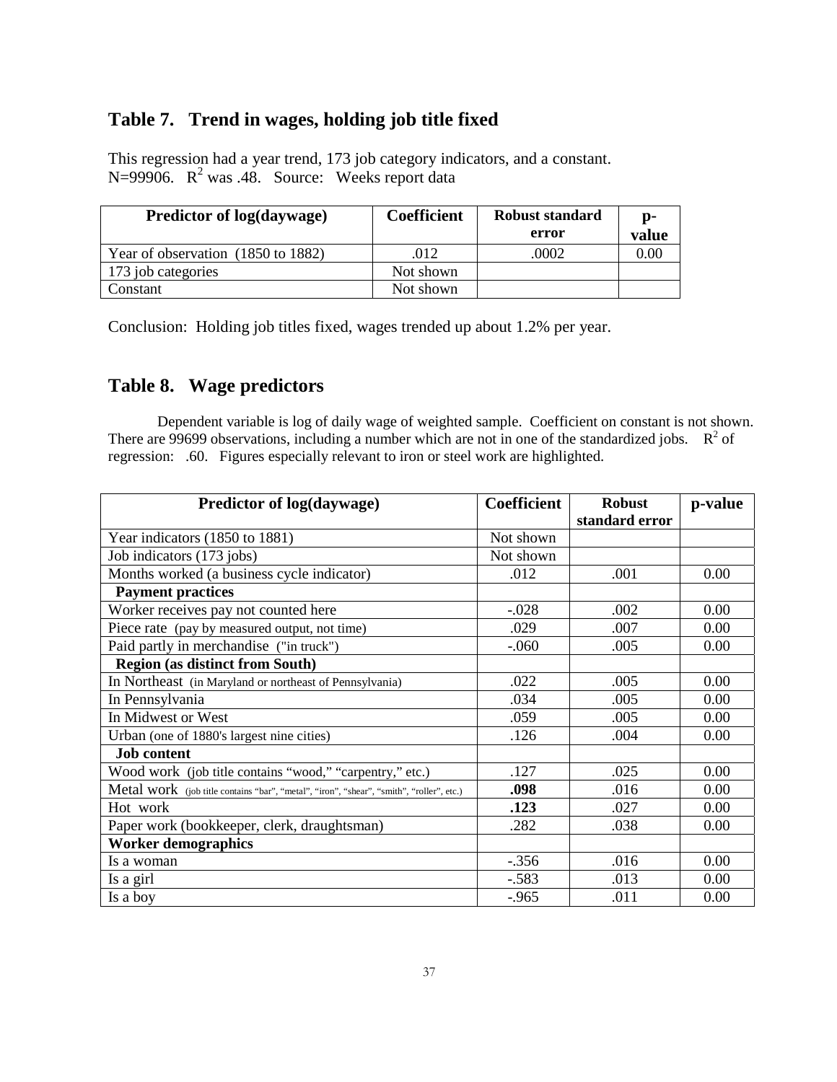### **Table 7. Trend in wages, holding job title fixed**

This regression had a year trend, 173 job category indicators, and a constant. N=99906.  $R^2$  was .48. Source: Weeks report data

| <b>Predictor of log(daywage)</b>   | <b>Coefficient</b> | <b>Robust standard</b><br>error | D-<br>value |
|------------------------------------|--------------------|---------------------------------|-------------|
| Year of observation (1850 to 1882) | .012               | .0002                           | 0.00        |
| 173 job categories                 | Not shown          |                                 |             |
| Constant                           | Not shown          |                                 |             |

Conclusion: Holding job titles fixed, wages trended up about 1.2% per year.

### **Table 8. Wage predictors**

Dependent variable is log of daily wage of weighted sample. Coefficient on constant is not shown. There are 99699 observations, including a number which are not in one of the standardized jobs.  $\mathbb{R}^2$  of regression: .60. Figures especially relevant to iron or steel work are highlighted.

| Predictor of log(daywage)                                                                | <b>Coefficient</b> | <b>Robust</b>  | p-value |  |
|------------------------------------------------------------------------------------------|--------------------|----------------|---------|--|
|                                                                                          |                    | standard error |         |  |
| Year indicators (1850 to 1881)                                                           | Not shown          |                |         |  |
| Job indicators (173 jobs)                                                                | Not shown          |                |         |  |
| Months worked (a business cycle indicator)                                               | .012               | .001           | 0.00    |  |
| <b>Payment practices</b>                                                                 |                    |                |         |  |
| Worker receives pay not counted here                                                     | $-.028$            | .002           | 0.00    |  |
| Piece rate (pay by measured output, not time)                                            | .029               | .007           | 0.00    |  |
| Paid partly in merchandise ("in truck")                                                  | $-060$             | .005           | 0.00    |  |
| <b>Region (as distinct from South)</b>                                                   |                    |                |         |  |
| In Northeast (in Maryland or northeast of Pennsylvania)                                  | .022               | .005           | 0.00    |  |
| In Pennsylvania                                                                          | .034               | .005           | 0.00    |  |
| In Midwest or West                                                                       | .059               | .005           | 0.00    |  |
| Urban (one of 1880's largest nine cities)                                                | .126               | .004           | 0.00    |  |
| <b>Job</b> content                                                                       |                    |                |         |  |
| Wood work (job title contains "wood," "carpentry," etc.)                                 | .127               | .025           | 0.00    |  |
| Metal work (job title contains "bar", "metal", "iron", "shear", "smith", "roller", etc.) | .098               | .016           | 0.00    |  |
| Hot work                                                                                 | .123               | .027           | 0.00    |  |
| Paper work (bookkeeper, clerk, draughtsman)                                              | .282               | .038           | 0.00    |  |
| <b>Worker demographics</b>                                                               |                    |                |         |  |
| Is a woman                                                                               | $-.356$            | .016           | 0.00    |  |
| Is a girl                                                                                | $-.583$            | .013           | 0.00    |  |
| Is a boy                                                                                 | $-.965$            | .011           | 0.00    |  |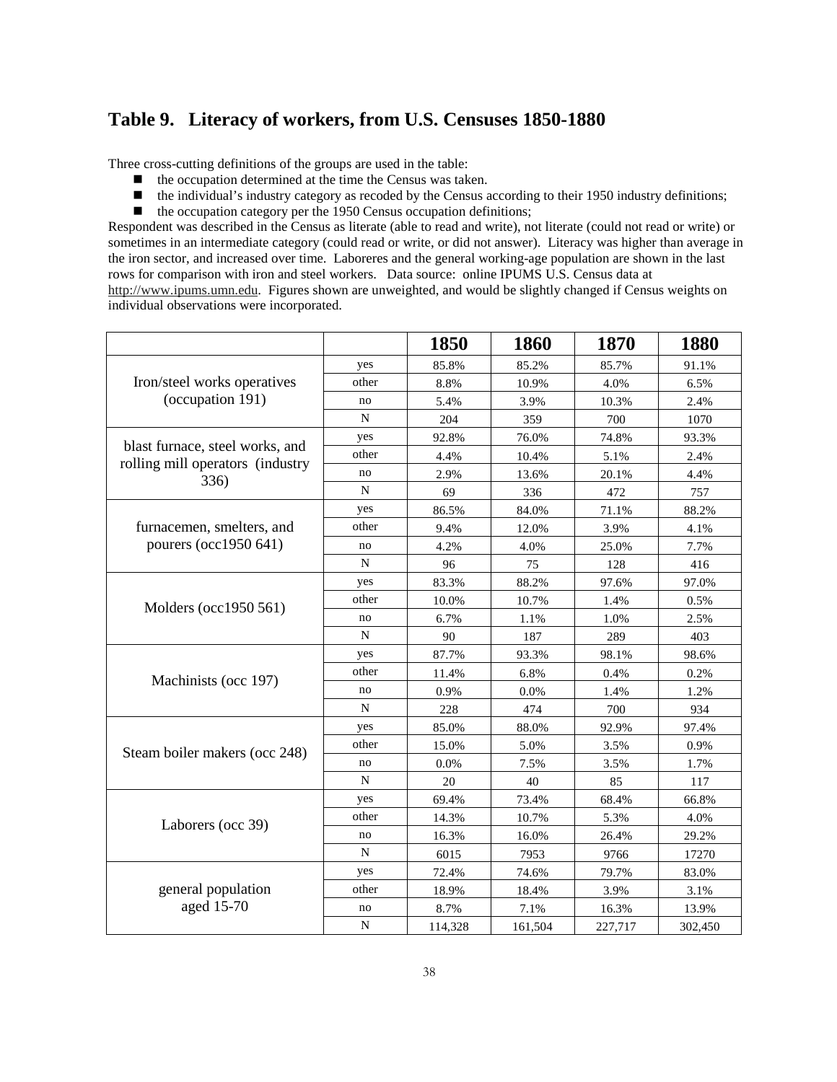### **Table 9. Literacy of workers, from U.S. Censuses 1850-1880**

Three cross-cutting definitions of the groups are used in the table:

- $\blacksquare$  the occupation determined at the time the Census was taken.
- the individual's industry category as recoded by the Census according to their 1950 industry definitions;
- $\blacksquare$  the occupation category per the 1950 Census occupation definitions;

Respondent was described in the Census as literate (able to read and write), not literate (could not read or write) or sometimes in an intermediate category (could read or write, or did not answer). Literacy was higher than average in the iron sector, and increased over time. Laboreres and the general working-age population are shown in the last rows for comparison with iron and steel workers. Data source: online IPUMS U.S. Census data at http://www.ipums.umn.edu. Figures shown are unweighted, and would be slightly changed if Census weights on individual observations were incorporated.

|                                                                     |             | 1850    | 1860    | 1870    | 1880    |
|---------------------------------------------------------------------|-------------|---------|---------|---------|---------|
|                                                                     | yes         | 85.8%   | 85.2%   | 85.7%   | 91.1%   |
| Iron/steel works operatives                                         | other       | 8.8%    | 10.9%   | 4.0%    | 6.5%    |
| (occupation 191)                                                    | no          | 5.4%    | 3.9%    | 10.3%   | 2.4%    |
|                                                                     | N           | 204     | 359     | 700     | 1070    |
|                                                                     | yes         | 92.8%   | 76.0%   | 74.8%   | 93.3%   |
| blast furnace, steel works, and<br>rolling mill operators (industry | other       | 4.4%    | 10.4%   | 5.1%    | 2.4%    |
| 336)                                                                | no          | 2.9%    | 13.6%   | 20.1%   | 4.4%    |
|                                                                     | N           | 69      | 336     | 472     | 757     |
|                                                                     | yes         | 86.5%   | 84.0%   | 71.1%   | 88.2%   |
| furnacemen, smelters, and                                           | other       | 9.4%    | 12.0%   | 3.9%    | 4.1%    |
| pourers (occ1950 641)                                               | no          | 4.2%    | 4.0%    | 25.0%   | 7.7%    |
|                                                                     | $\mathbf N$ | 96      | 75      | 128     | 416     |
|                                                                     | yes         | 83.3%   | 88.2%   | 97.6%   | 97.0%   |
| Molders (occ1950 561)                                               | other       | 10.0%   | 10.7%   | 1.4%    | 0.5%    |
|                                                                     | no          | 6.7%    | 1.1%    | 1.0%    | 2.5%    |
|                                                                     | N           | 90      | 187     | 289     | 403     |
|                                                                     | yes         | 87.7%   | 93.3%   | 98.1%   | 98.6%   |
| Machinists (occ 197)                                                | other       | 11.4%   | 6.8%    | 0.4%    | 0.2%    |
|                                                                     | no          | 0.9%    | $0.0\%$ | 1.4%    | 1.2%    |
|                                                                     | $\mathbf N$ | 228     | 474     | 700     | 934     |
|                                                                     | yes         | 85.0%   | 88.0%   | 92.9%   | 97.4%   |
| Steam boiler makers (occ 248)                                       | other       | 15.0%   | 5.0%    | 3.5%    | 0.9%    |
|                                                                     | no          | 0.0%    | 7.5%    | 3.5%    | 1.7%    |
|                                                                     | $\mathbf N$ | 20      | 40      | 85      | 117     |
|                                                                     | yes         | 69.4%   | 73.4%   | 68.4%   | 66.8%   |
| Laborers (occ 39)                                                   | other       | 14.3%   | 10.7%   | 5.3%    | 4.0%    |
|                                                                     | no          | 16.3%   | 16.0%   | 26.4%   | 29.2%   |
|                                                                     | $\mathbf N$ | 6015    | 7953    | 9766    | 17270   |
|                                                                     | yes         | 72.4%   | 74.6%   | 79.7%   | 83.0%   |
| general population                                                  | other       | 18.9%   | 18.4%   | 3.9%    | 3.1%    |
| aged 15-70                                                          | no          | 8.7%    | 7.1%    | 16.3%   | 13.9%   |
|                                                                     | ${\bf N}$   | 114,328 | 161,504 | 227,717 | 302,450 |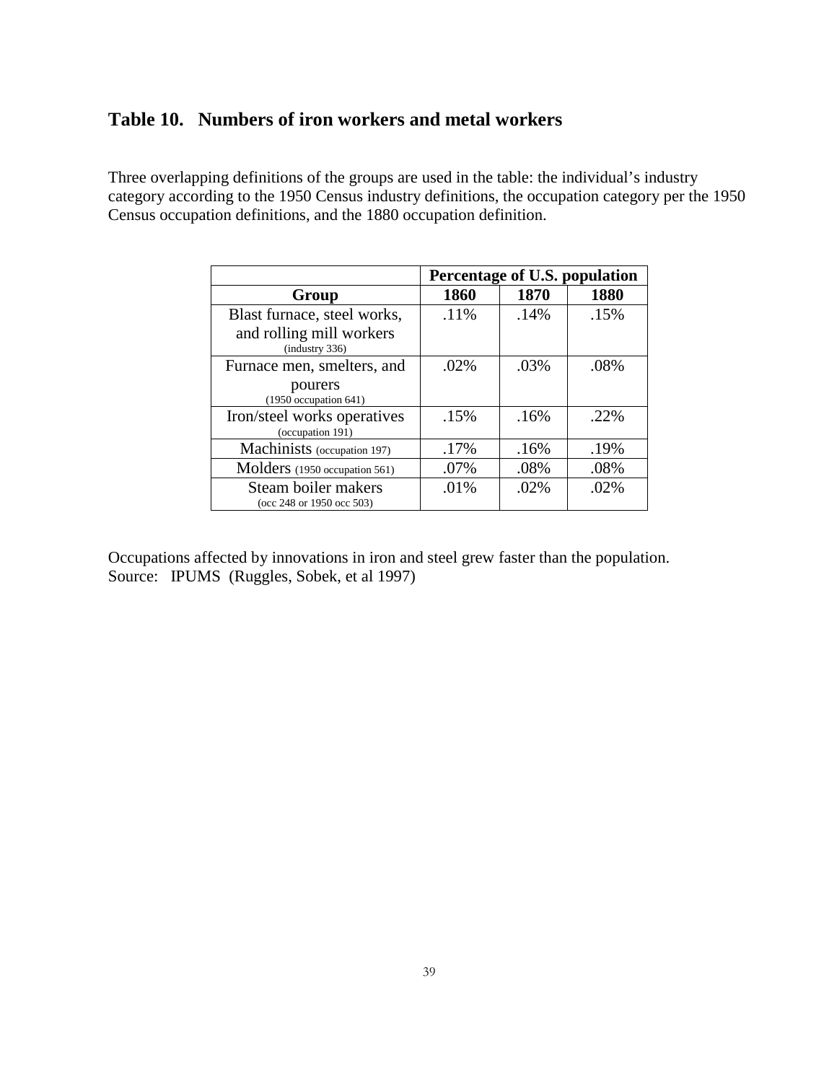# **Table 10. Numbers of iron workers and metal workers**

Three overlapping definitions of the groups are used in the table: the individual's industry category according to the 1950 Census industry definitions, the occupation category per the 1950 Census occupation definitions, and the 1880 occupation definition.

|                                                  | Percentage of U.S. population |         |         |  |  |  |  |
|--------------------------------------------------|-------------------------------|---------|---------|--|--|--|--|
| Group                                            | 1860                          | 1870    | 1880    |  |  |  |  |
| Blast furnace, steel works,                      | .11%                          | .14%    | .15%    |  |  |  |  |
| and rolling mill workers<br>(industry 336)       |                               |         |         |  |  |  |  |
| Furnace men, smelters, and                       | $.02\%$                       | .03%    | .08%    |  |  |  |  |
| pourers<br>$(1950)$ occupation 641)              |                               |         |         |  |  |  |  |
| Iron/steel works operatives<br>(occupation 191)  | .15%                          | .16%    | $.22\%$ |  |  |  |  |
| Machinists (occupation 197)                      | .17%                          | .16%    | .19%    |  |  |  |  |
| Molders (1950 occupation 561)                    | .07%                          | .08%    | .08%    |  |  |  |  |
| Steam boiler makers<br>(occ 248 or 1950 occ 503) | .01%                          | $.02\%$ | $.02\%$ |  |  |  |  |

Occupations affected by innovations in iron and steel grew faster than the population. Source: IPUMS (Ruggles, Sobek, et al 1997)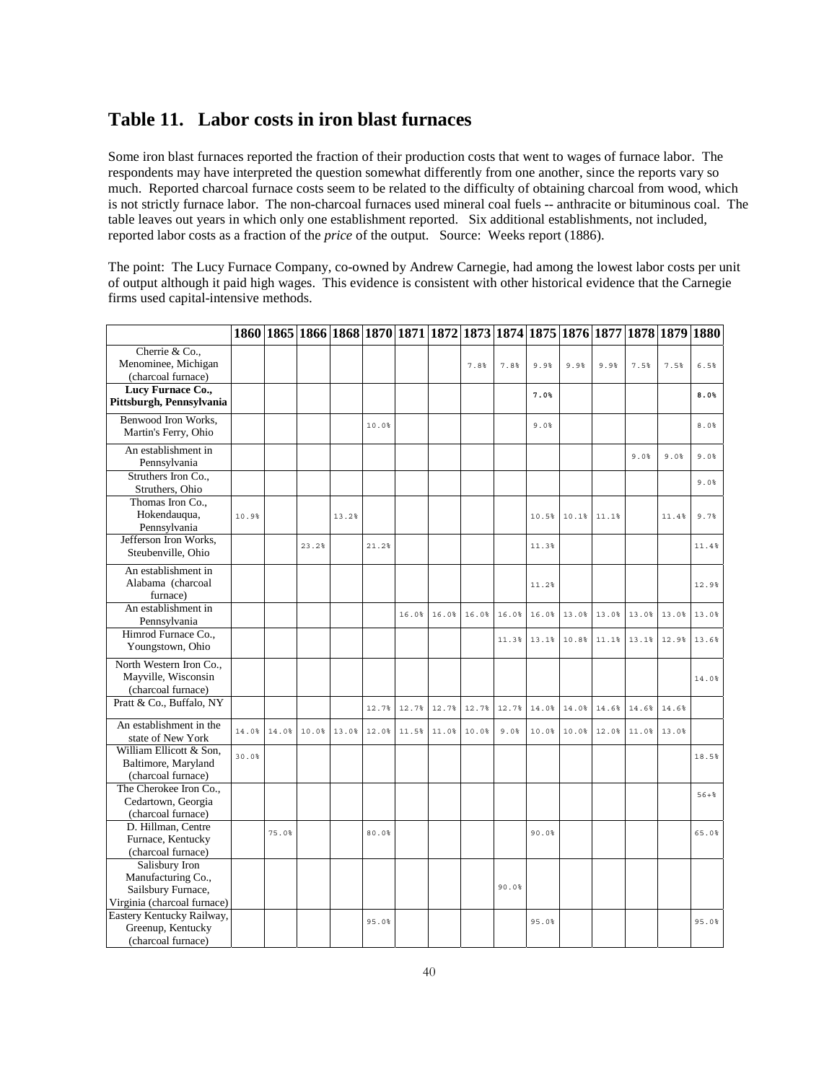### **Table 11. Labor costs in iron blast furnaces**

Some iron blast furnaces reported the fraction of their production costs that went to wages of furnace labor. The respondents may have interpreted the question somewhat differently from one another, since the reports vary so much. Reported charcoal furnace costs seem to be related to the difficulty of obtaining charcoal from wood, which is not strictly furnace labor. The non-charcoal furnaces used mineral coal fuels -- anthracite or bituminous coal. The table leaves out years in which only one establishment reported. Six additional establishments, not included, reported labor costs as a fraction of the *price* of the output. Source: Weeks report (1886).

The point: The Lucy Furnace Company, co-owned by Andrew Carnegie, had among the lowest labor costs per unit of output although it paid high wages. This evidence is consistent with other historical evidence that the Carnegie firms used capital-intensive methods.

|                                          |       |       | 1860   1865   1866   1868   1870   1871   1872   1873   1874   1875   1876   1877   1878   1879   1880 |       |       |       |       |       |       |       |       |       |       |       |          |
|------------------------------------------|-------|-------|--------------------------------------------------------------------------------------------------------|-------|-------|-------|-------|-------|-------|-------|-------|-------|-------|-------|----------|
| Cherrie & Co.,                           |       |       |                                                                                                        |       |       |       |       |       |       |       |       |       |       |       |          |
| Menominee, Michigan                      |       |       |                                                                                                        |       |       |       |       | 7.8%  | 7.8%  | 9.9%  | 9.9%  | 9.9%  | 7.5%  | 7.5%  | 6.5%     |
| (charcoal furnace)                       |       |       |                                                                                                        |       |       |       |       |       |       |       |       |       |       |       |          |
| Lucy Furnace Co.,                        |       |       |                                                                                                        |       |       |       |       |       |       |       |       |       |       |       |          |
| Pittsburgh, Pennsylvania                 |       |       |                                                                                                        |       |       |       |       |       |       | 7.0%  |       |       |       |       | 8.0%     |
| Benwood Iron Works,                      |       |       |                                                                                                        |       | 10.0% |       |       |       |       | 9.0%  |       |       |       |       | 8.0%     |
| Martin's Ferry, Ohio                     |       |       |                                                                                                        |       |       |       |       |       |       |       |       |       |       |       |          |
| An establishment in                      |       |       |                                                                                                        |       |       |       |       |       |       |       |       |       |       |       |          |
| Pennsylvania                             |       |       |                                                                                                        |       |       |       |       |       |       |       |       |       | 9.0%  | 9.0%  | 9.0%     |
| Struthers Iron Co.,                      |       |       |                                                                                                        |       |       |       |       |       |       |       |       |       |       |       |          |
| Struthers, Ohio                          |       |       |                                                                                                        |       |       |       |       |       |       |       |       |       |       |       | 9.0%     |
| Thomas Iron Co.,                         |       |       |                                                                                                        |       |       |       |       |       |       |       |       |       |       |       |          |
| Hokendauqua,                             | 10.9% |       |                                                                                                        | 13.2% |       |       |       |       |       | 10.5% | 10.1% | 11.1% |       | 11.4% | 9.7%     |
| Pennsylvania                             |       |       |                                                                                                        |       |       |       |       |       |       |       |       |       |       |       |          |
| Jefferson Iron Works,                    |       |       | 23.2%                                                                                                  |       | 21.2% |       |       |       |       | 11.3% |       |       |       |       | 11.4%    |
| Steubenville, Ohio                       |       |       |                                                                                                        |       |       |       |       |       |       |       |       |       |       |       |          |
| An establishment in                      |       |       |                                                                                                        |       |       |       |       |       |       |       |       |       |       |       |          |
| Alabama (charcoal                        |       |       |                                                                                                        |       |       |       |       |       |       | 11.2% |       |       |       |       | 12.9%    |
| furnace)                                 |       |       |                                                                                                        |       |       |       |       |       |       |       |       |       |       |       |          |
| An establishment in                      |       |       |                                                                                                        |       |       | 16.0% |       |       |       |       |       | 13.0% | 13.0% | 13.0% |          |
| Pennsylvania                             |       |       |                                                                                                        |       |       |       | 16.0% | 16.0% | 16.0% | 16.0% | 13.0% |       |       |       | 13.0%    |
| Himrod Furnace Co.,                      |       |       |                                                                                                        |       |       |       |       |       | 11.3% | 13.1% | 10.8% | 11.1% | 13.1% | 12.9% | 13.6%    |
| Youngstown, Ohio                         |       |       |                                                                                                        |       |       |       |       |       |       |       |       |       |       |       |          |
| North Western Iron Co.,                  |       |       |                                                                                                        |       |       |       |       |       |       |       |       |       |       |       |          |
| Mayville, Wisconsin                      |       |       |                                                                                                        |       |       |       |       |       |       |       |       |       |       |       | 14.0%    |
| (charcoal furnace)                       |       |       |                                                                                                        |       |       |       |       |       |       |       |       |       |       |       |          |
| Pratt & Co., Buffalo, NY                 |       |       |                                                                                                        |       |       |       |       |       |       |       |       |       |       |       |          |
|                                          |       |       |                                                                                                        |       | 12.7% | 12.7% | 12.7% | 12.7% | 12.7% | 14.0% | 14.0% | 14.6% | 14.6% | 14.6% |          |
| An establishment in the                  | 14.0% | 14.0% | 10.0%                                                                                                  | 13.0% | 12.0% | 11.5% | 11.0% | 10.0% | 9.0%  | 10.0% | 10.0% | 12.0% | 11.0% | 13.0% |          |
| state of New York                        |       |       |                                                                                                        |       |       |       |       |       |       |       |       |       |       |       |          |
| William Ellicott & Son.                  | 30.0% |       |                                                                                                        |       |       |       |       |       |       |       |       |       |       |       | 18.5%    |
| Baltimore, Maryland                      |       |       |                                                                                                        |       |       |       |       |       |       |       |       |       |       |       |          |
| (charcoal furnace)                       |       |       |                                                                                                        |       |       |       |       |       |       |       |       |       |       |       |          |
| The Cherokee Iron Co.,                   |       |       |                                                                                                        |       |       |       |       |       |       |       |       |       |       |       | $56 + $$ |
| Cedartown, Georgia<br>(charcoal furnace) |       |       |                                                                                                        |       |       |       |       |       |       |       |       |       |       |       |          |
| D. Hillman, Centre                       |       |       |                                                                                                        |       |       |       |       |       |       |       |       |       |       |       |          |
| Furnace, Kentucky                        |       | 75.0% |                                                                                                        |       | 80.0% |       |       |       |       | 90.0% |       |       |       |       | 65.0%    |
| (charcoal furnace)                       |       |       |                                                                                                        |       |       |       |       |       |       |       |       |       |       |       |          |
| Salisbury Iron                           |       |       |                                                                                                        |       |       |       |       |       |       |       |       |       |       |       |          |
| Manufacturing Co.,                       |       |       |                                                                                                        |       |       |       |       |       |       |       |       |       |       |       |          |
| Sailsbury Furnace,                       |       |       |                                                                                                        |       |       |       |       |       | 90.0% |       |       |       |       |       |          |
| Virginia (charcoal furnace)              |       |       |                                                                                                        |       |       |       |       |       |       |       |       |       |       |       |          |
| Eastery Kentucky Railway,                |       |       |                                                                                                        |       |       |       |       |       |       |       |       |       |       |       |          |
| Greenup, Kentucky                        |       |       |                                                                                                        |       | 95.0% |       |       |       |       | 95.0% |       |       |       |       | 95.0%    |
| (charcoal furnace)                       |       |       |                                                                                                        |       |       |       |       |       |       |       |       |       |       |       |          |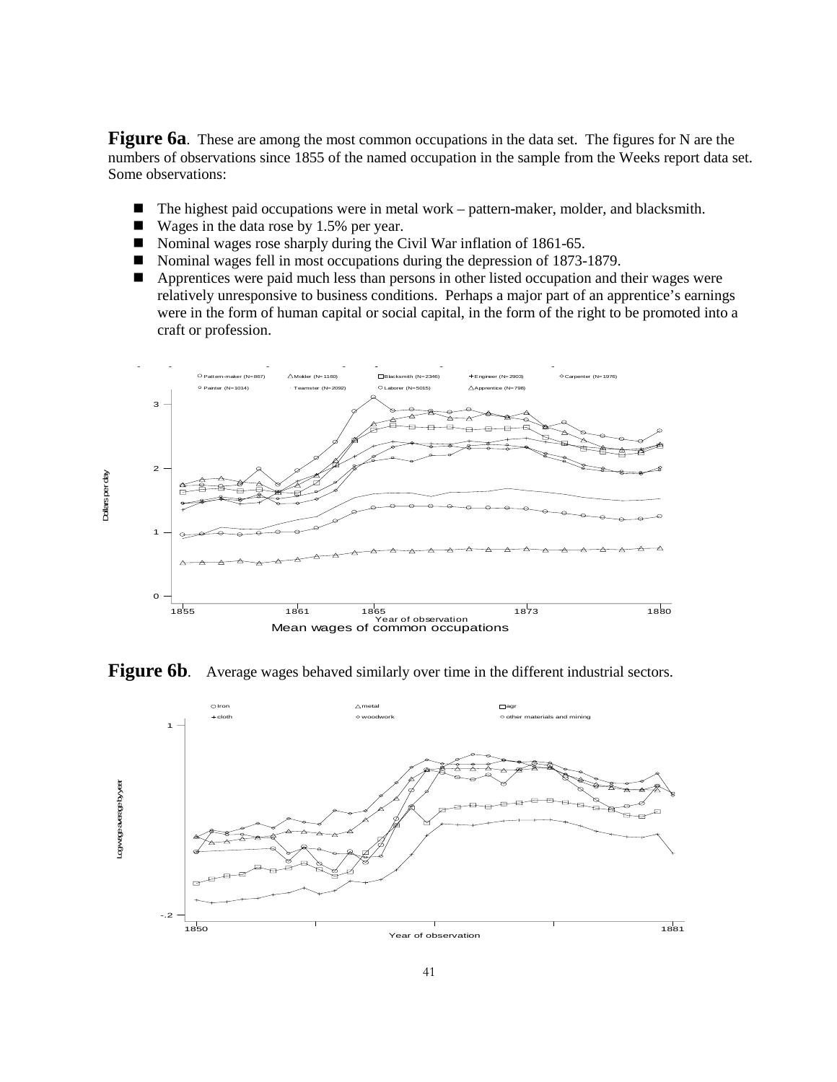**Figure 6a**. These are among the most common occupations in the data set. The figures for N are the numbers of observations since 1855 of the named occupation in the sample from the Weeks report data set. Some observations:

- The highest paid occupations were in metal work pattern-maker, molder, and blacksmith.
- Wages in the data rose by 1.5% per year.
- Nominal wages rose sharply during the Civil War inflation of 1861-65.
- Nominal wages fell in most occupations during the depression of 1873-1879.
- **Apprentices were paid much less than persons in other listed occupation and their wages were** relatively unresponsive to business conditions. Perhaps a major part of an apprentice's earnings were in the form of human capital or social capital, in the form of the right to be promoted into a craft or profession.



Figure 6b. Average wages behaved similarly over time in the different industrial sectors.

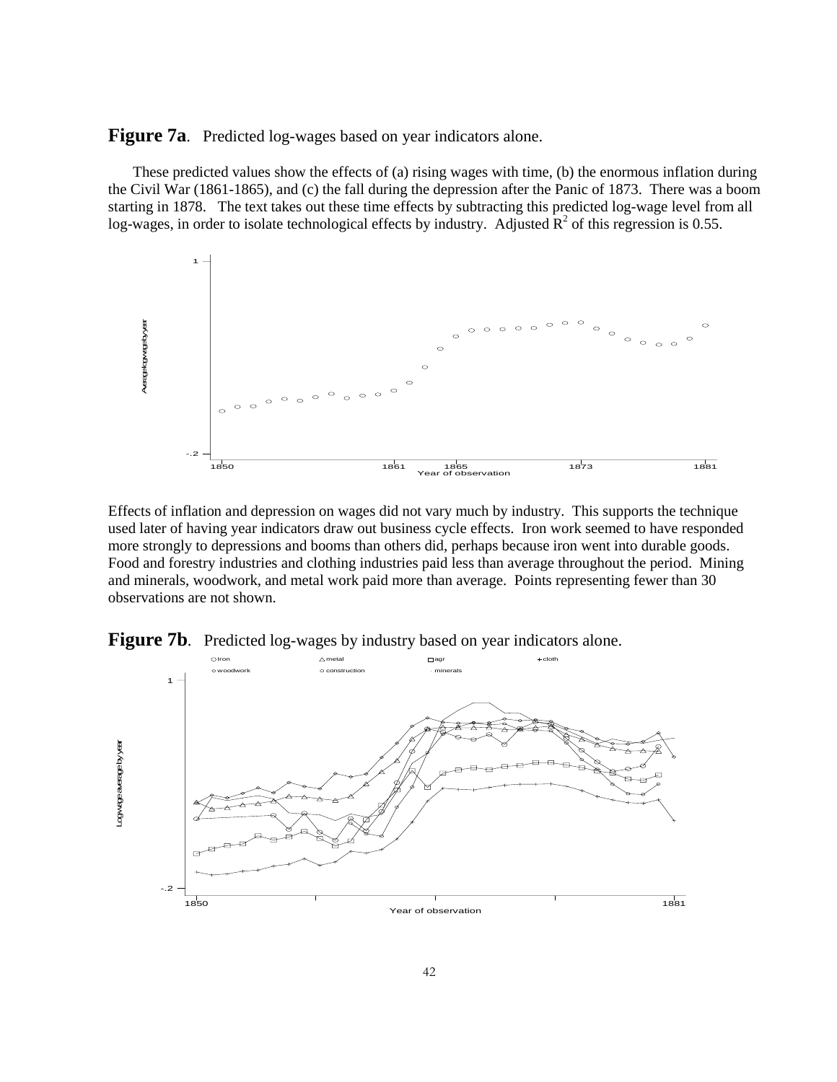**Figure 7a.** Predicted log-wages based on year indicators alone.

These predicted values show the effects of (a) rising wages with time, (b) the enormous inflation during the Civil War (1861-1865), and (c) the fall during the depression after the Panic of 1873. There was a boom starting in 1878. The text takes out these time effects by subtracting this predicted log-wage level from all log-wages, in order to isolate technological effects by industry. Adjusted  $\mathbb{R}^2$  of this regression is 0.55.



Effects of inflation and depression on wages did not vary much by industry. This supports the technique used later of having year indicators draw out business cycle effects. Iron work seemed to have responded more strongly to depressions and booms than others did, perhaps because iron went into durable goods. Food and forestry industries and clothing industries paid less than average throughout the period. Mining and minerals, woodwork, and metal work paid more than average. Points representing fewer than 30 observations are not shown.



**Figure 7b.** Predicted log-wages by industry based on year indicators alone.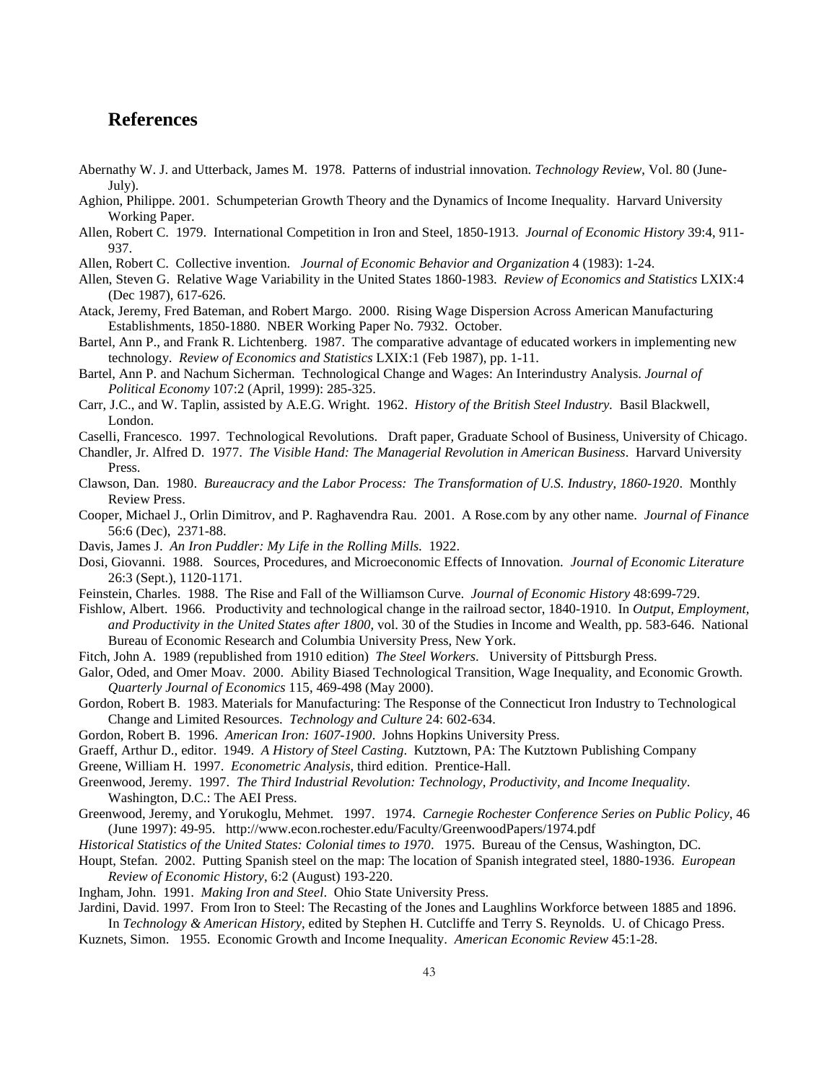#### **References**

- Abernathy W. J. and Utterback, James M. 1978. Patterns of industrial innovation. *Technology Review*, Vol. 80 (June-July).
- Aghion, Philippe. 2001. Schumpeterian Growth Theory and the Dynamics of Income Inequality. Harvard University Working Paper.
- Allen, Robert C. 1979. International Competition in Iron and Steel, 1850-1913. *Journal of Economic History* 39:4, 911- 937.
- Allen, Robert C. Collective invention. *Journal of Economic Behavior and Organization* 4 (1983): 1-24.
- Allen, Steven G. Relative Wage Variability in the United States 1860-1983. *Review of Economics and Statistics* LXIX:4 (Dec 1987), 617-626.
- Atack, Jeremy, Fred Bateman, and Robert Margo. 2000. Rising Wage Dispersion Across American Manufacturing Establishments, 1850-1880. NBER Working Paper No. 7932. October.
- Bartel, Ann P., and Frank R. Lichtenberg. 1987. The comparative advantage of educated workers in implementing new technology. *Review of Economics and Statistics* LXIX:1 (Feb 1987), pp. 1-11.
- Bartel, Ann P. and Nachum Sicherman. Technological Change and Wages: An Interindustry Analysis. *Journal of Political Economy* 107:2 (April, 1999): 285-325.
- Carr, J.C., and W. Taplin, assisted by A.E.G. Wright. 1962. *History of the British Steel Industry.* Basil Blackwell, London.
- Caselli, Francesco. 1997. Technological Revolutions. Draft paper, Graduate School of Business, University of Chicago.
- Chandler, Jr. Alfred D. 1977. *The Visible Hand: The Managerial Revolution in American Business*. Harvard University Press.
- Clawson, Dan. 1980. *Bureaucracy and the Labor Process: The Transformation of U.S. Industry, 1860-1920*. Monthly Review Press.
- Cooper, Michael J., Orlin Dimitrov, and P. Raghavendra Rau. 2001. A Rose.com by any other name. *Journal of Finance* 56:6 (Dec), 2371-88.
- Davis, James J. *An Iron Puddler: My Life in the Rolling Mills*. 1922.
- Dosi, Giovanni. 1988. Sources, Procedures, and Microeconomic Effects of Innovation. *Journal of Economic Literature* 26:3 (Sept.), 1120-1171.
- Feinstein, Charles. 1988. The Rise and Fall of the Williamson Curve. *Journal of Economic History* 48:699-729.
- Fishlow, Albert. 1966. Productivity and technological change in the railroad sector, 1840-1910. In *Output, Employment, and Productivity in the United States after 1800*, vol. 30 of the Studies in Income and Wealth, pp. 583-646. National Bureau of Economic Research and Columbia University Press, New York.
- Fitch, John A. 1989 (republished from 1910 edition) *The Steel Workers*. University of Pittsburgh Press.
- Galor, Oded, and Omer Moav. 2000. Ability Biased Technological Transition, Wage Inequality, and Economic Growth. *Quarterly Journal of Economics* 115, 469-498 (May 2000).
- Gordon, Robert B. 1983. Materials for Manufacturing: The Response of the Connecticut Iron Industry to Technological Change and Limited Resources. *Technology and Culture* 24: 602-634.
- Gordon, Robert B. 1996. *American Iron: 1607-1900*. Johns Hopkins University Press.
- Graeff, Arthur D., editor. 1949. *A History of Steel Casting*. Kutztown, PA: The Kutztown Publishing Company
- Greene, William H. 1997. *Econometric Analysis*, third edition. Prentice-Hall.
- Greenwood, Jeremy. 1997. *The Third Industrial Revolution: Technology, Productivity, and Income Inequality*. Washington, D.C.: The AEI Press.
- Greenwood, Jeremy, and Yorukoglu, Mehmet. 1997. 1974. *Carnegie Rochester Conference Series on Public Policy*, 46 (June 1997): 49-95. http://www.econ.rochester.edu/Faculty/GreenwoodPapers/1974.pdf
- *Historical Statistics of the United States: Colonial times to 1970*. 1975. Bureau of the Census, Washington, DC.
- Houpt, Stefan. 2002. Putting Spanish steel on the map: The location of Spanish integrated steel, 1880-1936. *European Review of Economic History*, 6:2 (August) 193-220.
- Ingham, John. 1991. *Making Iron and Steel*. Ohio State University Press.

Jardini, David. 1997. From Iron to Steel: The Recasting of the Jones and Laughlins Workforce between 1885 and 1896. In *Technology & American History*, edited by Stephen H. Cutcliffe and Terry S. Reynolds. U. of Chicago Press.

Kuznets, Simon. 1955. Economic Growth and Income Inequality. *American Economic Review* 45:1-28.